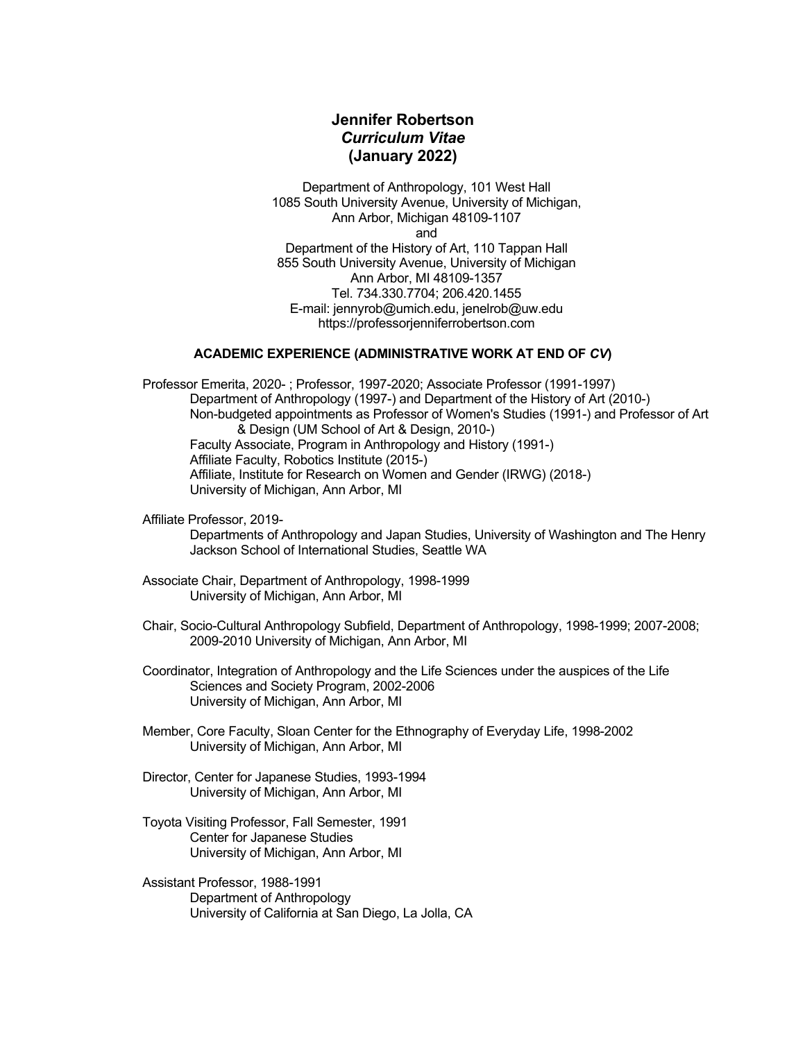# **Jennifer Robertson** *Curriculum Vitae* **(January 2022)**

Department of Anthropology, 101 West Hall 1085 South University Avenue, University of Michigan, Ann Arbor, Michigan 48109-1107 and

Department of the History of Art, 110 Tappan Hall 855 South University Avenue, University of Michigan Ann Arbor, MI 48109-1357 Tel. 734.330.7704; 206.420.1455 E-mail: jennyrob@umich.edu, jenelrob@uw.edu https://professorjenniferrobertson.com

# **ACADEMIC EXPERIENCE (ADMINISTRATIVE WORK AT END OF** *CV***)**

Professor Emerita, 2020- ; Professor, 1997-2020; Associate Professor (1991-1997) Department of Anthropology (1997-) and Department of the History of Art (2010-) Non-budgeted appointments as Professor of Women's Studies (1991-) and Professor of Art & Design (UM School of Art & Design, 2010-) Faculty Associate, Program in Anthropology and History (1991-) Affiliate Faculty, Robotics Institute (2015-) Affiliate, Institute for Research on Women and Gender (IRWG) (2018-) University of Michigan, Ann Arbor, MI

Affiliate Professor, 2019-

Departments of Anthropology and Japan Studies, University of Washington and The Henry Jackson School of International Studies, Seattle WA

- Associate Chair, Department of Anthropology, 1998-1999 University of Michigan, Ann Arbor, MI
- Chair, Socio-Cultural Anthropology Subfield, Department of Anthropology, 1998-1999; 2007-2008; 2009-2010 University of Michigan, Ann Arbor, MI

Coordinator, Integration of Anthropology and the Life Sciences under the auspices of the Life Sciences and Society Program, 2002-2006 University of Michigan, Ann Arbor, MI

- Member, Core Faculty, Sloan Center for the Ethnography of Everyday Life, 1998-2002 University of Michigan, Ann Arbor, MI
- Director, Center for Japanese Studies, 1993-1994 University of Michigan, Ann Arbor, MI
- Toyota Visiting Professor, Fall Semester, 1991 Center for Japanese Studies University of Michigan, Ann Arbor, MI
- Assistant Professor, 1988-1991 Department of Anthropology University of California at San Diego, La Jolla, CA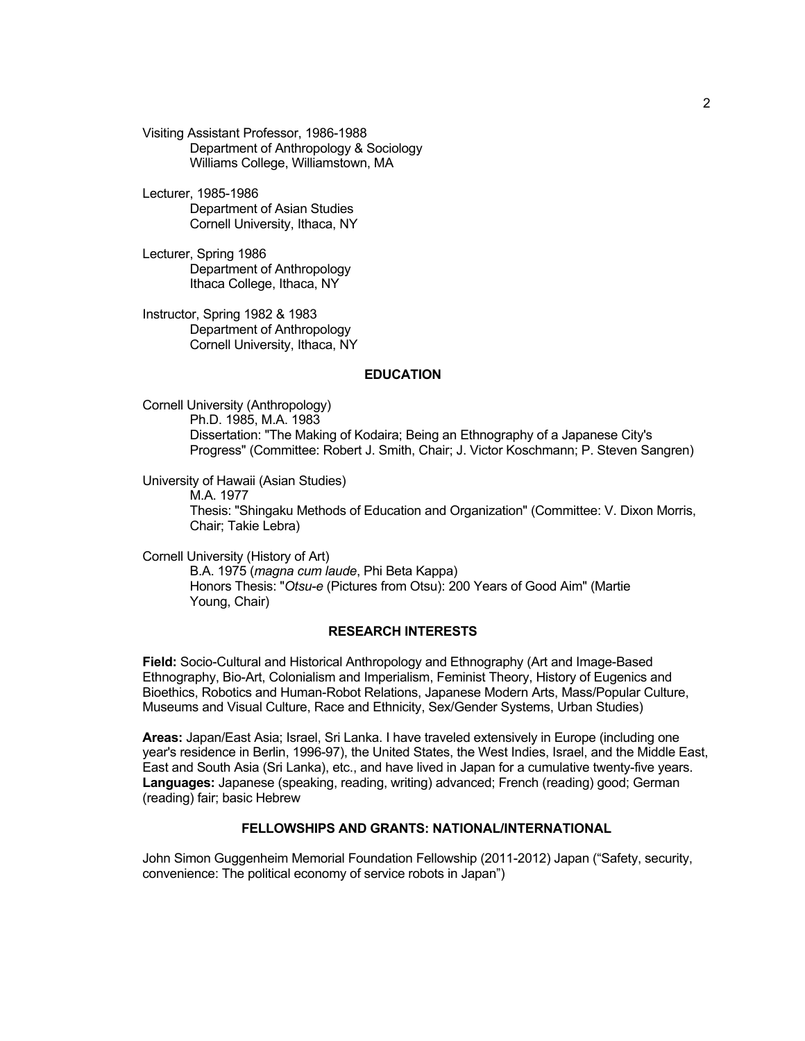Visiting Assistant Professor, 1986-1988 Department of Anthropology & Sociology Williams College, Williamstown, MA

Lecturer, 1985-1986 Department of Asian Studies Cornell University, Ithaca, NY

Lecturer, Spring 1986 Department of Anthropology Ithaca College, Ithaca, NY

Instructor, Spring 1982 & 1983 Department of Anthropology Cornell University, Ithaca, NY

#### **EDUCATION**

Cornell University (Anthropology) Ph.D. 1985, M.A. 1983 Dissertation: "The Making of Kodaira; Being an Ethnography of a Japanese City's Progress" (Committee: Robert J. Smith, Chair; J. Victor Koschmann; P. Steven Sangren)

University of Hawaii (Asian Studies)

M.A. 1977 Thesis: "Shingaku Methods of Education and Organization" (Committee: V. Dixon Morris, Chair; Takie Lebra)

Cornell University (History of Art) B.A. 1975 (*magna cum laude*, Phi Beta Kappa) Honors Thesis: "*Otsu-e* (Pictures from Otsu): 200 Years of Good Aim" (Martie Young, Chair)

#### **RESEARCH INTERESTS**

**Field:** Socio-Cultural and Historical Anthropology and Ethnography (Art and Image-Based Ethnography, Bio-Art, Colonialism and Imperialism, Feminist Theory, History of Eugenics and Bioethics, Robotics and Human-Robot Relations, Japanese Modern Arts, Mass/Popular Culture, Museums and Visual Culture, Race and Ethnicity, Sex/Gender Systems, Urban Studies)

**Areas:** Japan/East Asia; Israel, Sri Lanka. I have traveled extensively in Europe (including one year's residence in Berlin, 1996-97), the United States, the West Indies, Israel, and the Middle East, East and South Asia (Sri Lanka), etc., and have lived in Japan for a cumulative twenty-five years. **Languages:** Japanese (speaking, reading, writing) advanced; French (reading) good; German (reading) fair; basic Hebrew

### **FELLOWSHIPS AND GRANTS: NATIONAL/INTERNATIONAL**

John Simon Guggenheim Memorial Foundation Fellowship (2011-2012) Japan ("Safety, security, convenience: The political economy of service robots in Japan")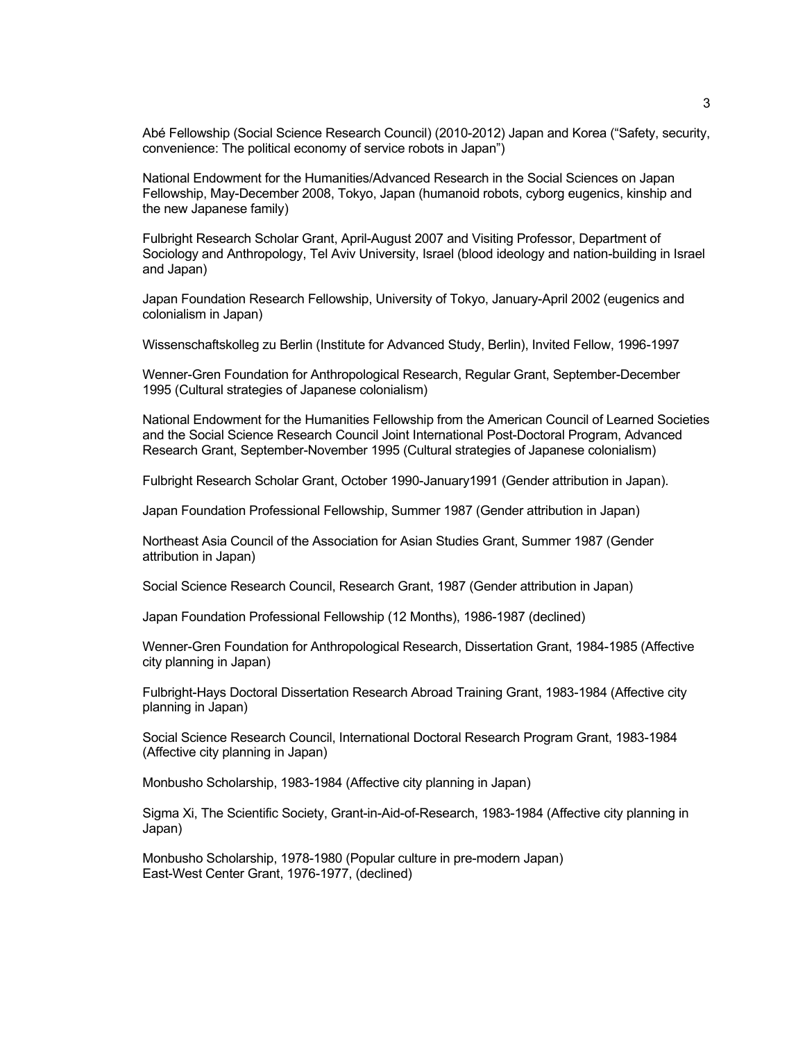Abé Fellowship (Social Science Research Council) (2010-2012) Japan and Korea ("Safety, security, convenience: The political economy of service robots in Japan")

National Endowment for the Humanities/Advanced Research in the Social Sciences on Japan Fellowship, May-December 2008, Tokyo, Japan (humanoid robots, cyborg eugenics, kinship and the new Japanese family)

Fulbright Research Scholar Grant, April-August 2007 and Visiting Professor, Department of Sociology and Anthropology, Tel Aviv University, Israel (blood ideology and nation-building in Israel and Japan)

Japan Foundation Research Fellowship, University of Tokyo, January-April 2002 (eugenics and colonialism in Japan)

Wissenschaftskolleg zu Berlin (Institute for Advanced Study, Berlin), Invited Fellow, 1996-1997

Wenner-Gren Foundation for Anthropological Research, Regular Grant, September-December 1995 (Cultural strategies of Japanese colonialism)

National Endowment for the Humanities Fellowship from the American Council of Learned Societies and the Social Science Research Council Joint International Post-Doctoral Program, Advanced Research Grant, September-November 1995 (Cultural strategies of Japanese colonialism)

Fulbright Research Scholar Grant, October 1990-January1991 (Gender attribution in Japan).

Japan Foundation Professional Fellowship, Summer 1987 (Gender attribution in Japan)

Northeast Asia Council of the Association for Asian Studies Grant, Summer 1987 (Gender attribution in Japan)

Social Science Research Council, Research Grant, 1987 (Gender attribution in Japan)

Japan Foundation Professional Fellowship (12 Months), 1986-1987 (declined)

Wenner-Gren Foundation for Anthropological Research, Dissertation Grant, 1984-1985 (Affective city planning in Japan)

Fulbright-Hays Doctoral Dissertation Research Abroad Training Grant, 1983-1984 (Affective city planning in Japan)

Social Science Research Council, International Doctoral Research Program Grant, 1983-1984 (Affective city planning in Japan)

Monbusho Scholarship, 1983-1984 (Affective city planning in Japan)

Sigma Xi, The Scientific Society, Grant-in-Aid-of-Research, 1983-1984 (Affective city planning in Japan)

Monbusho Scholarship, 1978-1980 (Popular culture in pre-modern Japan) East-West Center Grant, 1976-1977, (declined)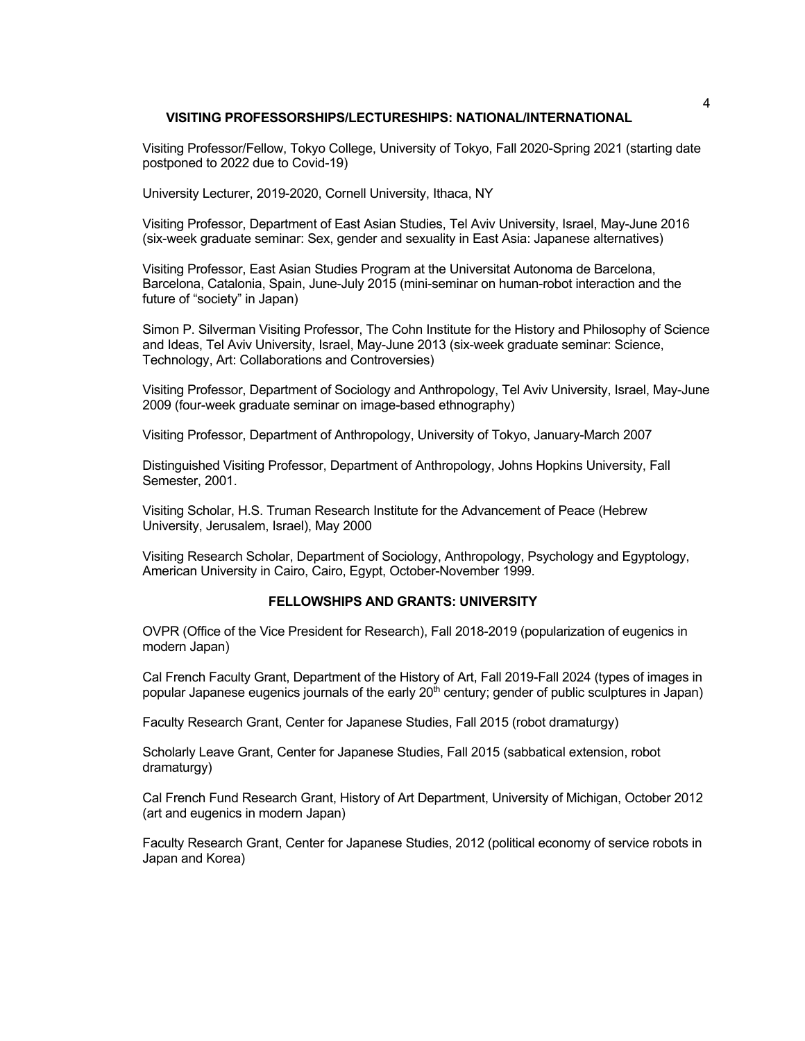### **VISITING PROFESSORSHIPS/LECTURESHIPS: NATIONAL/INTERNATIONAL**

Visiting Professor/Fellow, Tokyo College, University of Tokyo, Fall 2020-Spring 2021 (starting date postponed to 2022 due to Covid-19)

University Lecturer, 2019-2020, Cornell University, Ithaca, NY

Visiting Professor, Department of East Asian Studies, Tel Aviv University, Israel, May-June 2016 (six-week graduate seminar: Sex, gender and sexuality in East Asia: Japanese alternatives)

Visiting Professor, East Asian Studies Program at the Universitat Autonoma de Barcelona, Barcelona, Catalonia, Spain, June-July 2015 (mini-seminar on human-robot interaction and the future of "society" in Japan)

Simon P. Silverman Visiting Professor, The Cohn Institute for the History and Philosophy of Science and Ideas, Tel Aviv University, Israel, May-June 2013 (six-week graduate seminar: Science, Technology, Art: Collaborations and Controversies)

Visiting Professor, Department of Sociology and Anthropology, Tel Aviv University, Israel, May-June 2009 (four-week graduate seminar on image-based ethnography)

Visiting Professor, Department of Anthropology, University of Tokyo, January-March 2007

Distinguished Visiting Professor, Department of Anthropology, Johns Hopkins University, Fall Semester, 2001.

Visiting Scholar, H.S. Truman Research Institute for the Advancement of Peace (Hebrew University, Jerusalem, Israel), May 2000

Visiting Research Scholar, Department of Sociology, Anthropology, Psychology and Egyptology, American University in Cairo, Cairo, Egypt, October-November 1999.

## **FELLOWSHIPS AND GRANTS: UNIVERSITY**

OVPR (Office of the Vice President for Research), Fall 2018-2019 (popularization of eugenics in modern Japan)

Cal French Faculty Grant, Department of the History of Art, Fall 2019-Fall 2024 (types of images in popular Japanese eugenics journals of the early 20<sup>th</sup> century; gender of public sculptures in Japan)

Faculty Research Grant, Center for Japanese Studies, Fall 2015 (robot dramaturgy)

Scholarly Leave Grant, Center for Japanese Studies, Fall 2015 (sabbatical extension, robot dramaturgy)

Cal French Fund Research Grant, History of Art Department, University of Michigan, October 2012 (art and eugenics in modern Japan)

Faculty Research Grant, Center for Japanese Studies, 2012 (political economy of service robots in Japan and Korea)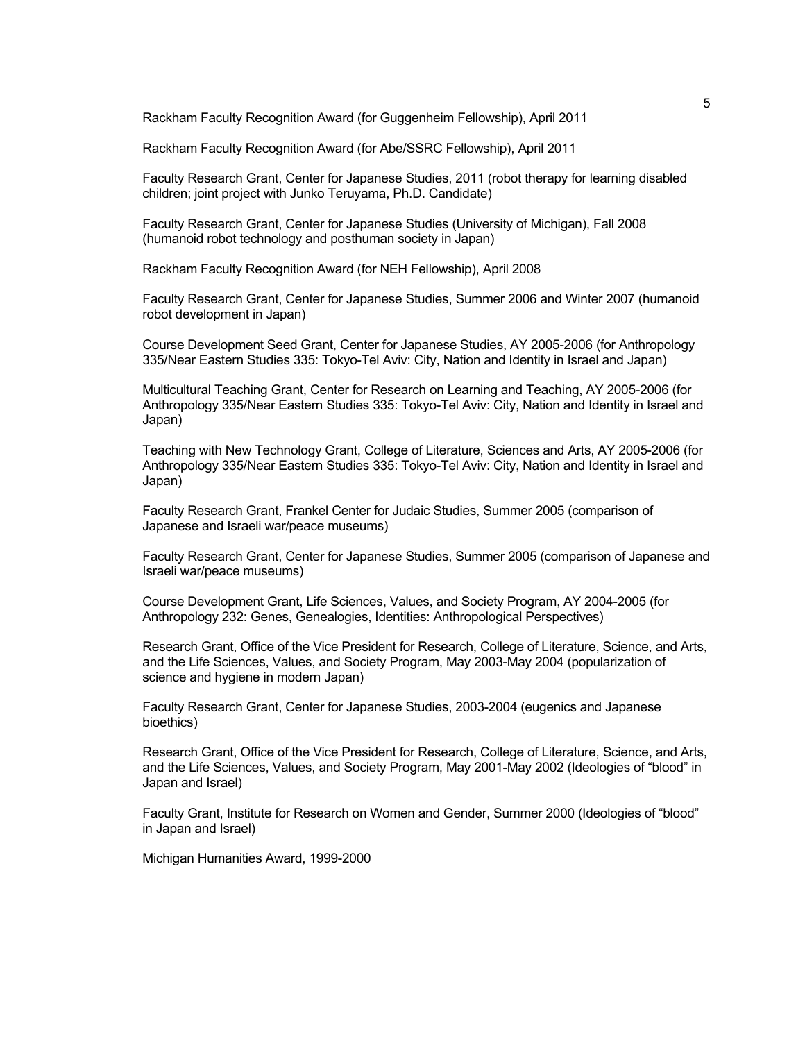Rackham Faculty Recognition Award (for Guggenheim Fellowship), April 2011

Rackham Faculty Recognition Award (for Abe/SSRC Fellowship), April 2011

Faculty Research Grant, Center for Japanese Studies, 2011 (robot therapy for learning disabled children; joint project with Junko Teruyama, Ph.D. Candidate)

Faculty Research Grant, Center for Japanese Studies (University of Michigan), Fall 2008 (humanoid robot technology and posthuman society in Japan)

Rackham Faculty Recognition Award (for NEH Fellowship), April 2008

Faculty Research Grant, Center for Japanese Studies, Summer 2006 and Winter 2007 (humanoid robot development in Japan)

Course Development Seed Grant, Center for Japanese Studies, AY 2005-2006 (for Anthropology 335/Near Eastern Studies 335: Tokyo-Tel Aviv: City, Nation and Identity in Israel and Japan)

Multicultural Teaching Grant, Center for Research on Learning and Teaching, AY 2005-2006 (for Anthropology 335/Near Eastern Studies 335: Tokyo-Tel Aviv: City, Nation and Identity in Israel and Japan)

Teaching with New Technology Grant, College of Literature, Sciences and Arts, AY 2005-2006 (for Anthropology 335/Near Eastern Studies 335: Tokyo-Tel Aviv: City, Nation and Identity in Israel and Japan)

Faculty Research Grant, Frankel Center for Judaic Studies, Summer 2005 (comparison of Japanese and Israeli war/peace museums)

Faculty Research Grant, Center for Japanese Studies, Summer 2005 (comparison of Japanese and Israeli war/peace museums)

Course Development Grant, Life Sciences, Values, and Society Program, AY 2004-2005 (for Anthropology 232: Genes, Genealogies, Identities: Anthropological Perspectives)

Research Grant, Office of the Vice President for Research, College of Literature, Science, and Arts, and the Life Sciences, Values, and Society Program, May 2003-May 2004 (popularization of science and hygiene in modern Japan)

Faculty Research Grant, Center for Japanese Studies, 2003-2004 (eugenics and Japanese bioethics)

Research Grant, Office of the Vice President for Research, College of Literature, Science, and Arts, and the Life Sciences, Values, and Society Program, May 2001-May 2002 (Ideologies of "blood" in Japan and Israel)

Faculty Grant, Institute for Research on Women and Gender, Summer 2000 (Ideologies of "blood" in Japan and Israel)

Michigan Humanities Award, 1999-2000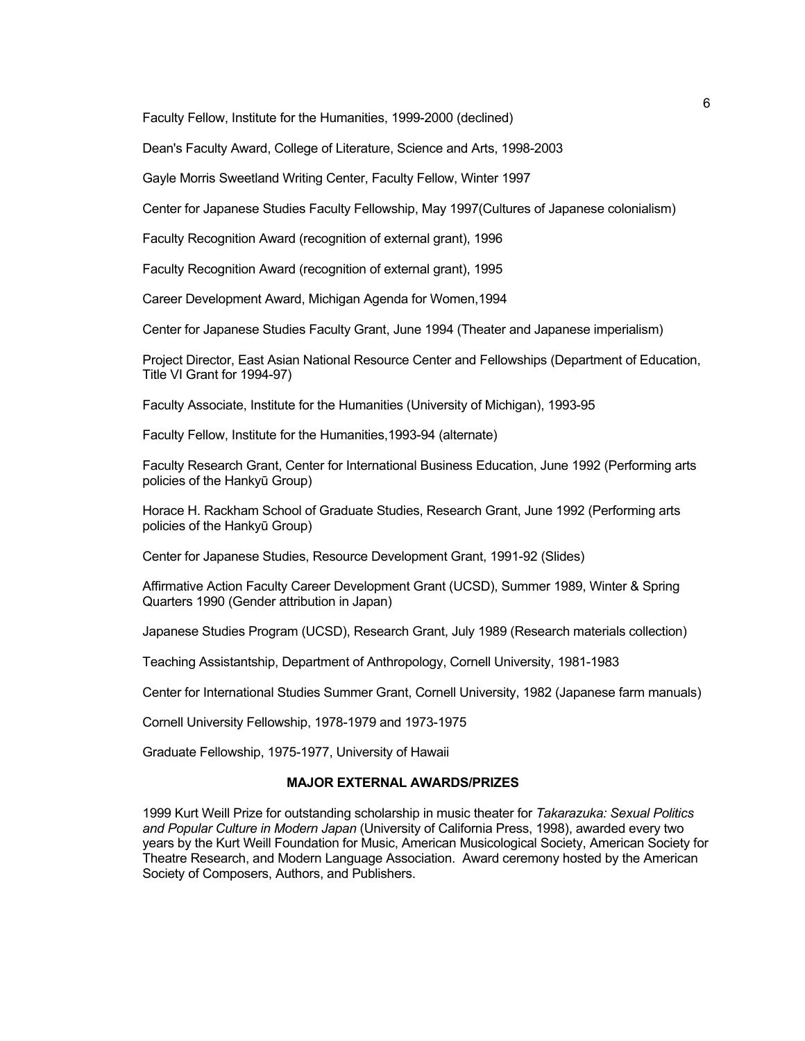Faculty Fellow, Institute for the Humanities, 1999-2000 (declined)

Dean's Faculty Award, College of Literature, Science and Arts, 1998-2003

Gayle Morris Sweetland Writing Center, Faculty Fellow, Winter 1997

Center for Japanese Studies Faculty Fellowship, May 1997(Cultures of Japanese colonialism)

Faculty Recognition Award (recognition of external grant), 1996

Faculty Recognition Award (recognition of external grant), 1995

Career Development Award, Michigan Agenda for Women,1994

Center for Japanese Studies Faculty Grant, June 1994 (Theater and Japanese imperialism)

Project Director, East Asian National Resource Center and Fellowships (Department of Education, Title VI Grant for 1994-97)

Faculty Associate, Institute for the Humanities (University of Michigan), 1993-95

Faculty Fellow, Institute for the Humanities,1993-94 (alternate)

Faculty Research Grant, Center for International Business Education, June 1992 (Performing arts policies of the Hankyū Group)

Horace H. Rackham School of Graduate Studies, Research Grant, June 1992 (Performing arts policies of the Hankyū Group)

Center for Japanese Studies, Resource Development Grant, 1991-92 (Slides)

Affirmative Action Faculty Career Development Grant (UCSD), Summer 1989, Winter & Spring Quarters 1990 (Gender attribution in Japan)

Japanese Studies Program (UCSD), Research Grant, July 1989 (Research materials collection)

Teaching Assistantship, Department of Anthropology, Cornell University, 1981-1983

Center for International Studies Summer Grant, Cornell University, 1982 (Japanese farm manuals)

Cornell University Fellowship, 1978-1979 and 1973-1975

Graduate Fellowship, 1975-1977, University of Hawaii

### **MAJOR EXTERNAL AWARDS/PRIZES**

1999 Kurt Weill Prize for outstanding scholarship in music theater for *Takarazuka: Sexual Politics and Popular Culture in Modern Japan* (University of California Press, 1998), awarded every two years by the Kurt Weill Foundation for Music, American Musicological Society, American Society for Theatre Research, and Modern Language Association. Award ceremony hosted by the American Society of Composers, Authors, and Publishers.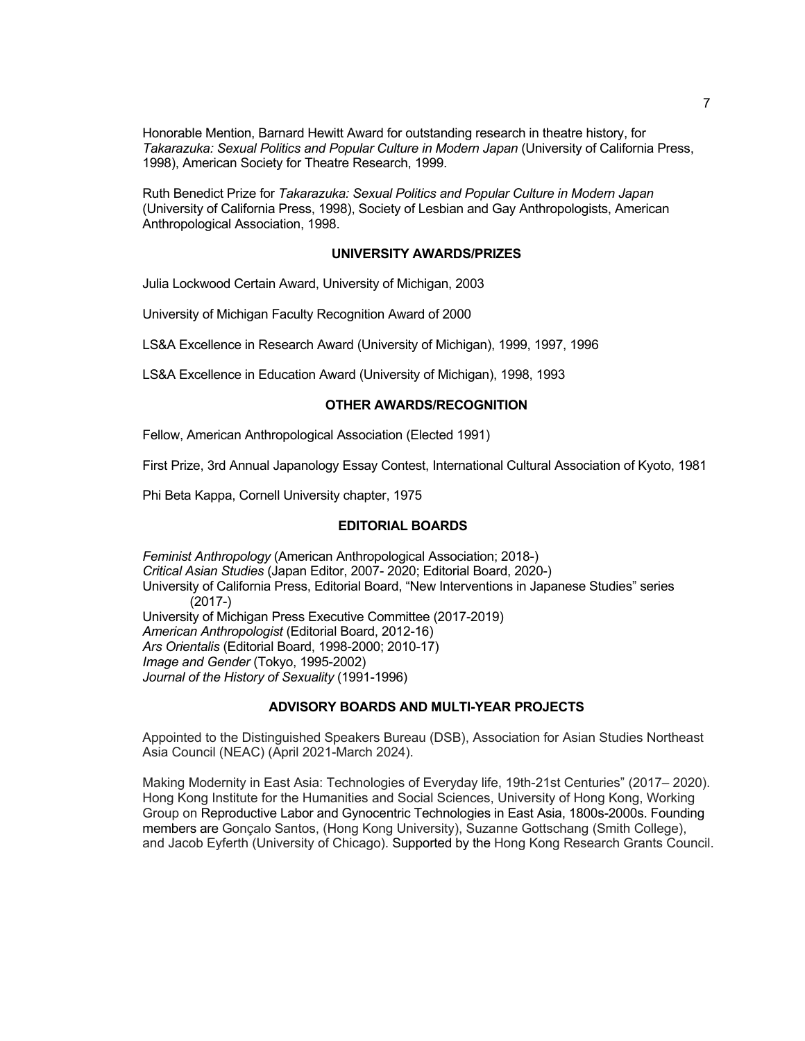Honorable Mention, Barnard Hewitt Award for outstanding research in theatre history, for *Takarazuka: Sexual Politics and Popular Culture in Modern Japan* (University of California Press, 1998), American Society for Theatre Research, 1999.

Ruth Benedict Prize for *Takarazuka: Sexual Politics and Popular Culture in Modern Japan* (University of California Press, 1998), Society of Lesbian and Gay Anthropologists, American Anthropological Association, 1998.

### **UNIVERSITY AWARDS/PRIZES**

Julia Lockwood Certain Award, University of Michigan, 2003

University of Michigan Faculty Recognition Award of 2000

LS&A Excellence in Research Award (University of Michigan), 1999, 1997, 1996

LS&A Excellence in Education Award (University of Michigan), 1998, 1993

## **OTHER AWARDS/RECOGNITION**

Fellow, American Anthropological Association (Elected 1991)

First Prize, 3rd Annual Japanology Essay Contest, International Cultural Association of Kyoto, 1981

Phi Beta Kappa, Cornell University chapter, 1975

#### **EDITORIAL BOARDS**

*Feminist Anthropology* (American Anthropological Association; 2018-) *Critical Asian Studies* (Japan Editor, 2007- 2020; Editorial Board, 2020-) University of California Press, Editorial Board, "New Interventions in Japanese Studies" series (2017-) University of Michigan Press Executive Committee (2017-2019) *American Anthropologist* (Editorial Board, 2012-16) *Ars Orientalis* (Editorial Board, 1998-2000; 2010-17) *Image and Gender* (Tokyo, 1995-2002) *Journal of the History of Sexuality* (1991-1996)

#### **ADVISORY BOARDS AND MULTI-YEAR PROJECTS**

Appointed to the Distinguished Speakers Bureau (DSB), Association for Asian Studies Northeast Asia Council (NEAC) (April 2021-March 2024).

Making Modernity in East Asia: Technologies of Everyday life, 19th-21st Centuries" (2017– 2020). Hong Kong Institute for the Humanities and Social Sciences, University of Hong Kong, Working Group on Reproductive Labor and Gynocentric Technologies in East Asia, 1800s-2000s. Founding members are Gonçalo Santos, (Hong Kong University), Suzanne Gottschang (Smith College), and Jacob Eyferth (University of Chicago). Supported by the Hong Kong Research Grants Council.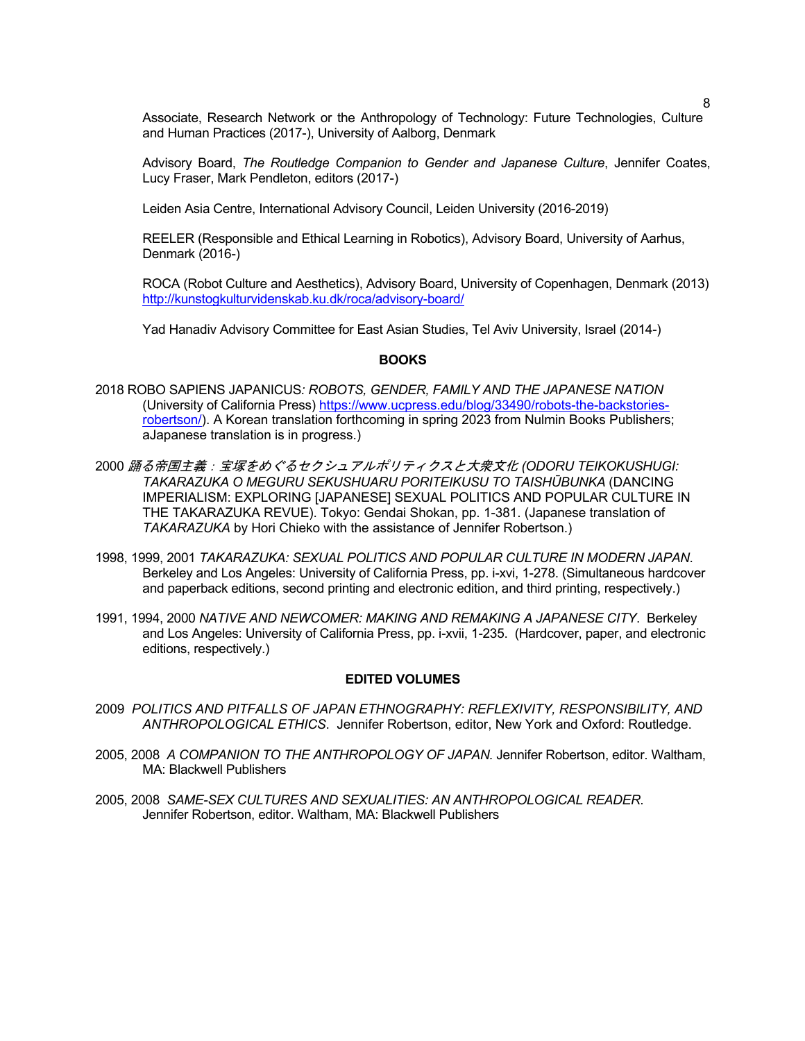Associate, Research Network or the Anthropology of Technology: Future Technologies, Culture and Human Practices (2017-), University of Aalborg, Denmark

Advisory Board, *The Routledge Companion to Gender and Japanese Culture*, Jennifer Coates, Lucy Fraser, Mark Pendleton, editors (2017-)

Leiden Asia Centre, International Advisory Council, Leiden University (2016-2019)

REELER (Responsible and Ethical Learning in Robotics), Advisory Board, University of Aarhus, Denmark (2016-)

ROCA (Robot Culture and Aesthetics), Advisory Board, University of Copenhagen, Denmark (2013) http://kunstogkulturvidenskab.ku.dk/roca/advisory-board/

Yad Hanadiv Advisory Committee for East Asian Studies, Tel Aviv University, Israel (2014-)

#### **BOOKS**

- 2018 ROBO SAPIENS JAPANICUS*: ROBOTS, GENDER, FAMILY AND THE JAPANESE NATION*  (University of California Press) https://www.ucpress.edu/blog/33490/robots-the-backstoriesrobertson/). A Korean translation forthcoming in spring 2023 from Nulmin Books Publishers; aJapanese translation is in progress.)
- 2000 踊る帝国主義:宝塚をめぐるセクシュアルポリティクスと大衆文化 *(ODORU TEIKOKUSHUGI: TAKARAZUKA O MEGURU SEKUSHUARU PORITEIKUSU TO TAISHŪBUNKA* (DANCING IMPERIALISM: EXPLORING [JAPANESE] SEXUAL POLITICS AND POPULAR CULTURE IN THE TAKARAZUKA REVUE). Tokyo: Gendai Shokan, pp. 1-381. (Japanese translation of *TAKARAZUKA* by Hori Chieko with the assistance of Jennifer Robertson.)
- 1998, 1999, 2001 *TAKARAZUKA: SEXUAL POLITICS AND POPULAR CULTURE IN MODERN JAPAN*. Berkeley and Los Angeles: University of California Press, pp. i-xvi, 1-278. (Simultaneous hardcover and paperback editions, second printing and electronic edition, and third printing, respectively.)
- 1991, 1994, 2000 *NATIVE AND NEWCOMER: MAKING AND REMAKING A JAPANESE CITY*. Berkeley and Los Angeles: University of California Press, pp. i-xvii, 1-235. (Hardcover, paper, and electronic editions, respectively.)

#### **EDITED VOLUMES**

- 2009 *POLITICS AND PITFALLS OF JAPAN ETHNOGRAPHY: REFLEXIVITY, RESPONSIBILITY, AND ANTHROPOLOGICAL ETHICS*. Jennifer Robertson, editor, New York and Oxford: Routledge.
- 2005, 2008 *A COMPANION TO THE ANTHROPOLOGY OF JAPAN.* Jennifer Robertson, editor. Waltham, MA: Blackwell Publishers
- 2005, 2008 *SAME-SEX CULTURES AND SEXUALITIES: AN ANTHROPOLOGICAL READER*. Jennifer Robertson, editor. Waltham, MA: Blackwell Publishers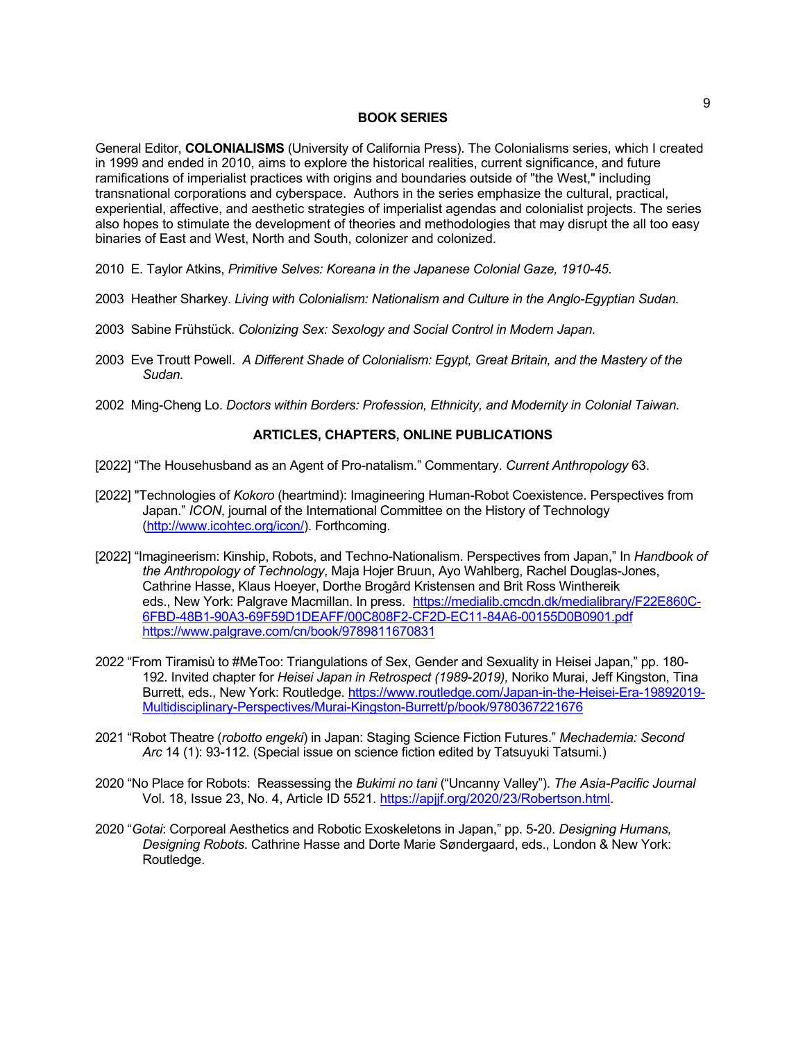#### **BOOK SERIES**

General Editor, **COLONIALISMS** (University of California Press). The Colonialisms series, which I created in 1999 and ended in 2010, aims to explore the historical realities, current significance, and future ramifications of imperialist practices with origins and boundaries outside of "the West," including transnational corporations and cyberspace. Authors in the series emphasize the cultural, practical, experiential, affective, and aesthetic strategies of imperialist agendas and colonialist projects. The series also hopes to stimulate the development of theories and methodologies that may disrupt the all too easy binaries of East and West, North and South, colonizer and colonized.

- 2010 E. Taylor Atkins, *Primitive Selves: Koreana in the Japanese Colonial Gaze, 1910-45*.
- 2003 Heather Sharkey. *Living with Colonialism: Nationalism and Culture in the Anglo-Egyptian Sudan.*
- 2003 Sabine Frühstück. *Colonizing Sex: Sexology and Social Control in Modern Japan.*
- 2003 Eve Troutt Powell. *A Different Shade of Colonialism: Egypt, Great Britain, and the Mastery of the Sudan.*
- 2002 Ming-Cheng Lo. *Doctors within Borders: Profession, Ethnicity, and Modernity in Colonial Taiwan.*

# **ARTICLES, CHAPTERS, ONLINE PUBLICATIONS**

- [2022] "The Househusband as an Agent of Pro-natalism." Commentary. *Current Anthropology* 63.
- [2022] "Technologies of *Kokoro* (heartmind): Imagineering Human-Robot Coexistence. Perspectives from Japan." *ICON*, journal of the International Committee on the History of Technology (http://www.icohtec.org/icon/). Forthcoming.
- [2022] "Imagineerism: Kinship, Robots, and Techno-Nationalism. Perspectives from Japan," In *Handbook of the Anthropology of Technology*, Maja Hojer Bruun, Ayo Wahlberg, Rachel Douglas-Jones, Cathrine Hasse, Klaus Hoeyer, Dorthe Brogård Kristensen and Brit Ross Winthereik eds., New York: Palgrave Macmillan. In press. https://medialib.cmcdn.dk/medialibrary/F22E860C-6FBD-48B1-90A3-69F59D1DEAFF/00C808F2-CF2D-EC11-84A6-00155D0B0901.pdf https://www.palgrave.com/cn/book/9789811670831
- 2022 "From Tiramisù to #MeToo: Triangulations of Sex, Gender and Sexuality in Heisei Japan," pp. 180- 192. Invited chapter for *Heisei Japan in Retrospect (1989-2019),* Noriko Murai, Jeff Kingston, Tina Burrett, eds., New York: Routledge. https://www.routledge.com/Japan-in-the-Heisei-Era-19892019- Multidisciplinary-Perspectives/Murai-Kingston-Burrett/p/book/9780367221676
- 2021 "Robot Theatre (*robotto engeki*) in Japan: Staging Science Fiction Futures." *Mechademia: Second Arc* 14 (1): 93-112. (Special issue on science fiction edited by Tatsuyuki Tatsumi.)
- 2020 "No Place for Robots: Reassessing the *Bukimi no tani* ("Uncanny Valley"). *The Asia-Pacific Journal* Vol. 18, Issue 23, No. 4, Article ID 5521. https://apjjf.org/2020/23/Robertson.html.
- 2020 "*Gotai*: Corporeal Aesthetics and Robotic Exoskeletons in Japan," pp. 5-20. *Designing Humans, Designing Robots*. Cathrine Hasse and Dorte Marie Søndergaard, eds., London & New York: Routledge.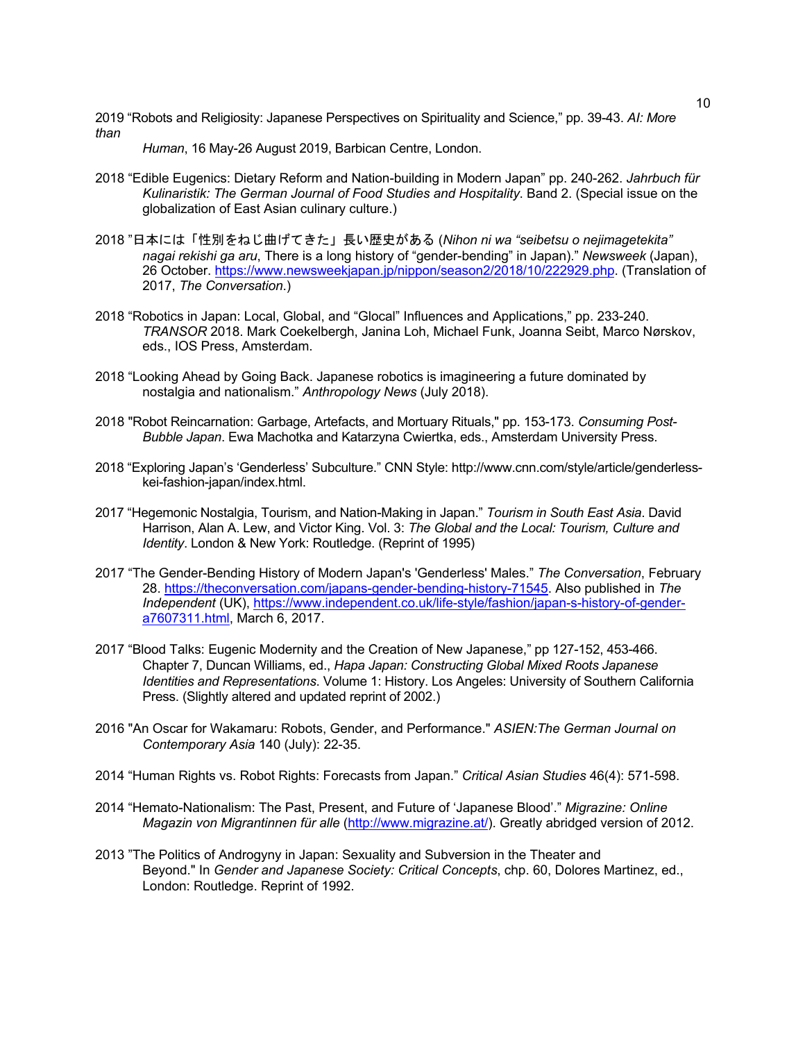2019 "Robots and Religiosity: Japanese Perspectives on Spirituality and Science," pp. 39-43. *AI: More than*

*Human*, 16 May-26 August 2019, Barbican Centre, London.

- 2018 "Edible Eugenics: Dietary Reform and Nation-building in Modern Japan" pp. 240-262. *Jahrbuch für Kulinaristik: The German Journal of Food Studies and Hospitality*. Band 2. (Special issue on the globalization of East Asian culinary culture.)
- 2018 "日本には「性別をねじ曲げてきた」長い歴史がある (*Nihon ni wa "seibetsu o nejimagetekita" nagai rekishi ga aru*, There is a long history of "gender-bending" in Japan)." *Newsweek* (Japan), 26 October. https://www.newsweekjapan.jp/nippon/season2/2018/10/222929.php. (Translation of 2017, *The Conversation*.)
- 2018 "Robotics in Japan: Local, Global, and "Glocal" Influences and Applications," pp. 233-240. *TRANSOR* 2018. Mark Coekelbergh, Janina Loh, Michael Funk, Joanna Seibt, Marco Nørskov, eds., IOS Press, Amsterdam.
- 2018 "Looking Ahead by Going Back. Japanese robotics is imagineering a future dominated by nostalgia and nationalism." *Anthropology News* (July 2018).
- 2018 "Robot Reincarnation: Garbage, Artefacts, and Mortuary Rituals," pp. 153-173. *Consuming Post-Bubble Japan*. Ewa Machotka and Katarzyna Cwiertka, eds., Amsterdam University Press.
- 2018 "Exploring Japan's 'Genderless' Subculture." CNN Style: http://www.cnn.com/style/article/genderlesskei-fashion-japan/index.html.
- 2017 "Hegemonic Nostalgia, Tourism, and Nation-Making in Japan." *Tourism in South East Asia*. David Harrison, Alan A. Lew, and Victor King. Vol. 3: *The Global and the Local: Tourism, Culture and Identity*. London & New York: Routledge. (Reprint of 1995)
- 2017 "The Gender-Bending History of Modern Japan's 'Genderless' Males." *The Conversation*, February 28. https://theconversation.com/japans-gender-bending-history-71545. Also published in *The Independent* (UK), https://www.independent.co.uk/life-style/fashion/japan-s-history-of-gendera7607311.html, March 6, 2017.
- 2017 "Blood Talks: Eugenic Modernity and the Creation of New Japanese," pp 127-152, 453-466. Chapter 7, Duncan Williams, ed., *Hapa Japan: Constructing Global Mixed Roots Japanese Identities and Representations*. Volume 1: History. Los Angeles: University of Southern California Press. (Slightly altered and updated reprint of 2002.)
- 2016 "An Oscar for Wakamaru: Robots, Gender, and Performance." *ASIEN:The German Journal on Contemporary Asia* 140 (July): 22-35.
- 2014 "Human Rights vs. Robot Rights: Forecasts from Japan." *Critical Asian Studies* 46(4): 571-598.
- 2014 "Hemato-Nationalism: The Past, Present, and Future of 'Japanese Blood'." *Migrazine: Online Magazin von Migrantinnen für alle* (http://www.migrazine.at/). Greatly abridged version of 2012.
- 2013 "The Politics of Androgyny in Japan: Sexuality and Subversion in the Theater and Beyond." In *Gender and Japanese Society: Critical Concepts*, chp. 60, Dolores Martinez, ed., London: Routledge. Reprint of 1992.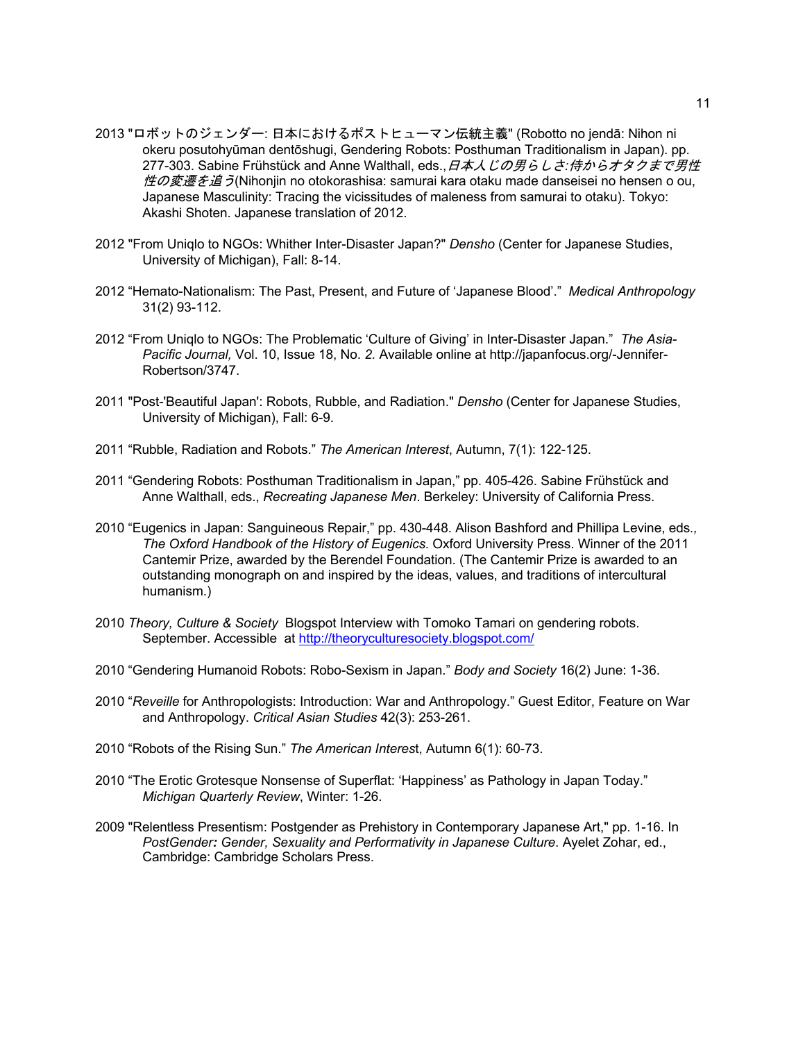- 2013 "ロボットのジェンダー: 日本におけるポストヒューマン伝統主義" (Robotto no jendā: Nihon ni okeru posutohyūman dentōshugi, Gendering Robots: Posthuman Traditionalism in Japan). pp. 277-303. Sabine Frühstück and Anne Walthall, eds.,日本人じの男らしさ*:*侍からオタクまで男性 *性の変遷を追う*(Nihonjin no otokorashisa: samurai kara otaku made danseisei no hensen o ou, Japanese Masculinity: Tracing the vicissitudes of maleness from samurai to otaku). Tokyo: Akashi Shoten. Japanese translation of 2012.
- 2012 "From Uniqlo to NGOs: Whither Inter-Disaster Japan?" *Densho* (Center for Japanese Studies, University of Michigan), Fall: 8-14.
- 2012 "Hemato-Nationalism: The Past, Present, and Future of 'Japanese Blood'." *Medical Anthropology* 31(2) 93-112.
- 2012 "From Uniqlo to NGOs: The Problematic 'Culture of Giving' in Inter-Disaster Japan." *The Asia-Pacific Journal,* Vol. 10, Issue 18, No. *2.* Available online at http://japanfocus.org/-Jennifer-Robertson/3747.
- 2011 "Post-'Beautiful Japan': Robots, Rubble, and Radiation." *Densho* (Center for Japanese Studies, University of Michigan), Fall: 6-9.
- 2011 "Rubble, Radiation and Robots." *The American Interest*, Autumn, 7(1): 122-125.
- 2011 "Gendering Robots: Posthuman Traditionalism in Japan," pp. 405-426. Sabine Frühstück and Anne Walthall, eds., *Recreating Japanese Men*. Berkeley: University of California Press.
- 2010 "Eugenics in Japan: Sanguineous Repair," pp. 430-448. Alison Bashford and Phillipa Levine, eds*., The Oxford Handbook of the History of Eugenics*. Oxford University Press. Winner of the 2011 Cantemir Prize, awarded by the Berendel Foundation. (The Cantemir Prize is awarded to an outstanding monograph on and inspired by the ideas, values, and traditions of intercultural humanism.)
- 2010 *Theory, Culture & Society* Blogspot Interview with Tomoko Tamari on gendering robots. September. Accessible at http://theoryculturesociety.blogspot.com/
- 2010 "Gendering Humanoid Robots: Robo-Sexism in Japan." *Body and Society* 16(2) June: 1-36.
- 2010 "*Reveille* for Anthropologists: Introduction: War and Anthropology." Guest Editor, Feature on War and Anthropology. *Critical Asian Studies* 42(3): 253-261.
- 2010 "Robots of the Rising Sun." *The American Interes*t, Autumn 6(1): 60-73.
- 2010 "The Erotic Grotesque Nonsense of Superflat: 'Happiness' as Pathology in Japan Today." *Michigan Quarterly Review*, Winter: 1-26.
- 2009 "Relentless Presentism: Postgender as Prehistory in Contemporary Japanese Art," pp. 1-16. In *PostGender: Gender, Sexuality and Performativity in Japanese Culture*. Ayelet Zohar, ed., Cambridge: Cambridge Scholars Press.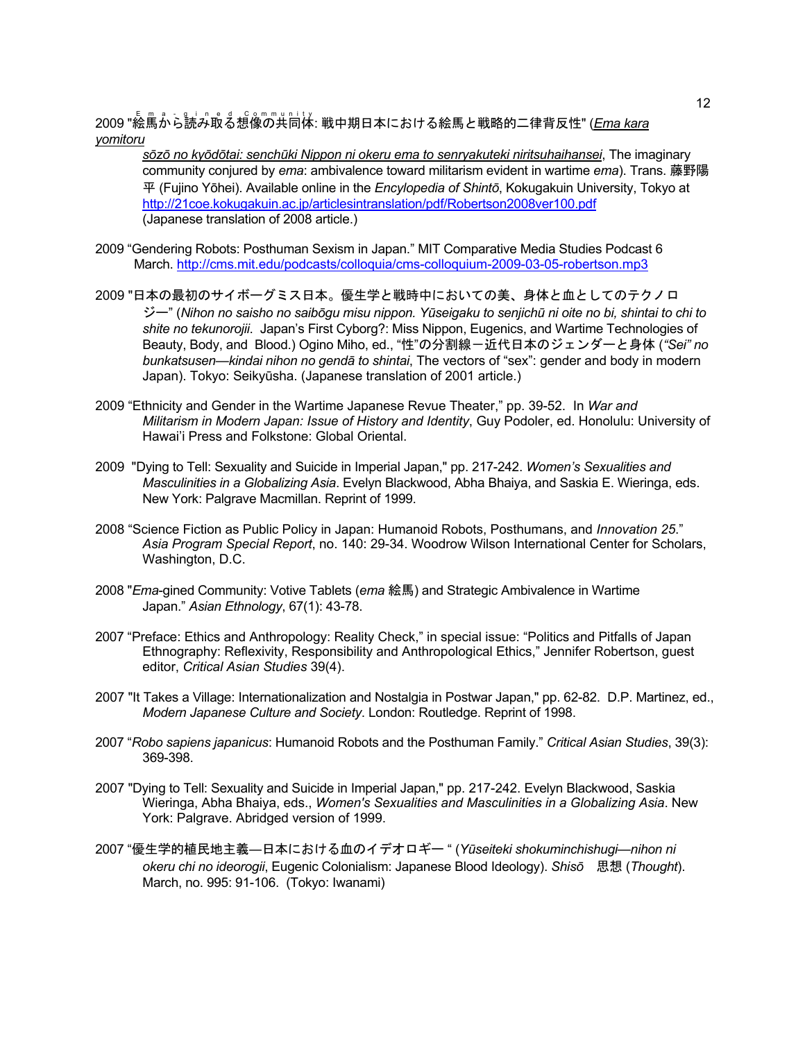.<br>2009 "絵馬から読み取る想像の共同体: 戦中期日本における絵馬と戦略的二律背反性" (<u>Ema kara</u> *yomitoru*

*sōzō no kyōdōtai: senchūki Nippon ni okeru ema to senryakuteki niritsuhaihansei*, The imaginary community conjured by *ema*: ambivalence toward militarism evident in wartime *ema*). Trans. 藤野陽 平 (Fujino Yōhei). Available online in the *Encylopedia of Shintō*, Kokugakuin University, Tokyo at http://21coe.kokugakuin.ac.jp/articlesintranslation/pdf/Robertson2008ver100.pdf (Japanese translation of 2008 article.)

- 2009 "Gendering Robots: Posthuman Sexism in Japan." MIT Comparative Media Studies Podcast 6 March. http://cms.mit.edu/podcasts/colloquia/cms-colloquium-2009-03-05-robertson.mp3
- 2009 "日本の最初のサイボーグミス日本。優生学と戦時中においての美、身体と血としてのテクノロ ジー" (*Nihon no saisho no saibōgu misu nippon. Yūseigaku to senjichū ni oite no bi, shintai to chi to shite no tekunorojii*. Japan's First Cyborg?: Miss Nippon, Eugenics, and Wartime Technologies of Beauty, Body, and Blood.) Ogino Miho, ed., "性"の分割線-近代日本のジェンダーと身体 (*"Sei" no bunkatsusen—kindai nihon no gendā to shintai*, The vectors of "sex": gender and body in modern Japan). Tokyo: Seikyūsha. (Japanese translation of 2001 article.)
- 2009 "Ethnicity and Gender in the Wartime Japanese Revue Theater," pp. 39-52. In *War and Militarism in Modern Japan: Issue of History and Identity*, Guy Podoler, ed. Honolulu: University of Hawai'i Press and Folkstone: Global Oriental.
- 2009 "Dying to Tell: Sexuality and Suicide in Imperial Japan," pp. 217-242. *Women's Sexualities and Masculinities in a Globalizing Asia*. Evelyn Blackwood, Abha Bhaiya, and Saskia E. Wieringa, eds. New York: Palgrave Macmillan. Reprint of 1999.
- 2008 "Science Fiction as Public Policy in Japan: Humanoid Robots, Posthumans, and *Innovation 25*." *Asia Program Special Report*, no. 140: 29-34. Woodrow Wilson International Center for Scholars, Washington, D.C.
- 2008 "*Ema*-gined Community: Votive Tablets (*ema* 絵馬) and Strategic Ambivalence in Wartime Japan." *Asian Ethnology*, 67(1): 43-78.
- 2007 "Preface: Ethics and Anthropology: Reality Check," in special issue: "Politics and Pitfalls of Japan Ethnography: Reflexivity, Responsibility and Anthropological Ethics," Jennifer Robertson, guest editor, *Critical Asian Studies* 39(4).
- 2007 "It Takes a Village: Internationalization and Nostalgia in Postwar Japan," pp. 62-82. D.P. Martinez, ed., *Modern Japanese Culture and Society*. London: Routledge. Reprint of 1998.
- 2007 "*Robo sapiens japanicus*: Humanoid Robots and the Posthuman Family." *Critical Asian Studies*, 39(3): 369-398.
- 2007 "Dying to Tell: Sexuality and Suicide in Imperial Japan," pp. 217-242. Evelyn Blackwood, Saskia Wieringa, Abha Bhaiya, eds., *Women's Sexualities and Masculinities in a Globalizing Asia*. New York: Palgrave. Abridged version of 1999.
- 2007 "優生学的植民地主義―日本における血のイデオロギー " (*Yūseiteki shokuminchishugi—nihon ni okeru chi no ideorogii*, Eugenic Colonialism: Japanese Blood Ideology). *Shisō* 思想 (*Thought*). March, no. 995: 91-106. (Tokyo: Iwanami)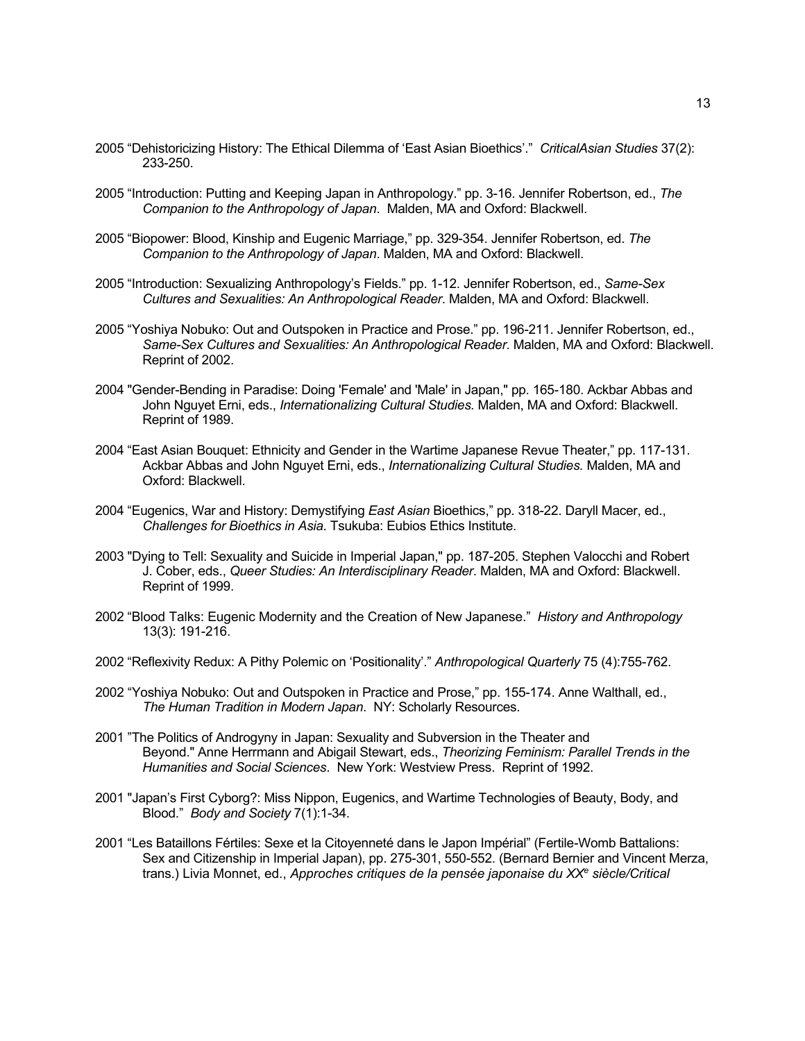- 2005 "Dehistoricizing History: The Ethical Dilemma of 'East Asian Bioethics'." *CriticalAsian Studies* 37(2): 233-250.
- 2005 "Introduction: Putting and Keeping Japan in Anthropology." pp. 3-16. Jennifer Robertson, ed., *The Companion to the Anthropology of Japan*. Malden, MA and Oxford: Blackwell.
- 2005 "Biopower: Blood, Kinship and Eugenic Marriage," pp. 329-354. Jennifer Robertson, ed. *The Companion to the Anthropology of Japan*. Malden, MA and Oxford: Blackwell.
- 2005 "Introduction: Sexualizing Anthropology's Fields." pp. 1-12. Jennifer Robertson, ed., *Same-Sex Cultures and Sexualities: An Anthropological Reader*. Malden, MA and Oxford: Blackwell.
- 2005 "Yoshiya Nobuko: Out and Outspoken in Practice and Prose." pp. 196-211. Jennifer Robertson, ed., *Same-Sex Cultures and Sexualities: An Anthropological Reader*. Malden, MA and Oxford: Blackwell. Reprint of 2002.
- 2004 "Gender-Bending in Paradise: Doing 'Female' and 'Male' in Japan," pp. 165-180. Ackbar Abbas and John Nguyet Erni, eds., *Internationalizing Cultural Studies.* Malden, MA and Oxford: Blackwell. Reprint of 1989.
- 2004 "East Asian Bouquet: Ethnicity and Gender in the Wartime Japanese Revue Theater," pp. 117-131. Ackbar Abbas and John Nguyet Erni, eds., *Internationalizing Cultural Studies.* Malden, MA and Oxford: Blackwell.
- 2004 "Eugenics, War and History: Demystifying *East Asian* Bioethics," pp. 318-22. Daryll Macer, ed., *Challenges for Bioethics in Asia*. Tsukuba: Eubios Ethics Institute.
- 2003 "Dying to Tell: Sexuality and Suicide in Imperial Japan," pp. 187-205. Stephen Valocchi and Robert J. Cober, eds., *Queer Studies: An Interdisciplinary Reader*. Malden, MA and Oxford: Blackwell. Reprint of 1999.
- 2002 "Blood Talks: Eugenic Modernity and the Creation of New Japanese." *History and Anthropology* 13(3): 191-216.
- 2002 "Reflexivity Redux: A Pithy Polemic on 'Positionality'." *Anthropological Quarterly* 75 (4):755-762.
- 2002 "Yoshiya Nobuko: Out and Outspoken in Practice and Prose," pp. 155-174. Anne Walthall, ed., *The Human Tradition in Modern Japan*. NY: Scholarly Resources.
- 2001 "The Politics of Androgyny in Japan: Sexuality and Subversion in the Theater and Beyond." Anne Herrmann and Abigail Stewart, eds., *Theorizing Feminism: Parallel Trends in the Humanities and Social Sciences*. New York: Westview Press. Reprint of 1992.
- 2001 "Japan's First Cyborg?: Miss Nippon, Eugenics, and Wartime Technologies of Beauty, Body, and Blood." *Body and Society* 7(1):1-34.
- 2001 "Les Bataillons Fértiles: Sexe et la Citoyenneté dans le Japon Impérial" (Fertile-Womb Battalions: Sex and Citizenship in Imperial Japan), pp. 275-301, 550-552. (Bernard Bernier and Vincent Merza, trans.) Livia Monnet, ed., *Approches critiques de la pensée japonaise du XXe siècle/Critical*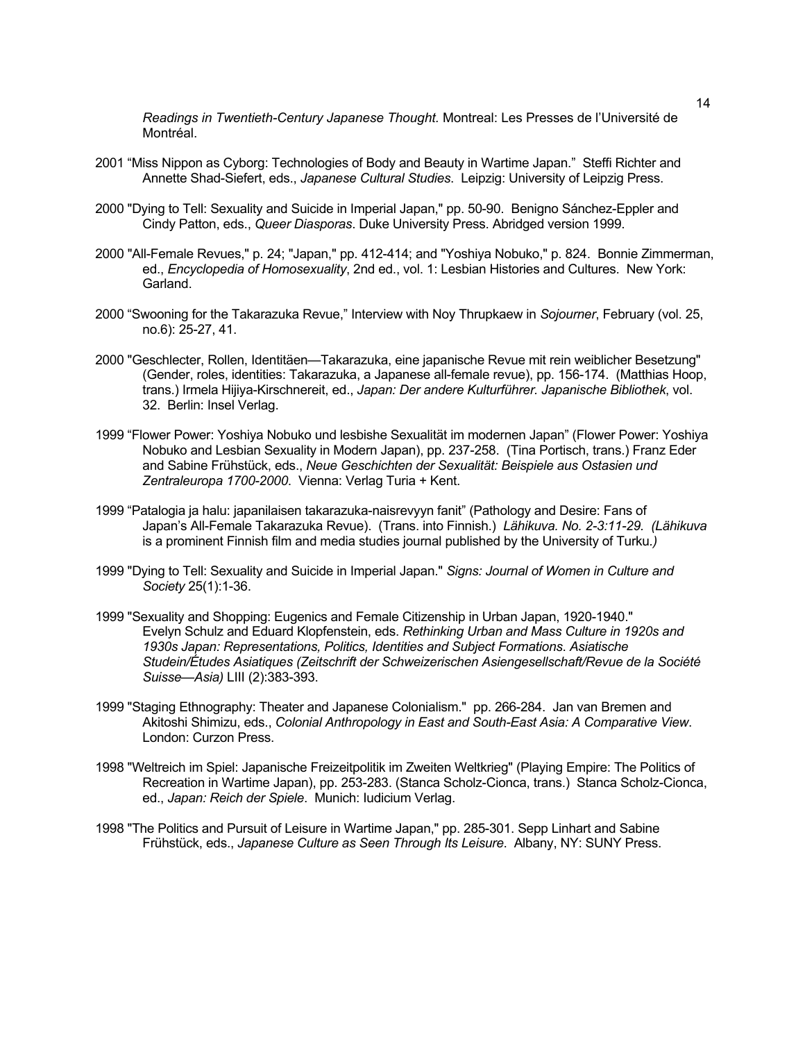*Readings in Twentieth-Century Japanese Thought.* Montreal: Les Presses de l'Université de Montréal.

- 2001 "Miss Nippon as Cyborg: Technologies of Body and Beauty in Wartime Japan." Steffi Richter and Annette Shad-Siefert, eds., *Japanese Cultural Studies*. Leipzig: University of Leipzig Press.
- 2000 "Dying to Tell: Sexuality and Suicide in Imperial Japan," pp. 50-90. Benigno Sánchez-Eppler and Cindy Patton, eds., *Queer Diasporas*. Duke University Press. Abridged version 1999.
- 2000 "All-Female Revues," p. 24; "Japan," pp. 412-414; and "Yoshiya Nobuko," p. 824. Bonnie Zimmerman, ed., *Encyclopedia of Homosexuality*, 2nd ed., vol. 1: Lesbian Histories and Cultures. New York: Garland.
- 2000 "Swooning for the Takarazuka Revue," Interview with Noy Thrupkaew in *Sojourner*, February (vol. 25, no.6): 25-27, 41.
- 2000 "Geschlecter, Rollen, Identitäen—Takarazuka, eine japanische Revue mit rein weiblicher Besetzung" (Gender, roles, identities: Takarazuka, a Japanese all-female revue), pp. 156-174. (Matthias Hoop, trans.) Irmela Hijiya-Kirschnereit, ed., *Japan: Der andere Kulturführer. Japanische Bibliothek*, vol. 32. Berlin: Insel Verlag.
- 1999 "Flower Power: Yoshiya Nobuko und lesbishe Sexualität im modernen Japan" (Flower Power: Yoshiya Nobuko and Lesbian Sexuality in Modern Japan), pp. 237-258. (Tina Portisch, trans.) Franz Eder and Sabine Frühstück, eds., *Neue Geschichten der Sexualität: Beispiele aus Ostasien und Zentraleuropa 1700-2000*. Vienna: Verlag Turia + Kent.
- 1999 "Patalogia ja halu: japanilaisen takarazuka-naisrevyyn fanit" (Pathology and Desire: Fans of Japan's All-Female Takarazuka Revue). (Trans. into Finnish.) *Lähikuva. No. 2-3:11-29. (Lähikuva*  is a prominent Finnish film and media studies journal published by the University of Turku*.)*
- 1999 "Dying to Tell: Sexuality and Suicide in Imperial Japan." *Signs: Journal of Women in Culture and Society* 25(1):1-36.
- 1999 "Sexuality and Shopping: Eugenics and Female Citizenship in Urban Japan, 1920-1940." Evelyn Schulz and Eduard Klopfenstein, eds. *Rethinking Urban and Mass Culture in 1920s and 1930s Japan: Representations, Politics, Identities and Subject Formations*. *Asiatische Studein/Études Asiatiques (Zeitschrift der Schweizerischen Asiengesellschaft/Revue de la Société Suisse—Asia)* LIII (2):383-393.
- 1999 "Staging Ethnography: Theater and Japanese Colonialism." pp. 266-284. Jan van Bremen and Akitoshi Shimizu, eds., *Colonial Anthropology in East and South-East Asia: A Comparative View*. London: Curzon Press.
- 1998 "Weltreich im Spiel: Japanische Freizeitpolitik im Zweiten Weltkrieg" (Playing Empire: The Politics of Recreation in Wartime Japan), pp. 253-283. (Stanca Scholz-Cionca, trans.) Stanca Scholz-Cionca, ed., *Japan: Reich der Spiele*. Munich: Iudicium Verlag.
- 1998 "The Politics and Pursuit of Leisure in Wartime Japan," pp. 285-301. Sepp Linhart and Sabine Frühstück, eds., *Japanese Culture as Seen Through Its Leisure*. Albany, NY: SUNY Press.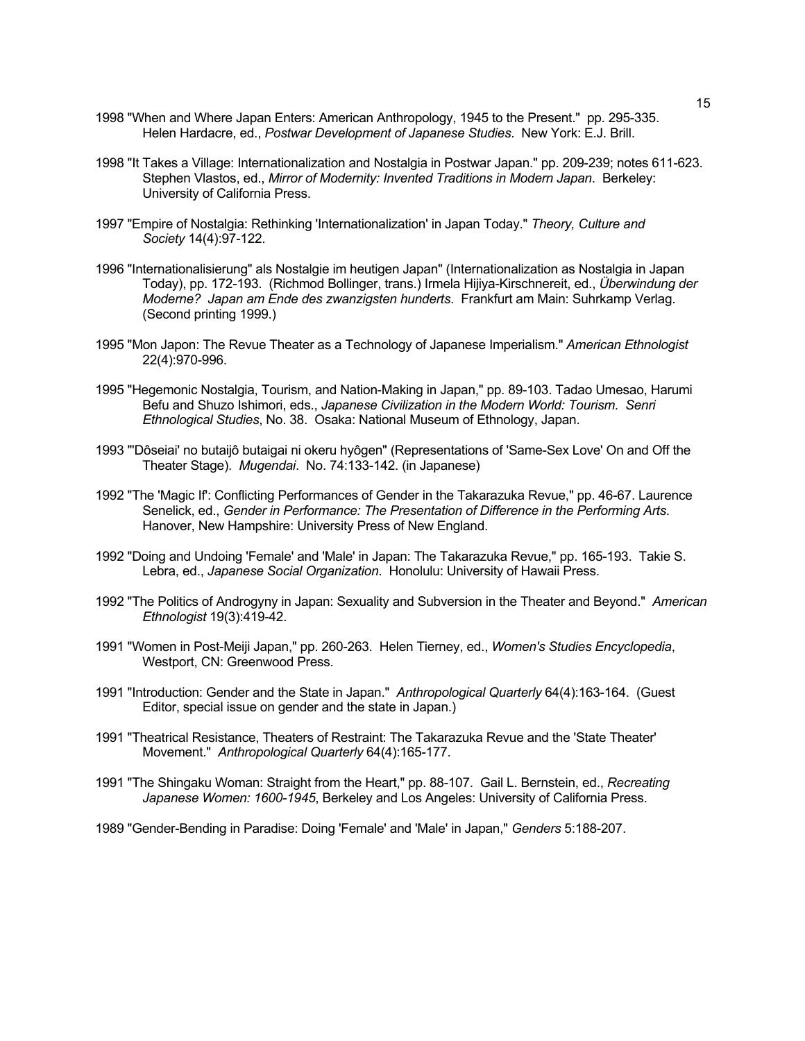- 1998 "When and Where Japan Enters: American Anthropology, 1945 to the Present." pp. 295-335. Helen Hardacre, ed., *Postwar Development of Japanese Studies*. New York: E.J. Brill.
- 1998 "It Takes a Village: Internationalization and Nostalgia in Postwar Japan." pp. 209-239; notes 611-623. Stephen Vlastos, ed., *Mirror of Modernity: Invented Traditions in Modern Japan*. Berkeley: University of California Press.
- 1997 "Empire of Nostalgia: Rethinking 'Internationalization' in Japan Today." *Theory, Culture and Society* 14(4):97-122.
- 1996 "Internationalisierung" als Nostalgie im heutigen Japan" (Internationalization as Nostalgia in Japan Today), pp. 172-193. (Richmod Bollinger, trans.) Irmela Hijiya-Kirschnereit, ed., *Überwindung der Moderne? Japan am Ende des zwanzigsten hunderts*. Frankfurt am Main: Suhrkamp Verlag. (Second printing 1999.)
- 1995 "Mon Japon: The Revue Theater as a Technology of Japanese Imperialism." *American Ethnologist* 22(4):970-996.
- 1995 "Hegemonic Nostalgia, Tourism, and Nation-Making in Japan," pp. 89-103. Tadao Umesao, Harumi Befu and Shuzo Ishimori, eds., *Japanese Civilization in the Modern World: Tourism*. *Senri Ethnological Studies*, No. 38. Osaka: National Museum of Ethnology, Japan.
- 1993 "'Dôseiai' no butaijô butaigai ni okeru hyôgen" (Representations of 'Same-Sex Love' On and Off the Theater Stage). *Mugendai*. No. 74:133-142. (in Japanese)
- 1992 "The 'Magic If': Conflicting Performances of Gender in the Takarazuka Revue," pp. 46-67. Laurence Senelick, ed., *Gender in Performance: The Presentation of Difference in the Performing Arts*. Hanover, New Hampshire: University Press of New England.
- 1992 "Doing and Undoing 'Female' and 'Male' in Japan: The Takarazuka Revue," pp. 165-193. Takie S. Lebra, ed., *Japanese Social Organization*. Honolulu: University of Hawaii Press.
- 1992 "The Politics of Androgyny in Japan: Sexuality and Subversion in the Theater and Beyond." *American Ethnologist* 19(3):419-42.
- 1991 "Women in Post-Meiji Japan," pp. 260-263. Helen Tierney, ed., *Women's Studies Encyclopedia*, Westport, CN: Greenwood Press.
- 1991 "Introduction: Gender and the State in Japan." *Anthropological Quarterly* 64(4):163-164. (Guest Editor, special issue on gender and the state in Japan.)
- 1991 "Theatrical Resistance, Theaters of Restraint: The Takarazuka Revue and the 'State Theater' Movement." *Anthropological Quarterly* 64(4):165-177.
- 1991 "The Shingaku Woman: Straight from the Heart," pp. 88-107. Gail L. Bernstein, ed., *Recreating Japanese Women: 1600-1945*, Berkeley and Los Angeles: University of California Press.
- 1989 "Gender-Bending in Paradise: Doing 'Female' and 'Male' in Japan," *Genders* 5:188-207.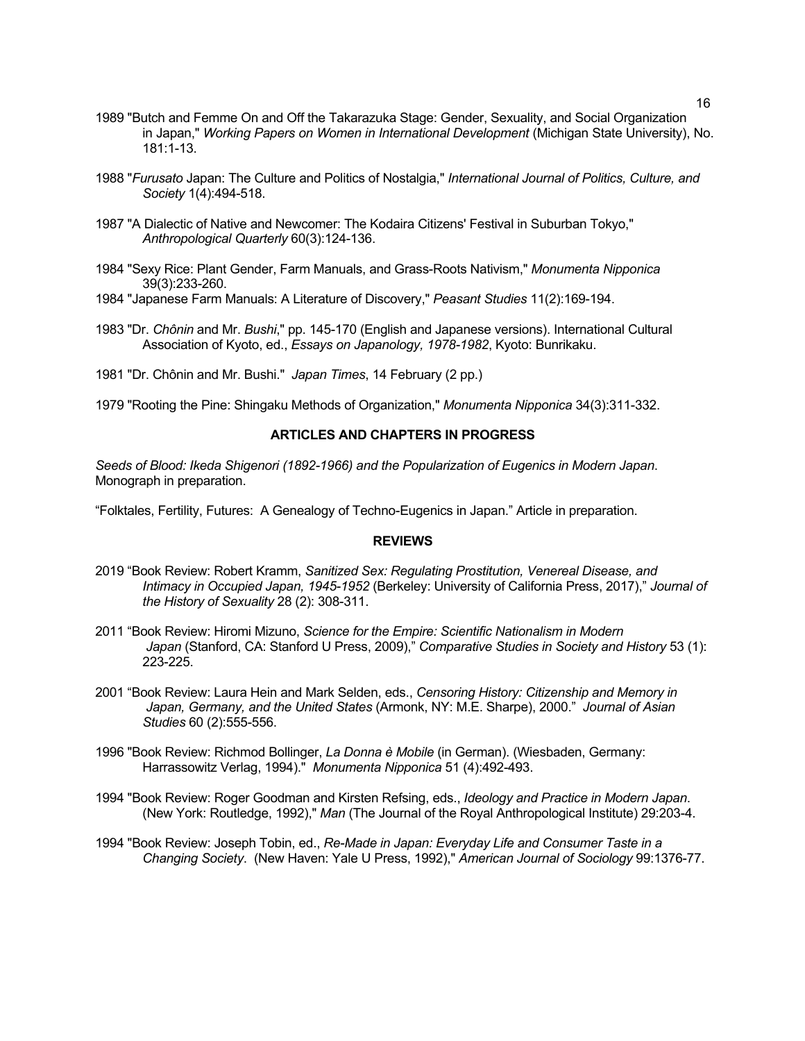- 1989 "Butch and Femme On and Off the Takarazuka Stage: Gender, Sexuality, and Social Organization in Japan," *Working Papers on Women in International Development* (Michigan State University), No. 181:1-13.
- 1988 "*Furusato* Japan: The Culture and Politics of Nostalgia," *International Journal of Politics, Culture, and Society* 1(4):494-518.
- 1987 "A Dialectic of Native and Newcomer: The Kodaira Citizens' Festival in Suburban Tokyo," *Anthropological Quarterly* 60(3):124-136.
- 1984 "Sexy Rice: Plant Gender, Farm Manuals, and Grass-Roots Nativism," *Monumenta Nipponica* 39(3):233-260.
- 1984 "Japanese Farm Manuals: A Literature of Discovery," *Peasant Studies* 11(2):169-194.
- 1983 "Dr. *Chônin* and Mr. *Bushi*," pp. 145-170 (English and Japanese versions). International Cultural Association of Kyoto, ed., *Essays on Japanology, 1978-1982*, Kyoto: Bunrikaku.
- 1981 "Dr. Chônin and Mr. Bushi." *Japan Times*, 14 February (2 pp.)

1979 "Rooting the Pine: Shingaku Methods of Organization," *Monumenta Nipponica* 34(3):311-332.

# **ARTICLES AND CHAPTERS IN PROGRESS**

*Seeds of Blood: Ikeda Shigenori (1892-1966) and the Popularization of Eugenics in Modern Japan*. Monograph in preparation.

"Folktales, Fertility, Futures: A Genealogy of Techno-Eugenics in Japan." Article in preparation.

### **REVIEWS**

- 2019 "Book Review: Robert Kramm, *Sanitized Sex: Regulating Prostitution, Venereal Disease, and Intimacy in Occupied Japan, 1945-1952* (Berkeley: University of California Press, 2017)," *Journal of the History of Sexuality* 28 (2): 308-311.
- 2011 "Book Review: Hiromi Mizuno, *Science for the Empire: Scientific Nationalism in Modern Japan* (Stanford, CA: Stanford U Press, 2009)," *Comparative Studies in Society and History* 53 (1): 223-225.
- 2001 "Book Review: Laura Hein and Mark Selden, eds., *Censoring History: Citizenship and Memory in Japan, Germany, and the United States* (Armonk, NY: M.E. Sharpe), 2000." *Journal of Asian Studies* 60 (2):555-556.
- 1996 "Book Review: Richmod Bollinger, *La Donna è Mobile* (in German). (Wiesbaden, Germany: Harrassowitz Verlag, 1994)." *Monumenta Nipponica* 51 (4):492-493.
- 1994 "Book Review: Roger Goodman and Kirsten Refsing, eds., *Ideology and Practice in Modern Japan*. (New York: Routledge, 1992)," *Man* (The Journal of the Royal Anthropological Institute) 29:203-4.
- 1994 "Book Review: Joseph Tobin, ed., *Re-Made in Japan: Everyday Life and Consumer Taste in a Changing Society*. (New Haven: Yale U Press, 1992)," *American Journal of Sociology* 99:1376-77.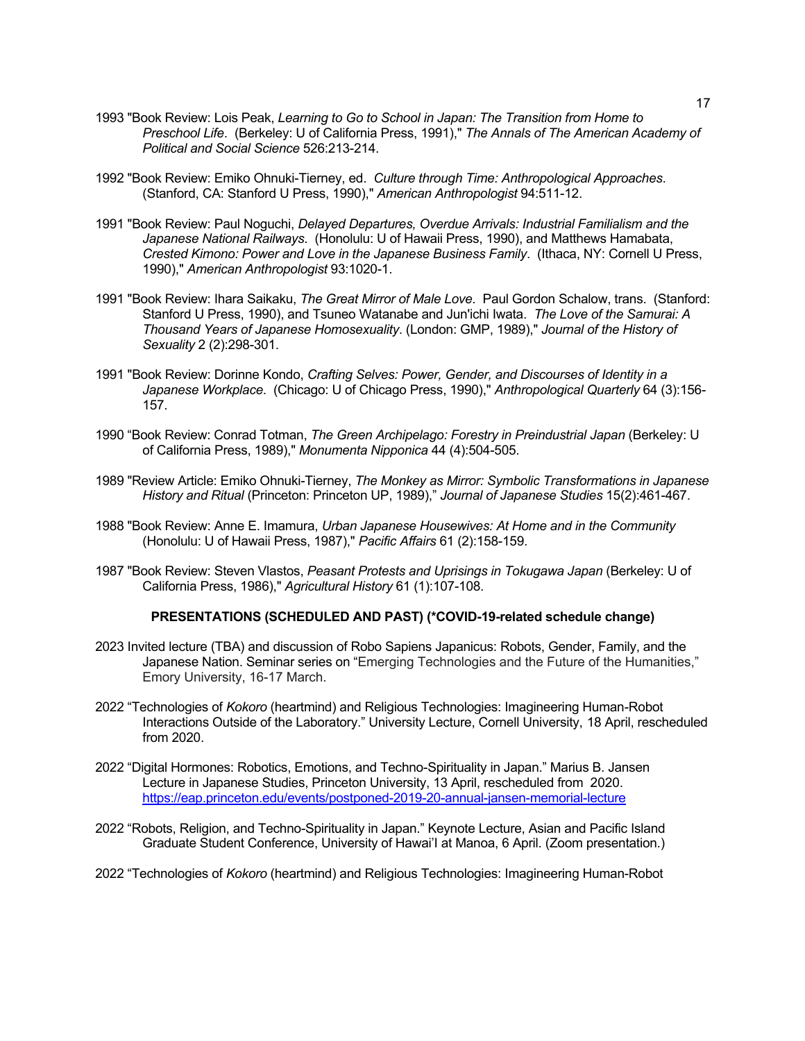- 1993 "Book Review: Lois Peak, *Learning to Go to School in Japan: The Transition from Home to Preschool Life*. (Berkeley: U of California Press, 1991)," *The Annals of The American Academy of Political and Social Science* 526:213-214.
- 1992 "Book Review: Emiko Ohnuki-Tierney, ed. *Culture through Time: Anthropological Approaches*. (Stanford, CA: Stanford U Press, 1990)," *American Anthropologist* 94:511-12.
- 1991 "Book Review: Paul Noguchi, *Delayed Departures, Overdue Arrivals: Industrial Familialism and the Japanese National Railways*. (Honolulu: U of Hawaii Press, 1990), and Matthews Hamabata, *Crested Kimono: Power and Love in the Japanese Business Family*. (Ithaca, NY: Cornell U Press, 1990)," *American Anthropologist* 93:1020-1.
- 1991 "Book Review: Ihara Saikaku, *The Great Mirror of Male Love*. Paul Gordon Schalow, trans. (Stanford: Stanford U Press, 1990), and Tsuneo Watanabe and Jun'ichi Iwata. *The Love of the Samurai: A Thousand Years of Japanese Homosexuality*. (London: GMP, 1989)," *Journal of the History of Sexuality* 2 (2):298-301.
- 1991 "Book Review: Dorinne Kondo, *Crafting Selves: Power, Gender, and Discourses of Identity in a Japanese Workplace*. (Chicago: U of Chicago Press, 1990)," *Anthropological Quarterly* 64 (3):156- 157.
- 1990 "Book Review: Conrad Totman, *The Green Archipelago: Forestry in Preindustrial Japan* (Berkeley: U of California Press, 1989)," *Monumenta Nipponica* 44 (4):504-505.
- 1989 "Review Article: Emiko Ohnuki-Tierney, *The Monkey as Mirror: Symbolic Transformations in Japanese History and Ritual* (Princeton: Princeton UP, 1989)," *Journal of Japanese Studies* 15(2):461-467.
- 1988 "Book Review: Anne E. Imamura, *Urban Japanese Housewives: At Home and in the Community* (Honolulu: U of Hawaii Press, 1987)," *Pacific Affairs* 61 (2):158-159.
- 1987 "Book Review: Steven Vlastos, *Peasant Protests and Uprisings in Tokugawa Japan* (Berkeley: U of California Press, 1986)," *Agricultural History* 61 (1):107-108.

#### **PRESENTATIONS (SCHEDULED AND PAST) (\*COVID-19-related schedule change)**

- 2023 Invited lecture (TBA) and discussion of Robo Sapiens Japanicus: Robots, Gender, Family, and the Japanese Nation. Seminar series on "Emerging Technologies and the Future of the Humanities," Emory University, 16-17 March.
- 2022 "Technologies of *Kokoro* (heartmind) and Religious Technologies: Imagineering Human-Robot Interactions Outside of the Laboratory." University Lecture, Cornell University, 18 April, rescheduled from 2020.
- 2022 "Digital Hormones: Robotics, Emotions, and Techno-Spirituality in Japan." Marius B. Jansen Lecture in Japanese Studies, Princeton University, 13 April, rescheduled from 2020. https://eap.princeton.edu/events/postponed-2019-20-annual-jansen-memorial-lecture
- 2022 "Robots, Religion, and Techno-Spirituality in Japan." Keynote Lecture, Asian and Pacific Island Graduate Student Conference, University of Hawai'I at Manoa, 6 April. (Zoom presentation.)
- 2022 "Technologies of *Kokoro* (heartmind) and Religious Technologies: Imagineering Human-Robot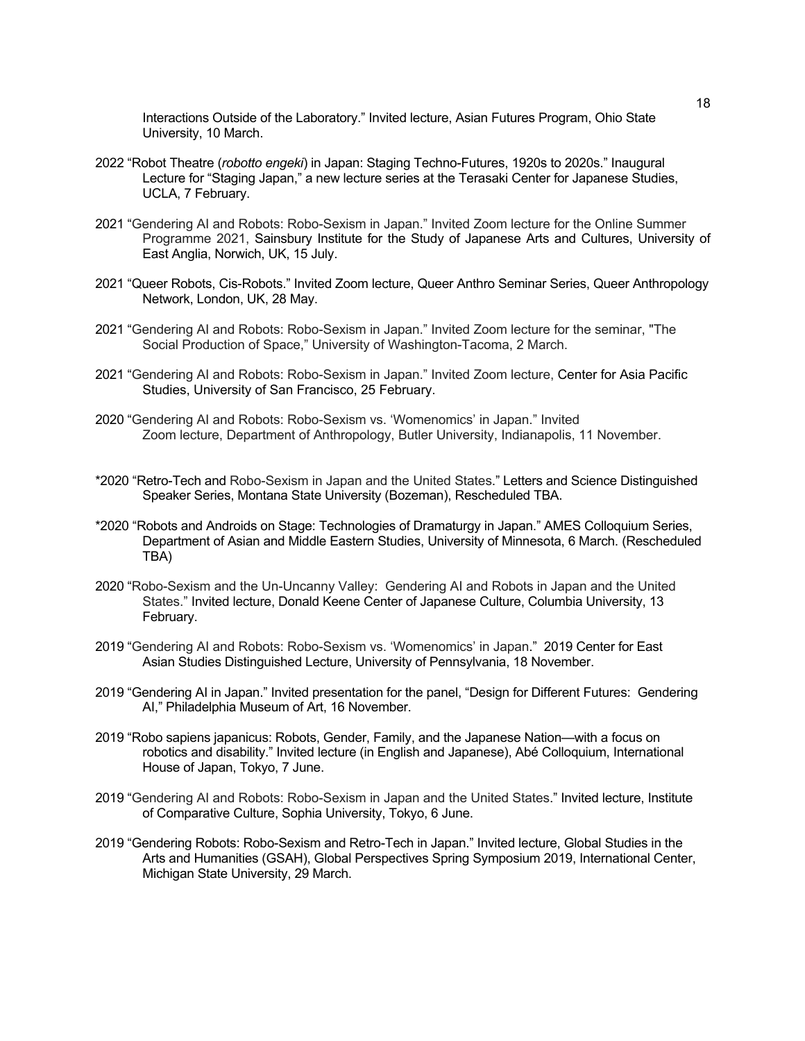Interactions Outside of the Laboratory." Invited lecture, Asian Futures Program, Ohio State University, 10 March.

- 2022 "Robot Theatre (*robotto engeki*) in Japan: Staging Techno-Futures, 1920s to 2020s." Inaugural Lecture for "Staging Japan," a new lecture series at the Terasaki Center for Japanese Studies, UCLA, 7 February.
- 2021 "Gendering AI and Robots: Robo-Sexism in Japan." Invited Zoom lecture for the Online Summer Programme 2021, Sainsbury Institute for the Study of Japanese Arts and Cultures, University of East Anglia, Norwich, UK, 15 July.
- 2021 "Queer Robots, Cis-Robots." Invited Zoom lecture, Queer Anthro Seminar Series, Queer Anthropology Network, London, UK, 28 May.
- 2021 "Gendering AI and Robots: Robo-Sexism in Japan." Invited Zoom lecture for the seminar, "The Social Production of Space," University of Washington-Tacoma, 2 March.
- 2021 "Gendering AI and Robots: Robo-Sexism in Japan." Invited Zoom lecture, Center for Asia Pacific Studies, University of San Francisco, 25 February.
- 2020 "Gendering AI and Robots: Robo-Sexism vs. 'Womenomics' in Japan." Invited Zoom lecture, Department of Anthropology, Butler University, Indianapolis, 11 November.
- \*2020 "Retro-Tech and Robo-Sexism in Japan and the United States." Letters and Science Distinguished Speaker Series, Montana State University (Bozeman), Rescheduled TBA.
- \*2020 "Robots and Androids on Stage: Technologies of Dramaturgy in Japan." AMES Colloquium Series, Department of Asian and Middle Eastern Studies, University of Minnesota, 6 March. (Rescheduled TBA)
- 2020 "Robo-Sexism and the Un-Uncanny Valley: Gendering AI and Robots in Japan and the United States." Invited lecture, Donald Keene Center of Japanese Culture, Columbia University, 13 February.
- 2019 "Gendering AI and Robots: Robo-Sexism vs. 'Womenomics' in Japan." 2019 Center for East Asian Studies Distinguished Lecture, University of Pennsylvania, 18 November.
- 2019 "Gendering AI in Japan." Invited presentation for the panel, "Design for Different Futures: Gendering AI," Philadelphia Museum of Art, 16 November.
- 2019 "Robo sapiens japanicus: Robots, Gender, Family, and the Japanese Nation—with a focus on robotics and disability." Invited lecture (in English and Japanese), Abé Colloquium, International House of Japan, Tokyo, 7 June.
- 2019 "Gendering AI and Robots: Robo-Sexism in Japan and the United States." Invited lecture, Institute of Comparative Culture, Sophia University, Tokyo, 6 June.
- 2019 "Gendering Robots: Robo-Sexism and Retro-Tech in Japan." Invited lecture, Global Studies in the Arts and Humanities (GSAH), Global Perspectives Spring Symposium 2019, International Center, Michigan State University, 29 March.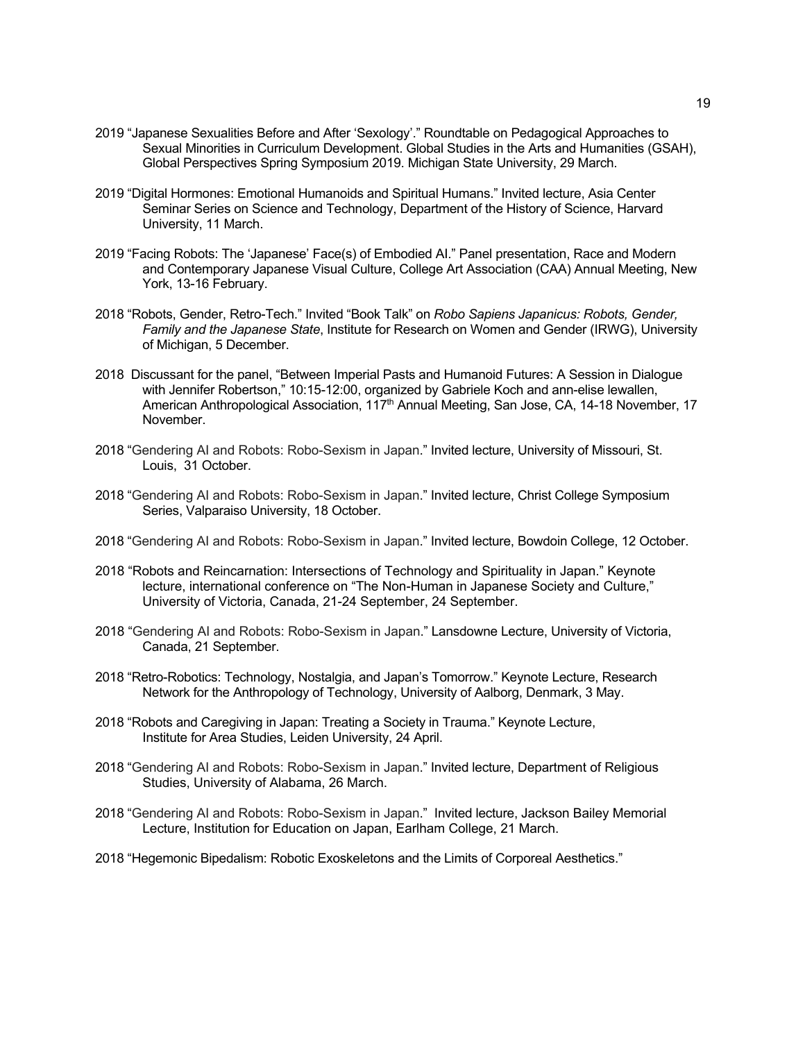- 2019 "Japanese Sexualities Before and After 'Sexology'." Roundtable on Pedagogical Approaches to Sexual Minorities in Curriculum Development. Global Studies in the Arts and Humanities (GSAH), Global Perspectives Spring Symposium 2019. Michigan State University, 29 March.
- 2019 "Digital Hormones: Emotional Humanoids and Spiritual Humans." Invited lecture, Asia Center Seminar Series on Science and Technology, Department of the History of Science, Harvard University, 11 March.
- 2019 "Facing Robots: The 'Japanese' Face(s) of Embodied AI." Panel presentation, Race and Modern and Contemporary Japanese Visual Culture, College Art Association (CAA) Annual Meeting, New York, 13-16 February.
- 2018 "Robots, Gender, Retro-Tech." Invited "Book Talk" on *Robo Sapiens Japanicus: Robots, Gender, Family and the Japanese State*, Institute for Research on Women and Gender (IRWG), University of Michigan, 5 December.
- 2018 Discussant for the panel, "Between Imperial Pasts and Humanoid Futures: A Session in Dialogue with Jennifer Robertson," 10:15-12:00, organized by Gabriele Koch and ann-elise lewallen, American Anthropological Association, 117<sup>th</sup> Annual Meeting, San Jose, CA, 14-18 November, 17 November.
- 2018 "Gendering AI and Robots: Robo-Sexism in Japan." Invited lecture, University of Missouri, St. Louis, 31 October.
- 2018 "Gendering AI and Robots: Robo-Sexism in Japan." Invited lecture, Christ College Symposium Series, Valparaiso University, 18 October.
- 2018 "Gendering AI and Robots: Robo-Sexism in Japan." Invited lecture, Bowdoin College, 12 October.
- 2018 "Robots and Reincarnation: Intersections of Technology and Spirituality in Japan." Keynote lecture, international conference on "The Non-Human in Japanese Society and Culture," University of Victoria, Canada, 21-24 September, 24 September.
- 2018 "Gendering AI and Robots: Robo-Sexism in Japan." Lansdowne Lecture, University of Victoria, Canada, 21 September.
- 2018 "Retro-Robotics: Technology, Nostalgia, and Japan's Tomorrow." Keynote Lecture, Research Network for the Anthropology of Technology, University of Aalborg, Denmark, 3 May.
- 2018 "Robots and Caregiving in Japan: Treating a Society in Trauma." Keynote Lecture, Institute for Area Studies, Leiden University, 24 April.
- 2018 "Gendering AI and Robots: Robo-Sexism in Japan." Invited lecture, Department of Religious Studies, University of Alabama, 26 March.
- 2018 "Gendering AI and Robots: Robo-Sexism in Japan." Invited lecture, Jackson Bailey Memorial Lecture, Institution for Education on Japan, Earlham College, 21 March.
- 2018 "Hegemonic Bipedalism: Robotic Exoskeletons and the Limits of Corporeal Aesthetics."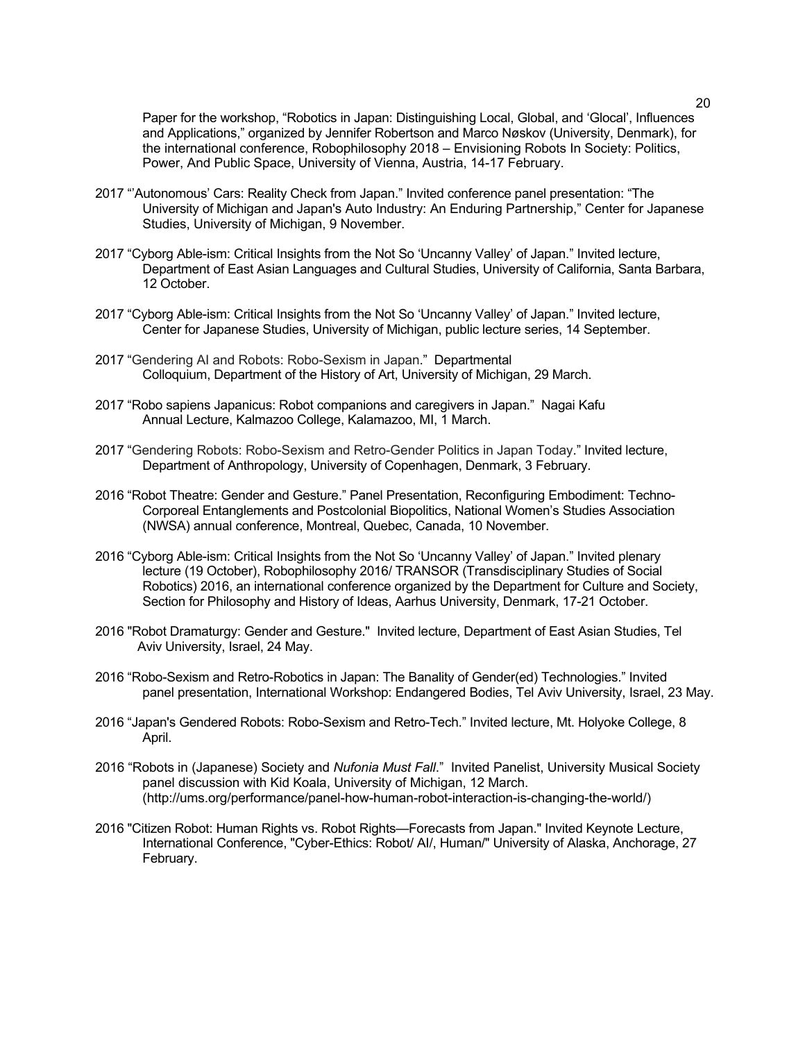Paper for the workshop, "Robotics in Japan: Distinguishing Local, Global, and 'Glocal', Influences and Applications," organized by Jennifer Robertson and Marco Nøskov (University, Denmark), for the international conference, Robophilosophy 2018 – Envisioning Robots In Society: Politics, Power, And Public Space, University of Vienna, Austria, 14-17 February.

- 2017 "'Autonomous' Cars: Reality Check from Japan." Invited conference panel presentation: "The University of Michigan and Japan's Auto Industry: An Enduring Partnership," Center for Japanese Studies, University of Michigan, 9 November.
- 2017 "Cyborg Able-ism: Critical Insights from the Not So 'Uncanny Valley' of Japan." Invited lecture, Department of East Asian Languages and Cultural Studies, University of California, Santa Barbara, 12 October.
- 2017 "Cyborg Able-ism: Critical Insights from the Not So 'Uncanny Valley' of Japan." Invited lecture, Center for Japanese Studies, University of Michigan, public lecture series, 14 September.
- 2017 "Gendering AI and Robots: Robo-Sexism in Japan." Departmental Colloquium, Department of the History of Art, University of Michigan, 29 March.
- 2017 "Robo sapiens Japanicus: Robot companions and caregivers in Japan." Nagai Kafu Annual Lecture, Kalmazoo College, Kalamazoo, MI, 1 March.
- 2017 "Gendering Robots: Robo-Sexism and Retro-Gender Politics in Japan Today." Invited lecture, Department of Anthropology, University of Copenhagen, Denmark, 3 February.
- 2016 "Robot Theatre: Gender and Gesture." Panel Presentation, Reconfiguring Embodiment: Techno-Corporeal Entanglements and Postcolonial Biopolitics, National Women's Studies Association (NWSA) annual conference, Montreal, Quebec, Canada, 10 November.
- 2016 "Cyborg Able-ism: Critical Insights from the Not So 'Uncanny Valley' of Japan." Invited plenary lecture (19 October), Robophilosophy 2016/ TRANSOR (Transdisciplinary Studies of Social Robotics) 2016, an international conference organized by the Department for Culture and Society, Section for Philosophy and History of Ideas, Aarhus University, Denmark, 17-21 October.
- 2016 "Robot Dramaturgy: Gender and Gesture." Invited lecture, Department of East Asian Studies, Tel Aviv University, Israel, 24 May.
- 2016 "Robo-Sexism and Retro-Robotics in Japan: The Banality of Gender(ed) Technologies." Invited panel presentation, International Workshop: Endangered Bodies, Tel Aviv University, Israel, 23 May.
- 2016 "Japan's Gendered Robots: Robo-Sexism and Retro-Tech." Invited lecture, Mt. Holyoke College, 8 April.
- 2016 "Robots in (Japanese) Society and *Nufonia Must Fall*." Invited Panelist, University Musical Society panel discussion with Kid Koala, University of Michigan, 12 March. (http://ums.org/performance/panel-how-human-robot-interaction-is-changing-the-world/)
- 2016 "Citizen Robot: Human Rights vs. Robot Rights—Forecasts from Japan." Invited Keynote Lecture, International Conference, "Cyber-Ethics: Robot/ AI/, Human/" University of Alaska, Anchorage, 27 February.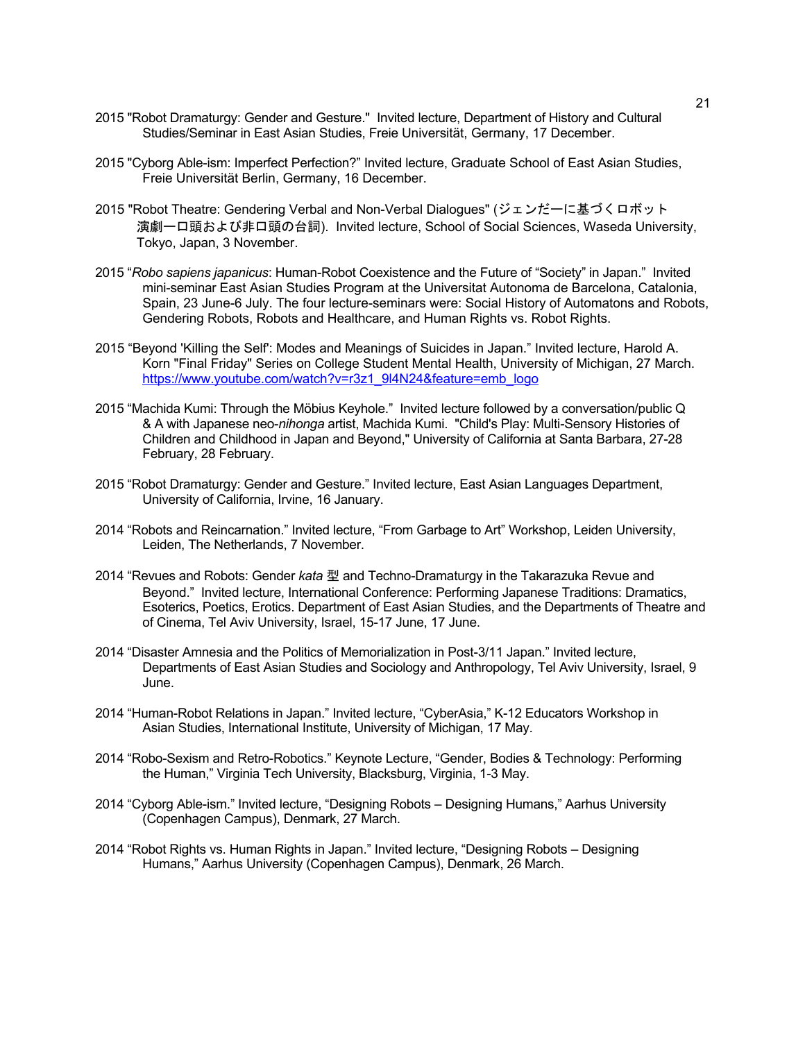- 2015 "Robot Dramaturgy: Gender and Gesture." Invited lecture, Department of History and Cultural Studies/Seminar in East Asian Studies, Freie Universität, Germany, 17 December.
- 2015 "Cyborg Able-ism: Imperfect Perfection?" Invited lecture, Graduate School of East Asian Studies, Freie Universität Berlin, Germany, 16 December.
- 2015 "Robot Theatre: Gendering Verbal and Non-Verbal Dialogues" (ジェンだーに基づくロボット 演劇ー口頭および非口頭の台詞). Invited lecture, School of Social Sciences, Waseda University, Tokyo, Japan, 3 November.
- 2015 "*Robo sapiens japanicus*: Human-Robot Coexistence and the Future of "Society" in Japan." Invited mini-seminar East Asian Studies Program at the Universitat Autonoma de Barcelona, Catalonia, Spain, 23 June-6 July. The four lecture-seminars were: Social History of Automatons and Robots, Gendering Robots, Robots and Healthcare, and Human Rights vs. Robot Rights.
- 2015 "Beyond 'Killing the Self': Modes and Meanings of Suicides in Japan." Invited lecture, Harold A. Korn "Final Friday" Series on College Student Mental Health, University of Michigan, 27 March. https://www.youtube.com/watch?v=r3z1\_9l4N24&feature=emb\_logo
- 2015 "Machida Kumi: Through the Möbius Keyhole." Invited lecture followed by a conversation/public Q & A with Japanese neo-*nihonga* artist, Machida Kumi. "Child's Play: Multi-Sensory Histories of Children and Childhood in Japan and Beyond," University of California at Santa Barbara, 27-28 February, 28 February.
- 2015 "Robot Dramaturgy: Gender and Gesture." Invited lecture, East Asian Languages Department, University of California, Irvine, 16 January.
- 2014 "Robots and Reincarnation." Invited lecture, "From Garbage to Art" Workshop, Leiden University, Leiden, The Netherlands, 7 November.
- 2014 "Revues and Robots: Gender *kata* 型 and Techno-Dramaturgy in the Takarazuka Revue and Beyond." Invited lecture, International Conference: Performing Japanese Traditions: Dramatics, Esoterics, Poetics, Erotics. Department of East Asian Studies, and the Departments of Theatre and of Cinema, Tel Aviv University, Israel, 15-17 June, 17 June.
- 2014 "Disaster Amnesia and the Politics of Memorialization in Post-3/11 Japan." Invited lecture, Departments of East Asian Studies and Sociology and Anthropology, Tel Aviv University, Israel, 9 June.
- 2014 "Human-Robot Relations in Japan." Invited lecture, "CyberAsia," K-12 Educators Workshop in Asian Studies, International Institute, University of Michigan, 17 May.
- 2014 "Robo-Sexism and Retro-Robotics." Keynote Lecture, "Gender, Bodies & Technology: Performing the Human," Virginia Tech University, Blacksburg, Virginia, 1-3 May.
- 2014 "Cyborg Able-ism." Invited lecture, "Designing Robots Designing Humans," Aarhus University (Copenhagen Campus), Denmark, 27 March.
- 2014 "Robot Rights vs. Human Rights in Japan." Invited lecture, "Designing Robots Designing Humans," Aarhus University (Copenhagen Campus), Denmark, 26 March.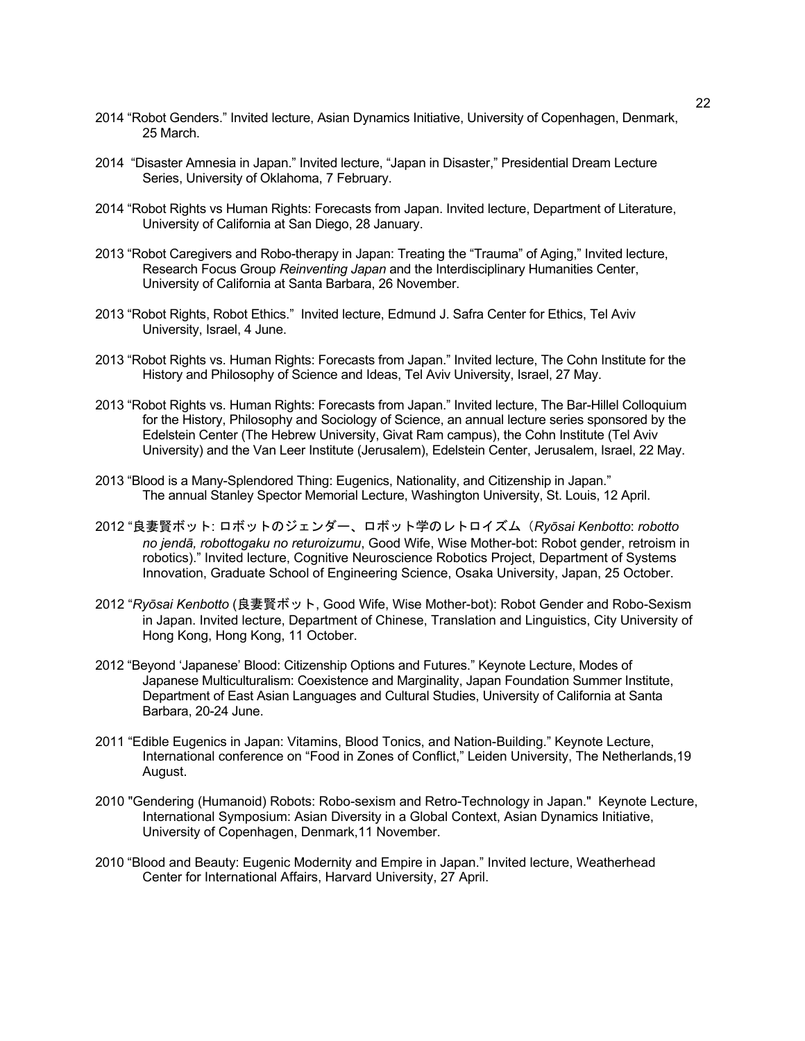- 2014 "Robot Genders." Invited lecture, Asian Dynamics Initiative, University of Copenhagen, Denmark, 25 March.
- 2014 "Disaster Amnesia in Japan." Invited lecture, "Japan in Disaster," Presidential Dream Lecture Series, University of Oklahoma, 7 February.
- 2014 "Robot Rights vs Human Rights: Forecasts from Japan. Invited lecture, Department of Literature, University of California at San Diego, 28 January.
- 2013 "Robot Caregivers and Robo-therapy in Japan: Treating the "Trauma" of Aging," Invited lecture, Research Focus Group *Reinventing Japan* and the Interdisciplinary Humanities Center, University of California at Santa Barbara, 26 November.
- 2013 "Robot Rights, Robot Ethics." Invited lecture, Edmund J. Safra Center for Ethics, Tel Aviv University, Israel, 4 June.
- 2013 "Robot Rights vs. Human Rights: Forecasts from Japan." Invited lecture, The Cohn Institute for the History and Philosophy of Science and Ideas, Tel Aviv University, Israel, 27 May.
- 2013 "Robot Rights vs. Human Rights: Forecasts from Japan." Invited lecture, The Bar-Hillel Colloquium for the History, Philosophy and Sociology of Science, an annual lecture series sponsored by the Edelstein Center (The Hebrew University, Givat Ram campus), the Cohn Institute (Tel Aviv University) and the Van Leer Institute (Jerusalem), Edelstein Center, Jerusalem, Israel, 22 May.
- 2013 "Blood is a Many-Splendored Thing: Eugenics, Nationality, and Citizenship in Japan." The annual Stanley Spector Memorial Lecture, Washington University, St. Louis, 12 April.
- 2012 "良妻賢ボット: ロボットのジェンダー、ロボット学のレトロイズム(*Ryōsai Kenbotto*: *robotto no jendā, robottogaku no returoizumu*, Good Wife, Wise Mother-bot: Robot gender, retroism in robotics)." Invited lecture, Cognitive Neuroscience Robotics Project, Department of Systems Innovation, Graduate School of Engineering Science, Osaka University, Japan, 25 October.
- 2012 "*Ryōsai Kenbotto* (良妻賢ボット, Good Wife, Wise Mother-bot): Robot Gender and Robo-Sexism in Japan. Invited lecture, Department of Chinese, Translation and Linguistics, City University of Hong Kong, Hong Kong, 11 October.
- 2012 "Beyond 'Japanese' Blood: Citizenship Options and Futures." Keynote Lecture, Modes of Japanese Multiculturalism: Coexistence and Marginality, Japan Foundation Summer Institute, Department of East Asian Languages and Cultural Studies, University of California at Santa Barbara, 20-24 June.
- 2011 "Edible Eugenics in Japan: Vitamins, Blood Tonics, and Nation-Building." Keynote Lecture, International conference on "Food in Zones of Conflict," Leiden University, The Netherlands,19 August.
- 2010 "Gendering (Humanoid) Robots: Robo-sexism and Retro-Technology in Japan." Keynote Lecture, International Symposium: Asian Diversity in a Global Context, Asian Dynamics Initiative, University of Copenhagen, Denmark,11 November.
- 2010 "Blood and Beauty: Eugenic Modernity and Empire in Japan." Invited lecture, Weatherhead Center for International Affairs, Harvard University, 27 April.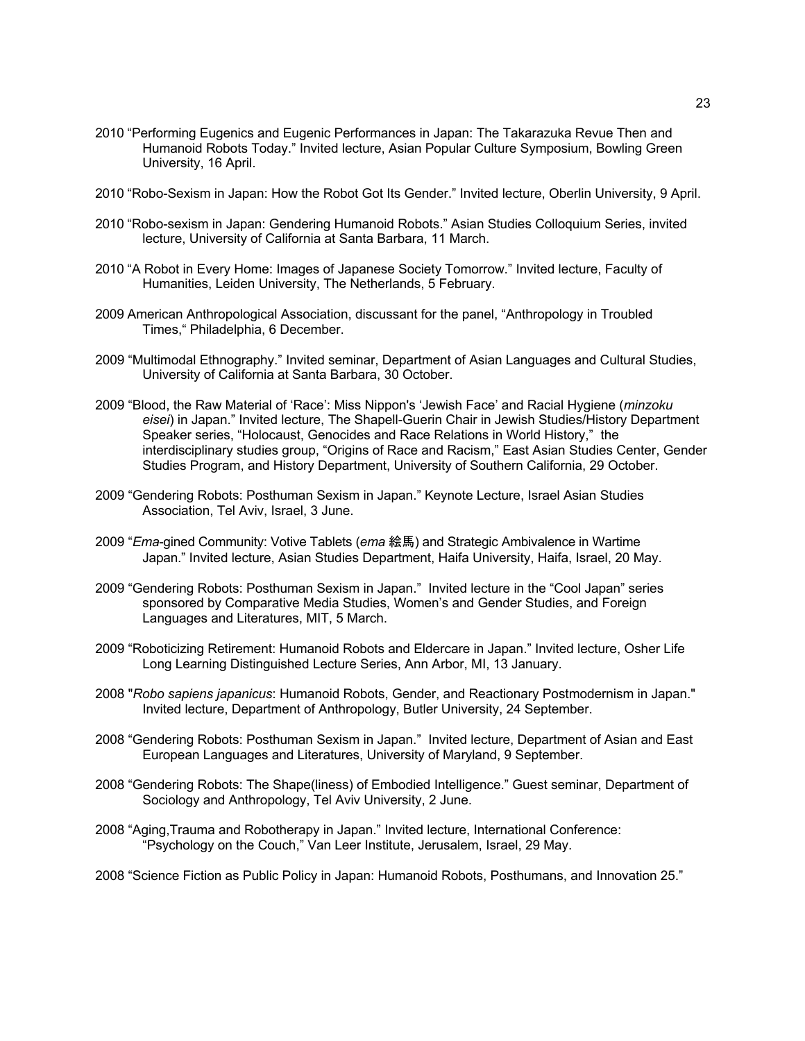- 2010 "Performing Eugenics and Eugenic Performances in Japan: The Takarazuka Revue Then and Humanoid Robots Today." Invited lecture, Asian Popular Culture Symposium, Bowling Green University, 16 April.
- 2010 "Robo-Sexism in Japan: How the Robot Got Its Gender." Invited lecture, Oberlin University, 9 April.
- 2010 "Robo-sexism in Japan: Gendering Humanoid Robots." Asian Studies Colloquium Series, invited lecture, University of California at Santa Barbara, 11 March.
- 2010 "A Robot in Every Home: Images of Japanese Society Tomorrow." Invited lecture, Faculty of Humanities, Leiden University, The Netherlands, 5 February.
- 2009 American Anthropological Association, discussant for the panel, "Anthropology in Troubled Times," Philadelphia, 6 December.
- 2009 "Multimodal Ethnography." Invited seminar, Department of Asian Languages and Cultural Studies, University of California at Santa Barbara, 30 October.
- 2009 "Blood, the Raw Material of 'Race': Miss Nippon's 'Jewish Face' and Racial Hygiene (*minzoku eisei*) in Japan." Invited lecture, The Shapell-Guerin Chair in Jewish Studies/History Department Speaker series, "Holocaust, Genocides and Race Relations in World History," the interdisciplinary studies group, "Origins of Race and Racism," East Asian Studies Center, Gender Studies Program, and History Department, University of Southern California, 29 October.
- 2009 "Gendering Robots: Posthuman Sexism in Japan." Keynote Lecture, Israel Asian Studies Association, Tel Aviv, Israel, 3 June.
- 2009 "*Ema*-gined Community: Votive Tablets (*ema* 絵馬) and Strategic Ambivalence in Wartime Japan." Invited lecture, Asian Studies Department, Haifa University, Haifa, Israel, 20 May.
- 2009 "Gendering Robots: Posthuman Sexism in Japan." Invited lecture in the "Cool Japan" series sponsored by Comparative Media Studies, Women's and Gender Studies, and Foreign Languages and Literatures, MIT, 5 March.
- 2009 "Roboticizing Retirement: Humanoid Robots and Eldercare in Japan." Invited lecture, Osher Life Long Learning Distinguished Lecture Series, Ann Arbor, MI, 13 January.
- 2008 "*Robo sapiens japanicus*: Humanoid Robots, Gender, and Reactionary Postmodernism in Japan." Invited lecture, Department of Anthropology, Butler University, 24 September.
- 2008 "Gendering Robots: Posthuman Sexism in Japan." Invited lecture, Department of Asian and East European Languages and Literatures, University of Maryland, 9 September.
- 2008 "Gendering Robots: The Shape(liness) of Embodied Intelligence." Guest seminar, Department of Sociology and Anthropology, Tel Aviv University, 2 June.
- 2008 "Aging,Trauma and Robotherapy in Japan." Invited lecture, International Conference: "Psychology on the Couch," Van Leer Institute, Jerusalem, Israel, 29 May.
- 2008 "Science Fiction as Public Policy in Japan: Humanoid Robots, Posthumans, and Innovation 25."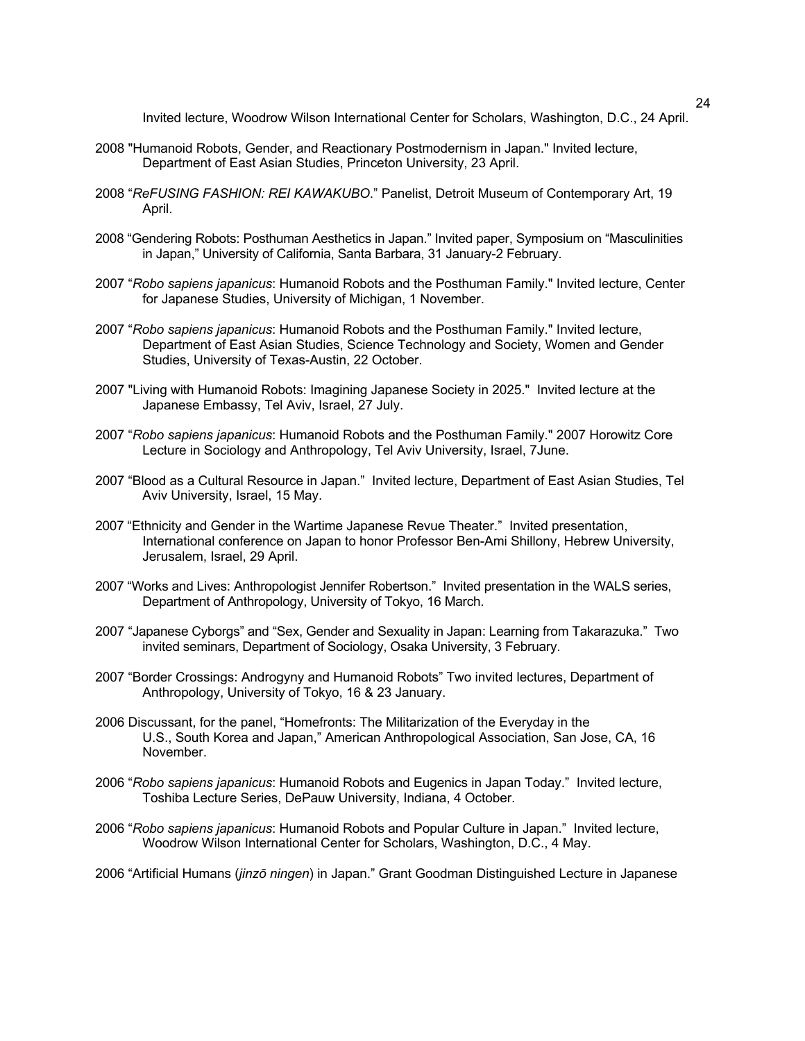Invited lecture, Woodrow Wilson International Center for Scholars, Washington, D.C., 24 April.

- 2008 "Humanoid Robots, Gender, and Reactionary Postmodernism in Japan." Invited lecture, Department of East Asian Studies, Princeton University, 23 April.
- 2008 "*ReFUSING FASHION: REI KAWAKUBO*." Panelist, Detroit Museum of Contemporary Art, 19 April.
- 2008 "Gendering Robots: Posthuman Aesthetics in Japan." Invited paper, Symposium on "Masculinities in Japan," University of California, Santa Barbara, 31 January-2 February.
- 2007 "*Robo sapiens japanicus*: Humanoid Robots and the Posthuman Family." Invited lecture, Center for Japanese Studies, University of Michigan, 1 November.
- 2007 "*Robo sapiens japanicus*: Humanoid Robots and the Posthuman Family." Invited lecture, Department of East Asian Studies, Science Technology and Society, Women and Gender Studies, University of Texas-Austin, 22 October.
- 2007 "Living with Humanoid Robots: Imagining Japanese Society in 2025." Invited lecture at the Japanese Embassy, Tel Aviv, Israel, 27 July.
- 2007 "*Robo sapiens japanicus*: Humanoid Robots and the Posthuman Family." 2007 Horowitz Core Lecture in Sociology and Anthropology, Tel Aviv University, Israel, 7June.
- 2007 "Blood as a Cultural Resource in Japan." Invited lecture, Department of East Asian Studies, Tel Aviv University, Israel, 15 May.
- 2007 "Ethnicity and Gender in the Wartime Japanese Revue Theater." Invited presentation, International conference on Japan to honor Professor Ben-Ami Shillony, Hebrew University, Jerusalem, Israel, 29 April.
- 2007 "Works and Lives: Anthropologist Jennifer Robertson." Invited presentation in the WALS series, Department of Anthropology, University of Tokyo, 16 March.
- 2007 "Japanese Cyborgs" and "Sex, Gender and Sexuality in Japan: Learning from Takarazuka." Two invited seminars, Department of Sociology, Osaka University, 3 February.
- 2007 "Border Crossings: Androgyny and Humanoid Robots" Two invited lectures, Department of Anthropology, University of Tokyo, 16 & 23 January.
- 2006 Discussant, for the panel, "Homefronts: The Militarization of the Everyday in the U.S., South Korea and Japan," American Anthropological Association, San Jose, CA, 16 November.
- 2006 "*Robo sapiens japanicus*: Humanoid Robots and Eugenics in Japan Today." Invited lecture, Toshiba Lecture Series, DePauw University, Indiana, 4 October.
- 2006 "*Robo sapiens japanicus*: Humanoid Robots and Popular Culture in Japan." Invited lecture, Woodrow Wilson International Center for Scholars, Washington, D.C., 4 May.
- 2006 "Artificial Humans (*jinzō ningen*) in Japan." Grant Goodman Distinguished Lecture in Japanese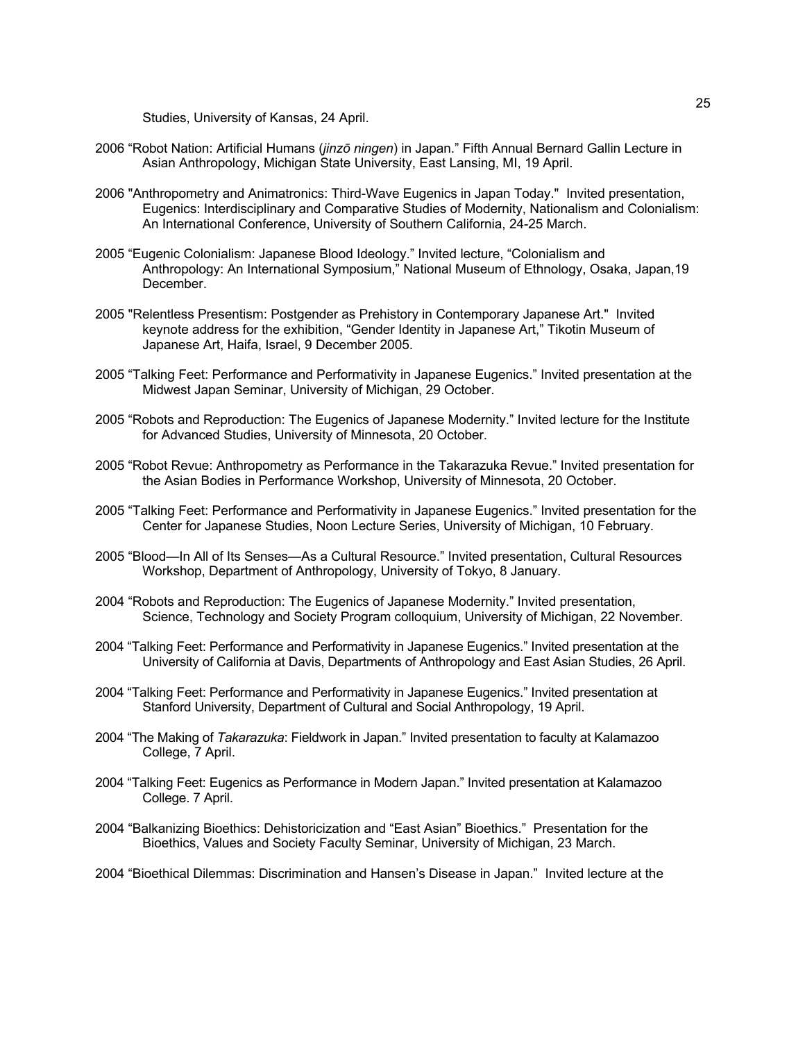Studies, University of Kansas, 24 April.

- 2006 "Robot Nation: Artificial Humans (*jinzō ningen*) in Japan." Fifth Annual Bernard Gallin Lecture in Asian Anthropology, Michigan State University, East Lansing, MI, 19 April.
- 2006 "Anthropometry and Animatronics: Third-Wave Eugenics in Japan Today." Invited presentation, Eugenics: Interdisciplinary and Comparative Studies of Modernity, Nationalism and Colonialism: An International Conference, University of Southern California, 24-25 March.
- 2005 "Eugenic Colonialism: Japanese Blood Ideology." Invited lecture, "Colonialism and Anthropology: An International Symposium," National Museum of Ethnology, Osaka, Japan,19 December.
- 2005 "Relentless Presentism: Postgender as Prehistory in Contemporary Japanese Art." Invited keynote address for the exhibition, "Gender Identity in Japanese Art," Tikotin Museum of Japanese Art, Haifa, Israel, 9 December 2005.
- 2005 "Talking Feet: Performance and Performativity in Japanese Eugenics." Invited presentation at the Midwest Japan Seminar, University of Michigan, 29 October.
- 2005 "Robots and Reproduction: The Eugenics of Japanese Modernity." Invited lecture for the Institute for Advanced Studies, University of Minnesota, 20 October.
- 2005 "Robot Revue: Anthropometry as Performance in the Takarazuka Revue." Invited presentation for the Asian Bodies in Performance Workshop, University of Minnesota, 20 October.
- 2005 "Talking Feet: Performance and Performativity in Japanese Eugenics." Invited presentation for the Center for Japanese Studies, Noon Lecture Series, University of Michigan, 10 February.
- 2005 "Blood—In All of Its Senses—As a Cultural Resource." Invited presentation, Cultural Resources Workshop, Department of Anthropology, University of Tokyo, 8 January.
- 2004 "Robots and Reproduction: The Eugenics of Japanese Modernity." Invited presentation, Science, Technology and Society Program colloquium, University of Michigan, 22 November.
- 2004 "Talking Feet: Performance and Performativity in Japanese Eugenics." Invited presentation at the University of California at Davis, Departments of Anthropology and East Asian Studies, 26 April.
- 2004 "Talking Feet: Performance and Performativity in Japanese Eugenics." Invited presentation at Stanford University, Department of Cultural and Social Anthropology, 19 April.
- 2004 "The Making of *Takarazuka*: Fieldwork in Japan." Invited presentation to faculty at Kalamazoo College, 7 April.
- 2004 "Talking Feet: Eugenics as Performance in Modern Japan." Invited presentation at Kalamazoo College. 7 April.
- 2004 "Balkanizing Bioethics: Dehistoricization and "East Asian" Bioethics." Presentation for the Bioethics, Values and Society Faculty Seminar, University of Michigan, 23 March.
- 2004 "Bioethical Dilemmas: Discrimination and Hansen's Disease in Japan." Invited lecture at the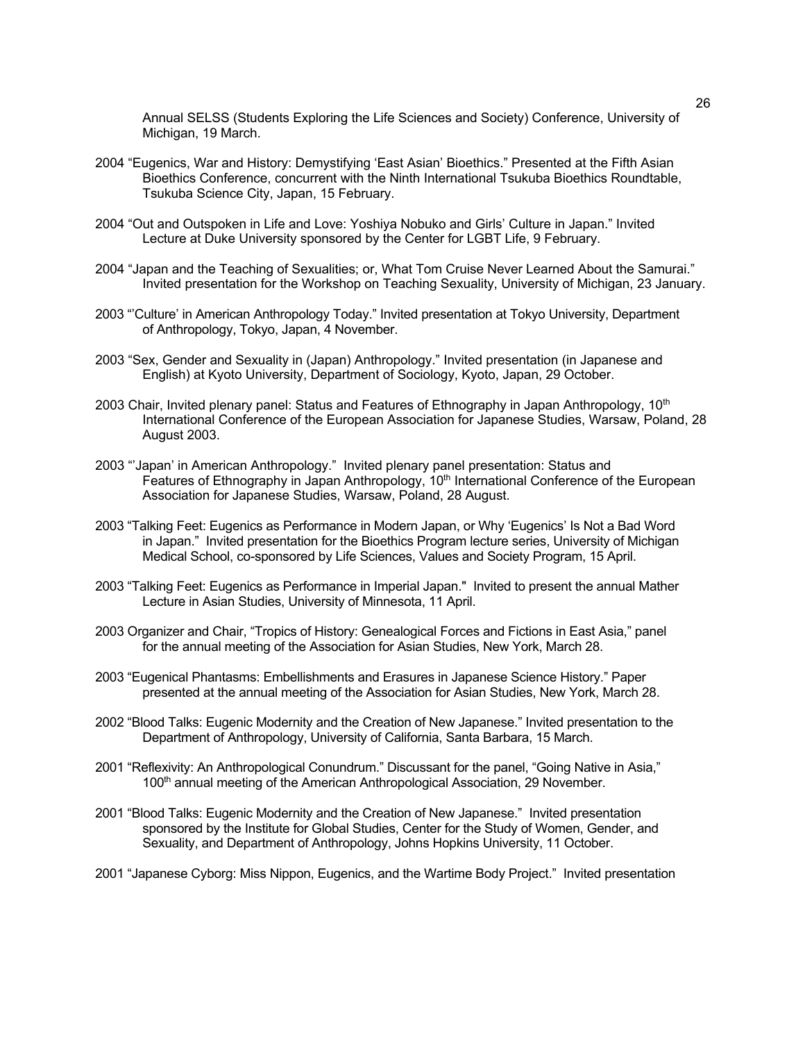Annual SELSS (Students Exploring the Life Sciences and Society) Conference, University of Michigan, 19 March.

- 2004 "Eugenics, War and History: Demystifying 'East Asian' Bioethics." Presented at the Fifth Asian Bioethics Conference, concurrent with the Ninth International Tsukuba Bioethics Roundtable, Tsukuba Science City, Japan, 15 February.
- 2004 "Out and Outspoken in Life and Love: Yoshiya Nobuko and Girls' Culture in Japan." Invited Lecture at Duke University sponsored by the Center for LGBT Life, 9 February.
- 2004 "Japan and the Teaching of Sexualities; or, What Tom Cruise Never Learned About the Samurai." Invited presentation for the Workshop on Teaching Sexuality, University of Michigan, 23 January.
- 2003 "'Culture' in American Anthropology Today." Invited presentation at Tokyo University, Department of Anthropology, Tokyo, Japan, 4 November.
- 2003 "Sex, Gender and Sexuality in (Japan) Anthropology." Invited presentation (in Japanese and English) at Kyoto University, Department of Sociology, Kyoto, Japan, 29 October.
- 2003 Chair, Invited plenary panel: Status and Features of Ethnography in Japan Anthropology, 10<sup>th</sup> International Conference of the European Association for Japanese Studies, Warsaw, Poland, 28 August 2003.
- 2003 "'Japan' in American Anthropology." Invited plenary panel presentation: Status and Features of Ethnography in Japan Anthropology, 10<sup>th</sup> International Conference of the European Association for Japanese Studies, Warsaw, Poland, 28 August.
- 2003 "Talking Feet: Eugenics as Performance in Modern Japan, or Why 'Eugenics' Is Not a Bad Word in Japan." Invited presentation for the Bioethics Program lecture series, University of Michigan Medical School, co-sponsored by Life Sciences, Values and Society Program, 15 April.
- 2003 "Talking Feet: Eugenics as Performance in Imperial Japan." Invited to present the annual Mather Lecture in Asian Studies, University of Minnesota, 11 April.
- 2003 Organizer and Chair, "Tropics of History: Genealogical Forces and Fictions in East Asia," panel for the annual meeting of the Association for Asian Studies, New York, March 28.
- 2003 "Eugenical Phantasms: Embellishments and Erasures in Japanese Science History." Paper presented at the annual meeting of the Association for Asian Studies, New York, March 28.
- 2002 "Blood Talks: Eugenic Modernity and the Creation of New Japanese." Invited presentation to the Department of Anthropology, University of California, Santa Barbara, 15 March.
- 2001 "Reflexivity: An Anthropological Conundrum." Discussant for the panel, "Going Native in Asia," 100<sup>th</sup> annual meeting of the American Anthropological Association, 29 November.
- 2001 "Blood Talks: Eugenic Modernity and the Creation of New Japanese." Invited presentation sponsored by the Institute for Global Studies, Center for the Study of Women, Gender, and Sexuality, and Department of Anthropology, Johns Hopkins University, 11 October.
- 2001 "Japanese Cyborg: Miss Nippon, Eugenics, and the Wartime Body Project." Invited presentation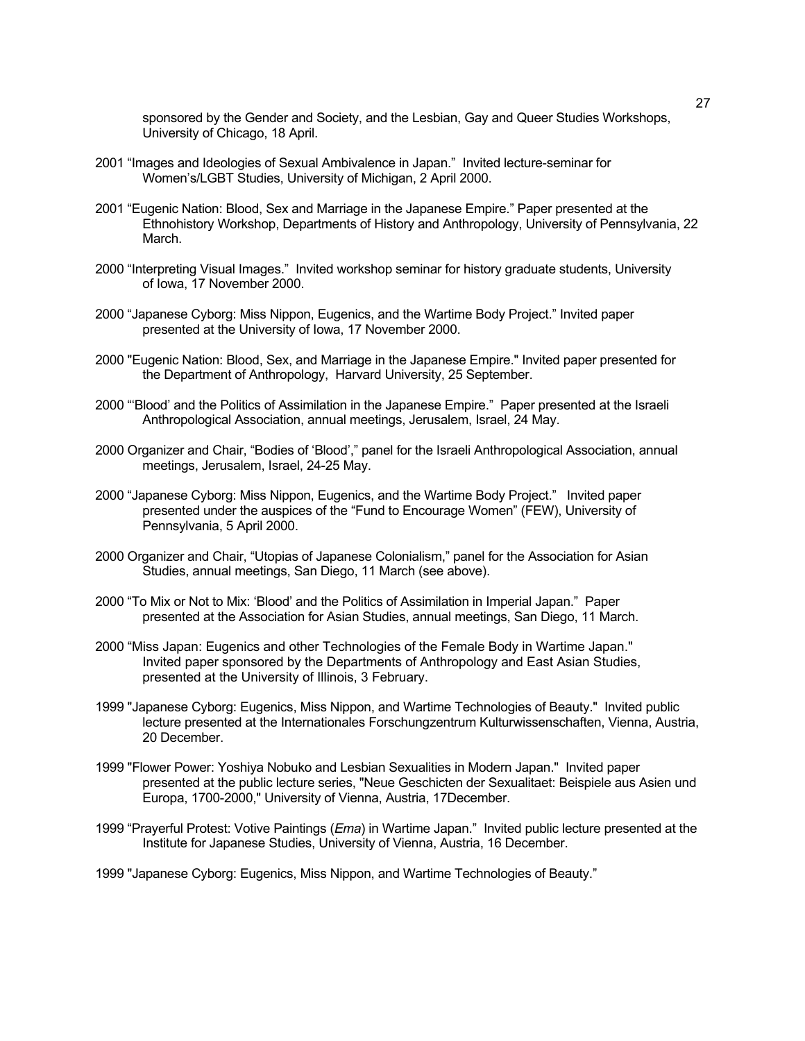sponsored by the Gender and Society, and the Lesbian, Gay and Queer Studies Workshops, University of Chicago, 18 April.

- 2001 "Images and Ideologies of Sexual Ambivalence in Japan." Invited lecture-seminar for Women's/LGBT Studies, University of Michigan, 2 April 2000.
- 2001 "Eugenic Nation: Blood, Sex and Marriage in the Japanese Empire." Paper presented at the Ethnohistory Workshop, Departments of History and Anthropology, University of Pennsylvania, 22 March.
- 2000 "Interpreting Visual Images." Invited workshop seminar for history graduate students, University of Iowa, 17 November 2000.
- 2000 "Japanese Cyborg: Miss Nippon, Eugenics, and the Wartime Body Project." Invited paper presented at the University of Iowa, 17 November 2000.
- 2000 "Eugenic Nation: Blood, Sex, and Marriage in the Japanese Empire." Invited paper presented for the Department of Anthropology, Harvard University, 25 September.
- 2000 "'Blood' and the Politics of Assimilation in the Japanese Empire." Paper presented at the Israeli Anthropological Association, annual meetings, Jerusalem, Israel, 24 May.
- 2000 Organizer and Chair, "Bodies of 'Blood'," panel for the Israeli Anthropological Association, annual meetings, Jerusalem, Israel, 24-25 May.
- 2000 "Japanese Cyborg: Miss Nippon, Eugenics, and the Wartime Body Project." Invited paper presented under the auspices of the "Fund to Encourage Women" (FEW), University of Pennsylvania, 5 April 2000.
- 2000 Organizer and Chair, "Utopias of Japanese Colonialism," panel for the Association for Asian Studies, annual meetings, San Diego, 11 March (see above).
- 2000 "To Mix or Not to Mix: 'Blood' and the Politics of Assimilation in Imperial Japan." Paper presented at the Association for Asian Studies, annual meetings, San Diego, 11 March.
- 2000 "Miss Japan: Eugenics and other Technologies of the Female Body in Wartime Japan." Invited paper sponsored by the Departments of Anthropology and East Asian Studies, presented at the University of Illinois, 3 February.
- 1999 "Japanese Cyborg: Eugenics, Miss Nippon, and Wartime Technologies of Beauty." Invited public lecture presented at the Internationales Forschungzentrum Kulturwissenschaften, Vienna, Austria, 20 December.
- 1999 "Flower Power: Yoshiya Nobuko and Lesbian Sexualities in Modern Japan." Invited paper presented at the public lecture series, "Neue Geschicten der Sexualitaet: Beispiele aus Asien und Europa, 1700-2000," University of Vienna, Austria, 17December.
- 1999 "Prayerful Protest: Votive Paintings (*Ema*) in Wartime Japan." Invited public lecture presented at the Institute for Japanese Studies, University of Vienna, Austria, 16 December.

1999 "Japanese Cyborg: Eugenics, Miss Nippon, and Wartime Technologies of Beauty."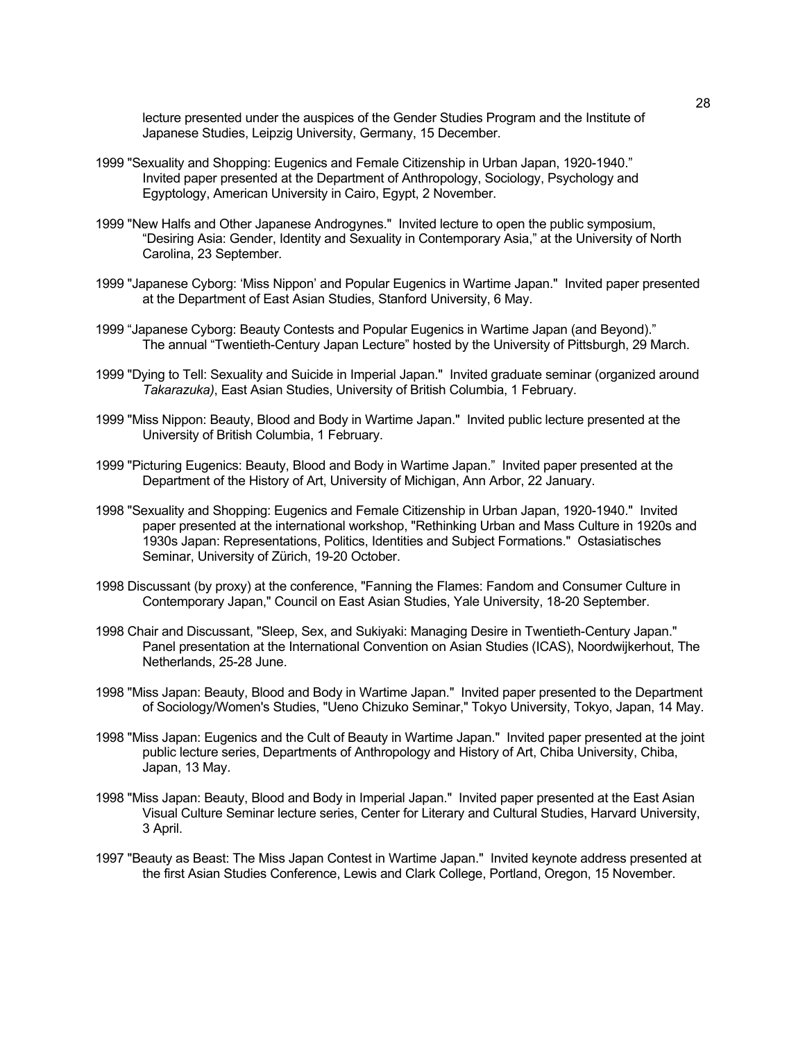lecture presented under the auspices of the Gender Studies Program and the Institute of Japanese Studies, Leipzig University, Germany, 15 December.

- 1999 "Sexuality and Shopping: Eugenics and Female Citizenship in Urban Japan, 1920-1940." Invited paper presented at the Department of Anthropology, Sociology, Psychology and Egyptology, American University in Cairo, Egypt, 2 November.
- 1999 "New Halfs and Other Japanese Androgynes." Invited lecture to open the public symposium, "Desiring Asia: Gender, Identity and Sexuality in Contemporary Asia," at the University of North Carolina, 23 September.
- 1999 "Japanese Cyborg: 'Miss Nippon' and Popular Eugenics in Wartime Japan." Invited paper presented at the Department of East Asian Studies, Stanford University, 6 May.
- 1999 "Japanese Cyborg: Beauty Contests and Popular Eugenics in Wartime Japan (and Beyond)." The annual "Twentieth-Century Japan Lecture" hosted by the University of Pittsburgh, 29 March.
- 1999 "Dying to Tell: Sexuality and Suicide in Imperial Japan." Invited graduate seminar (organized around *Takarazuka)*, East Asian Studies, University of British Columbia, 1 February.
- 1999 "Miss Nippon: Beauty, Blood and Body in Wartime Japan." Invited public lecture presented at the University of British Columbia, 1 February.
- 1999 "Picturing Eugenics: Beauty, Blood and Body in Wartime Japan." Invited paper presented at the Department of the History of Art, University of Michigan, Ann Arbor, 22 January.
- 1998 "Sexuality and Shopping: Eugenics and Female Citizenship in Urban Japan, 1920-1940." Invited paper presented at the international workshop, "Rethinking Urban and Mass Culture in 1920s and 1930s Japan: Representations, Politics, Identities and Subject Formations." Ostasiatisches Seminar, University of Zürich, 19-20 October.
- 1998 Discussant (by proxy) at the conference, "Fanning the Flames: Fandom and Consumer Culture in Contemporary Japan," Council on East Asian Studies, Yale University, 18-20 September.
- 1998 Chair and Discussant, "Sleep, Sex, and Sukiyaki: Managing Desire in Twentieth-Century Japan." Panel presentation at the International Convention on Asian Studies (ICAS), Noordwijkerhout, The Netherlands, 25-28 June.
- 1998 "Miss Japan: Beauty, Blood and Body in Wartime Japan." Invited paper presented to the Department of Sociology/Women's Studies, "Ueno Chizuko Seminar," Tokyo University, Tokyo, Japan, 14 May.
- 1998 "Miss Japan: Eugenics and the Cult of Beauty in Wartime Japan." Invited paper presented at the joint public lecture series, Departments of Anthropology and History of Art, Chiba University, Chiba, Japan, 13 May.
- 1998 "Miss Japan: Beauty, Blood and Body in Imperial Japan." Invited paper presented at the East Asian Visual Culture Seminar lecture series, Center for Literary and Cultural Studies, Harvard University, 3 April.
- 1997 "Beauty as Beast: The Miss Japan Contest in Wartime Japan." Invited keynote address presented at the first Asian Studies Conference, Lewis and Clark College, Portland, Oregon, 15 November.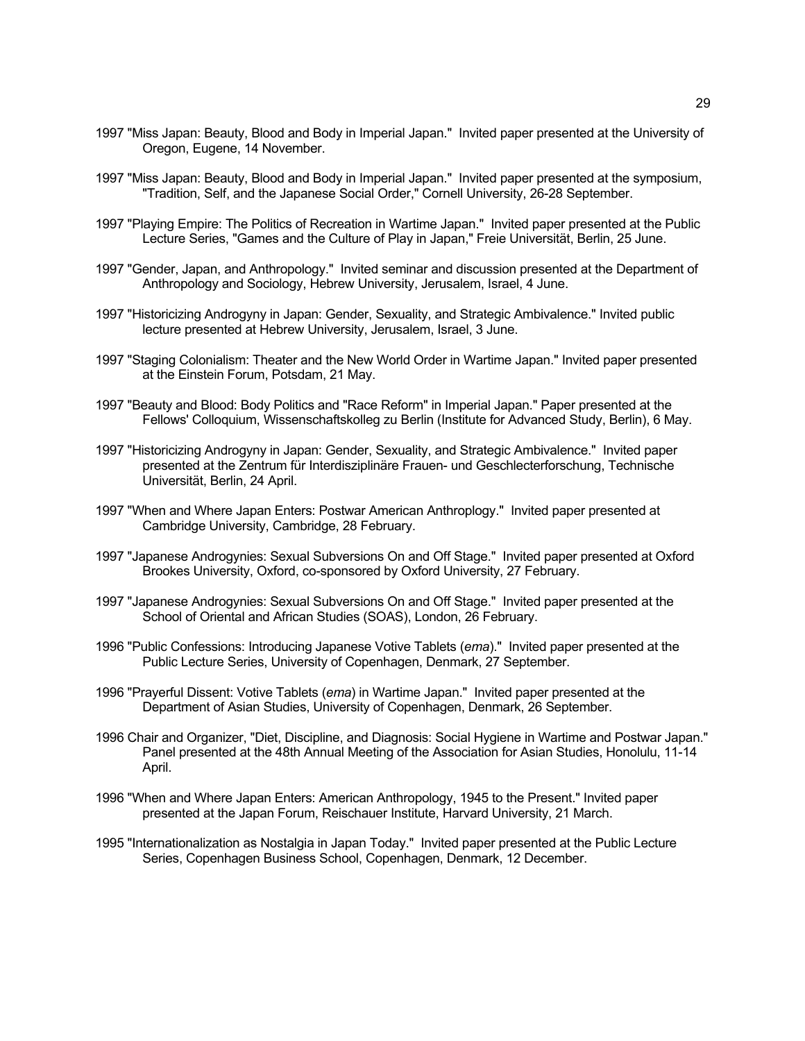- 1997 "Miss Japan: Beauty, Blood and Body in Imperial Japan." Invited paper presented at the University of Oregon, Eugene, 14 November.
- 1997 "Miss Japan: Beauty, Blood and Body in Imperial Japan." Invited paper presented at the symposium, "Tradition, Self, and the Japanese Social Order," Cornell University, 26-28 September.
- 1997 "Playing Empire: The Politics of Recreation in Wartime Japan." Invited paper presented at the Public Lecture Series, "Games and the Culture of Play in Japan," Freie Universität, Berlin, 25 June.
- 1997 "Gender, Japan, and Anthropology." Invited seminar and discussion presented at the Department of Anthropology and Sociology, Hebrew University, Jerusalem, Israel, 4 June.
- 1997 "Historicizing Androgyny in Japan: Gender, Sexuality, and Strategic Ambivalence." Invited public lecture presented at Hebrew University, Jerusalem, Israel, 3 June.
- 1997 "Staging Colonialism: Theater and the New World Order in Wartime Japan." Invited paper presented at the Einstein Forum, Potsdam, 21 May.
- 1997 "Beauty and Blood: Body Politics and "Race Reform" in Imperial Japan." Paper presented at the Fellows' Colloquium, Wissenschaftskolleg zu Berlin (Institute for Advanced Study, Berlin), 6 May.
- 1997 "Historicizing Androgyny in Japan: Gender, Sexuality, and Strategic Ambivalence." Invited paper presented at the Zentrum für Interdisziplinäre Frauen- und Geschlecterforschung, Technische Universität, Berlin, 24 April.
- 1997 "When and Where Japan Enters: Postwar American Anthroplogy." Invited paper presented at Cambridge University, Cambridge, 28 February.
- 1997 "Japanese Androgynies: Sexual Subversions On and Off Stage." Invited paper presented at Oxford Brookes University, Oxford, co-sponsored by Oxford University, 27 February.
- 1997 "Japanese Androgynies: Sexual Subversions On and Off Stage." Invited paper presented at the School of Oriental and African Studies (SOAS), London, 26 February.
- 1996 "Public Confessions: Introducing Japanese Votive Tablets (*ema*)." Invited paper presented at the Public Lecture Series, University of Copenhagen, Denmark, 27 September.
- 1996 "Prayerful Dissent: Votive Tablets (*ema*) in Wartime Japan." Invited paper presented at the Department of Asian Studies, University of Copenhagen, Denmark, 26 September.
- 1996 Chair and Organizer, "Diet, Discipline, and Diagnosis: Social Hygiene in Wartime and Postwar Japan." Panel presented at the 48th Annual Meeting of the Association for Asian Studies, Honolulu, 11-14 April.
- 1996 "When and Where Japan Enters: American Anthropology, 1945 to the Present." Invited paper presented at the Japan Forum, Reischauer Institute, Harvard University, 21 March.
- 1995 "Internationalization as Nostalgia in Japan Today." Invited paper presented at the Public Lecture Series, Copenhagen Business School, Copenhagen, Denmark, 12 December.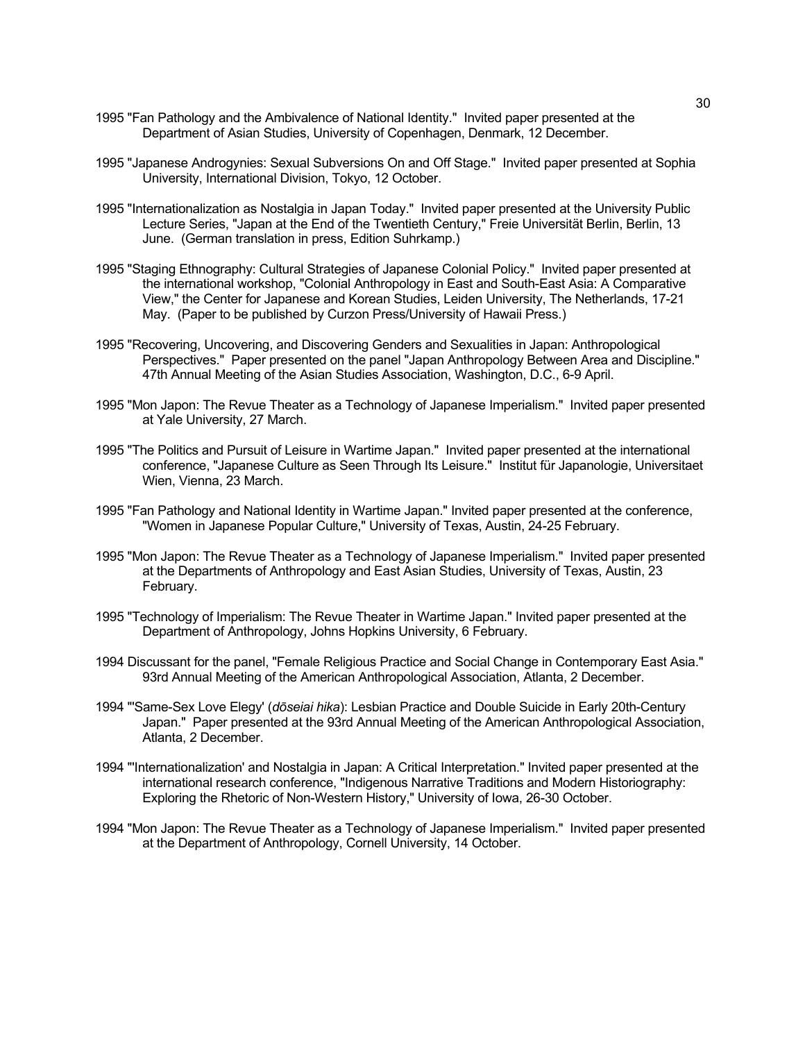- 1995 "Fan Pathology and the Ambivalence of National Identity." Invited paper presented at the Department of Asian Studies, University of Copenhagen, Denmark, 12 December.
- 1995 "Japanese Androgynies: Sexual Subversions On and Off Stage." Invited paper presented at Sophia University, International Division, Tokyo, 12 October.
- 1995 "Internationalization as Nostalgia in Japan Today." Invited paper presented at the University Public Lecture Series, "Japan at the End of the Twentieth Century," Freie Universität Berlin, Berlin, 13 June. (German translation in press, Edition Suhrkamp.)
- 1995 "Staging Ethnography: Cultural Strategies of Japanese Colonial Policy." Invited paper presented at the international workshop, "Colonial Anthropology in East and South-East Asia: A Comparative View," the Center for Japanese and Korean Studies, Leiden University, The Netherlands, 17-21 May. (Paper to be published by Curzon Press/University of Hawaii Press.)
- 1995 "Recovering, Uncovering, and Discovering Genders and Sexualities in Japan: Anthropological Perspectives." Paper presented on the panel "Japan Anthropology Between Area and Discipline." 47th Annual Meeting of the Asian Studies Association, Washington, D.C., 6-9 April.
- 1995 "Mon Japon: The Revue Theater as a Technology of Japanese Imperialism." Invited paper presented at Yale University, 27 March.
- 1995 "The Politics and Pursuit of Leisure in Wartime Japan." Invited paper presented at the international conference, "Japanese Culture as Seen Through Its Leisure." Institut für Japanologie, Universitaet Wien, Vienna, 23 March.
- 1995 "Fan Pathology and National Identity in Wartime Japan." Invited paper presented at the conference, "Women in Japanese Popular Culture," University of Texas, Austin, 24-25 February.
- 1995 "Mon Japon: The Revue Theater as a Technology of Japanese Imperialism." Invited paper presented at the Departments of Anthropology and East Asian Studies, University of Texas, Austin, 23 February.
- 1995 "Technology of Imperialism: The Revue Theater in Wartime Japan." Invited paper presented at the Department of Anthropology, Johns Hopkins University, 6 February.
- 1994 Discussant for the panel, "Female Religious Practice and Social Change in Contemporary East Asia." 93rd Annual Meeting of the American Anthropological Association, Atlanta, 2 December.
- 1994 "'Same-Sex Love Elegy' (*dōseiai hika*): Lesbian Practice and Double Suicide in Early 20th-Century Japan." Paper presented at the 93rd Annual Meeting of the American Anthropological Association, Atlanta, 2 December.
- 1994 "'Internationalization' and Nostalgia in Japan: A Critical Interpretation." Invited paper presented at the international research conference, "Indigenous Narrative Traditions and Modern Historiography: Exploring the Rhetoric of Non-Western History," University of Iowa, 26-30 October.
- 1994 "Mon Japon: The Revue Theater as a Technology of Japanese Imperialism." Invited paper presented at the Department of Anthropology, Cornell University, 14 October.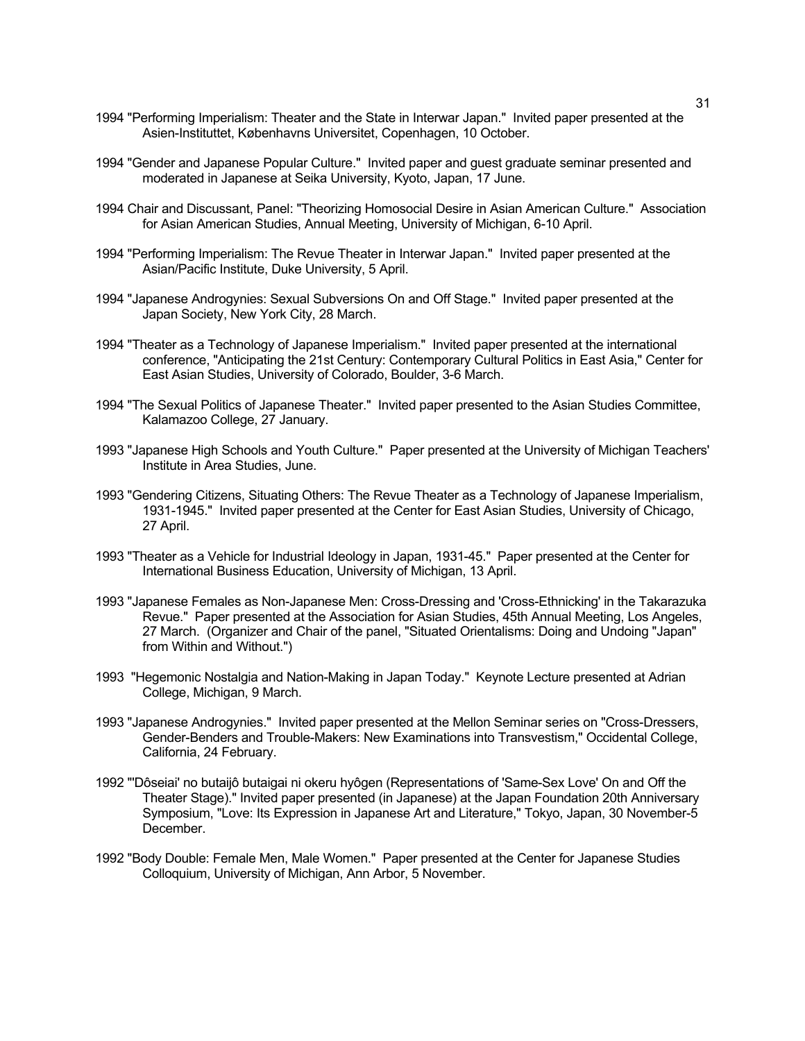- 1994 "Performing Imperialism: Theater and the State in Interwar Japan." Invited paper presented at the Asien-Instituttet, Københavns Universitet, Copenhagen, 10 October.
- 1994 "Gender and Japanese Popular Culture." Invited paper and guest graduate seminar presented and moderated in Japanese at Seika University, Kyoto, Japan, 17 June.
- 1994 Chair and Discussant, Panel: "Theorizing Homosocial Desire in Asian American Culture." Association for Asian American Studies, Annual Meeting, University of Michigan, 6-10 April.
- 1994 "Performing Imperialism: The Revue Theater in Interwar Japan." Invited paper presented at the Asian/Pacific Institute, Duke University, 5 April.
- 1994 "Japanese Androgynies: Sexual Subversions On and Off Stage." Invited paper presented at the Japan Society, New York City, 28 March.
- 1994 "Theater as a Technology of Japanese Imperialism." Invited paper presented at the international conference, "Anticipating the 21st Century: Contemporary Cultural Politics in East Asia," Center for East Asian Studies, University of Colorado, Boulder, 3-6 March.
- 1994 "The Sexual Politics of Japanese Theater." Invited paper presented to the Asian Studies Committee, Kalamazoo College, 27 January.
- 1993 "Japanese High Schools and Youth Culture." Paper presented at the University of Michigan Teachers' Institute in Area Studies, June.
- 1993 "Gendering Citizens, Situating Others: The Revue Theater as a Technology of Japanese Imperialism, 1931-1945." Invited paper presented at the Center for East Asian Studies, University of Chicago, 27 April.
- 1993 "Theater as a Vehicle for Industrial Ideology in Japan, 1931-45." Paper presented at the Center for International Business Education, University of Michigan, 13 April.
- 1993 "Japanese Females as Non-Japanese Men: Cross-Dressing and 'Cross-Ethnicking' in the Takarazuka Revue." Paper presented at the Association for Asian Studies, 45th Annual Meeting, Los Angeles, 27 March. (Organizer and Chair of the panel, "Situated Orientalisms: Doing and Undoing "Japan" from Within and Without.")
- 1993 "Hegemonic Nostalgia and Nation-Making in Japan Today." Keynote Lecture presented at Adrian College, Michigan, 9 March.
- 1993 "Japanese Androgynies." Invited paper presented at the Mellon Seminar series on "Cross-Dressers, Gender-Benders and Trouble-Makers: New Examinations into Transvestism," Occidental College, California, 24 February.
- 1992 "'Dôseiai' no butaijô butaigai ni okeru hyôgen (Representations of 'Same-Sex Love' On and Off the Theater Stage)." Invited paper presented (in Japanese) at the Japan Foundation 20th Anniversary Symposium, "Love: Its Expression in Japanese Art and Literature," Tokyo, Japan, 30 November-5 December.
- 1992 "Body Double: Female Men, Male Women." Paper presented at the Center for Japanese Studies Colloquium, University of Michigan, Ann Arbor, 5 November.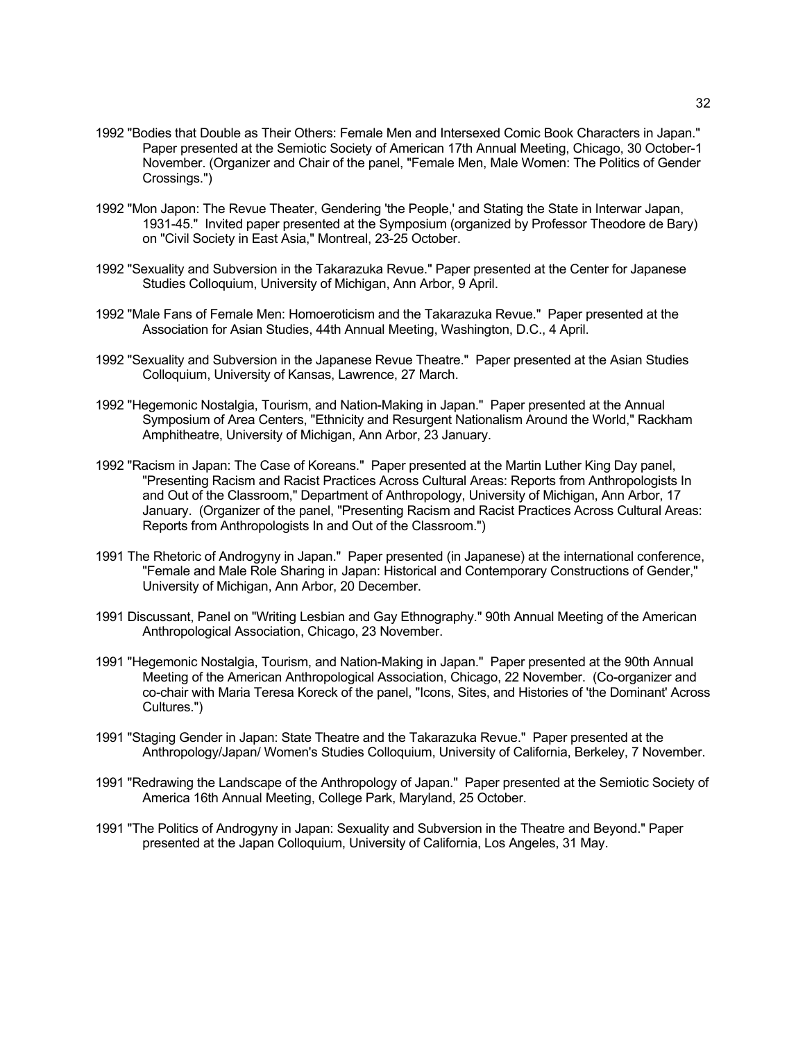- 1992 "Bodies that Double as Their Others: Female Men and Intersexed Comic Book Characters in Japan." Paper presented at the Semiotic Society of American 17th Annual Meeting, Chicago, 30 October-1 November. (Organizer and Chair of the panel, "Female Men, Male Women: The Politics of Gender Crossings.")
- 1992 "Mon Japon: The Revue Theater, Gendering 'the People,' and Stating the State in Interwar Japan, 1931-45." Invited paper presented at the Symposium (organized by Professor Theodore de Bary) on "Civil Society in East Asia," Montreal, 23-25 October.
- 1992 "Sexuality and Subversion in the Takarazuka Revue." Paper presented at the Center for Japanese Studies Colloquium, University of Michigan, Ann Arbor, 9 April.
- 1992 "Male Fans of Female Men: Homoeroticism and the Takarazuka Revue." Paper presented at the Association for Asian Studies, 44th Annual Meeting, Washington, D.C., 4 April.
- 1992 "Sexuality and Subversion in the Japanese Revue Theatre." Paper presented at the Asian Studies Colloquium, University of Kansas, Lawrence, 27 March.
- 1992 "Hegemonic Nostalgia, Tourism, and Nation-Making in Japan." Paper presented at the Annual Symposium of Area Centers, "Ethnicity and Resurgent Nationalism Around the World," Rackham Amphitheatre, University of Michigan, Ann Arbor, 23 January.
- 1992 "Racism in Japan: The Case of Koreans." Paper presented at the Martin Luther King Day panel, "Presenting Racism and Racist Practices Across Cultural Areas: Reports from Anthropologists In and Out of the Classroom," Department of Anthropology, University of Michigan, Ann Arbor, 17 January. (Organizer of the panel, "Presenting Racism and Racist Practices Across Cultural Areas: Reports from Anthropologists In and Out of the Classroom.")
- 1991 The Rhetoric of Androgyny in Japan." Paper presented (in Japanese) at the international conference, "Female and Male Role Sharing in Japan: Historical and Contemporary Constructions of Gender," University of Michigan, Ann Arbor, 20 December.
- 1991 Discussant, Panel on "Writing Lesbian and Gay Ethnography." 90th Annual Meeting of the American Anthropological Association, Chicago, 23 November.
- 1991 "Hegemonic Nostalgia, Tourism, and Nation-Making in Japan." Paper presented at the 90th Annual Meeting of the American Anthropological Association, Chicago, 22 November. (Co-organizer and co-chair with Maria Teresa Koreck of the panel, "Icons, Sites, and Histories of 'the Dominant' Across Cultures.")
- 1991 "Staging Gender in Japan: State Theatre and the Takarazuka Revue." Paper presented at the Anthropology/Japan/ Women's Studies Colloquium, University of California, Berkeley, 7 November.
- 1991 "Redrawing the Landscape of the Anthropology of Japan." Paper presented at the Semiotic Society of America 16th Annual Meeting, College Park, Maryland, 25 October.
- 1991 "The Politics of Androgyny in Japan: Sexuality and Subversion in the Theatre and Beyond." Paper presented at the Japan Colloquium, University of California, Los Angeles, 31 May.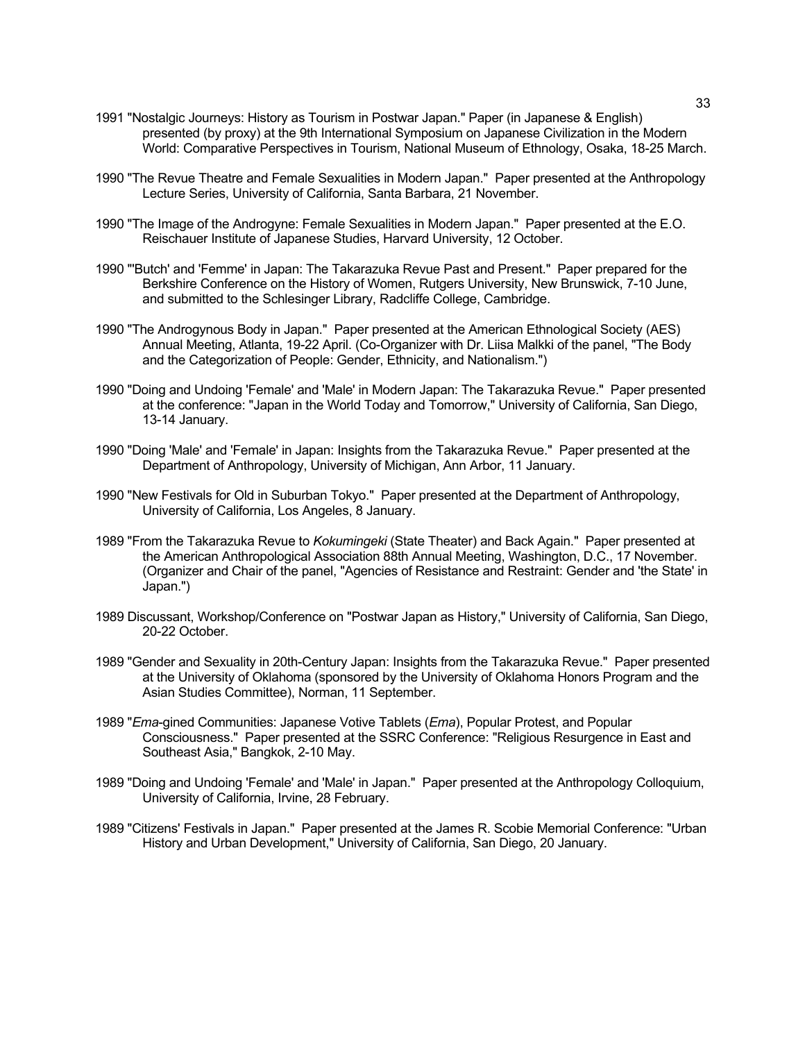- 1991 "Nostalgic Journeys: History as Tourism in Postwar Japan." Paper (in Japanese & English) presented (by proxy) at the 9th International Symposium on Japanese Civilization in the Modern World: Comparative Perspectives in Tourism, National Museum of Ethnology, Osaka, 18-25 March.
- 1990 "The Revue Theatre and Female Sexualities in Modern Japan." Paper presented at the Anthropology Lecture Series, University of California, Santa Barbara, 21 November.
- 1990 "The Image of the Androgyne: Female Sexualities in Modern Japan." Paper presented at the E.O. Reischauer Institute of Japanese Studies, Harvard University, 12 October.
- 1990 "'Butch' and 'Femme' in Japan: The Takarazuka Revue Past and Present." Paper prepared for the Berkshire Conference on the History of Women, Rutgers University, New Brunswick, 7-10 June, and submitted to the Schlesinger Library, Radcliffe College, Cambridge.
- 1990 "The Androgynous Body in Japan." Paper presented at the American Ethnological Society (AES) Annual Meeting, Atlanta, 19-22 April. (Co-Organizer with Dr. Liisa Malkki of the panel, "The Body and the Categorization of People: Gender, Ethnicity, and Nationalism.")
- 1990 "Doing and Undoing 'Female' and 'Male' in Modern Japan: The Takarazuka Revue." Paper presented at the conference: "Japan in the World Today and Tomorrow," University of California, San Diego, 13-14 January.
- 1990 "Doing 'Male' and 'Female' in Japan: Insights from the Takarazuka Revue." Paper presented at the Department of Anthropology, University of Michigan, Ann Arbor, 11 January.
- 1990 "New Festivals for Old in Suburban Tokyo." Paper presented at the Department of Anthropology, University of California, Los Angeles, 8 January.
- 1989 "From the Takarazuka Revue to *Kokumingeki* (State Theater) and Back Again." Paper presented at the American Anthropological Association 88th Annual Meeting, Washington, D.C., 17 November. (Organizer and Chair of the panel, "Agencies of Resistance and Restraint: Gender and 'the State' in Japan.")
- 1989 Discussant, Workshop/Conference on "Postwar Japan as History," University of California, San Diego, 20-22 October.
- 1989 "Gender and Sexuality in 20th-Century Japan: Insights from the Takarazuka Revue." Paper presented at the University of Oklahoma (sponsored by the University of Oklahoma Honors Program and the Asian Studies Committee), Norman, 11 September.
- 1989 "*Ema*-gined Communities: Japanese Votive Tablets (*Ema*), Popular Protest, and Popular Consciousness." Paper presented at the SSRC Conference: "Religious Resurgence in East and Southeast Asia," Bangkok, 2-10 May.
- 1989 "Doing and Undoing 'Female' and 'Male' in Japan." Paper presented at the Anthropology Colloquium, University of California, Irvine, 28 February.
- 1989 "Citizens' Festivals in Japan." Paper presented at the James R. Scobie Memorial Conference: "Urban History and Urban Development," University of California, San Diego, 20 January.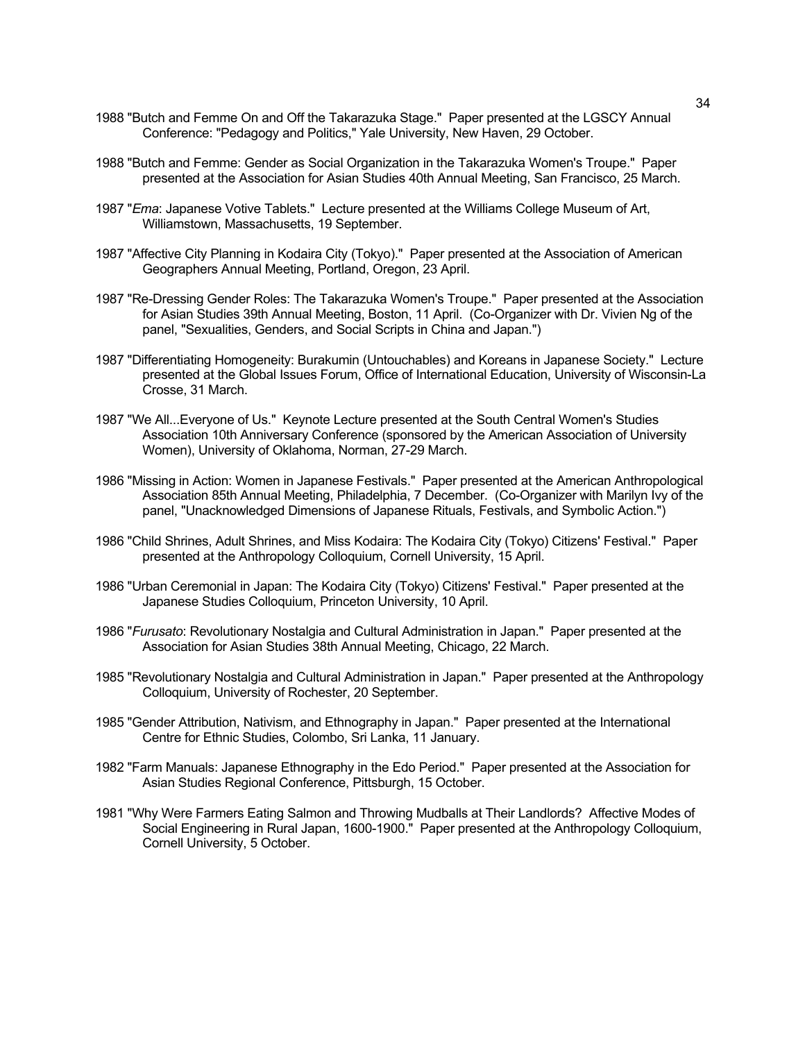- 1988 "Butch and Femme On and Off the Takarazuka Stage." Paper presented at the LGSCY Annual Conference: "Pedagogy and Politics," Yale University, New Haven, 29 October.
- 1988 "Butch and Femme: Gender as Social Organization in the Takarazuka Women's Troupe." Paper presented at the Association for Asian Studies 40th Annual Meeting, San Francisco, 25 March.
- 1987 "*Ema*: Japanese Votive Tablets." Lecture presented at the Williams College Museum of Art, Williamstown, Massachusetts, 19 September.
- 1987 "Affective City Planning in Kodaira City (Tokyo)." Paper presented at the Association of American Geographers Annual Meeting, Portland, Oregon, 23 April.
- 1987 "Re-Dressing Gender Roles: The Takarazuka Women's Troupe." Paper presented at the Association for Asian Studies 39th Annual Meeting, Boston, 11 April. (Co-Organizer with Dr. Vivien Ng of the panel, "Sexualities, Genders, and Social Scripts in China and Japan.")
- 1987 "Differentiating Homogeneity: Burakumin (Untouchables) and Koreans in Japanese Society." Lecture presented at the Global Issues Forum, Office of International Education, University of Wisconsin-La Crosse, 31 March.
- 1987 "We All...Everyone of Us." Keynote Lecture presented at the South Central Women's Studies Association 10th Anniversary Conference (sponsored by the American Association of University Women), University of Oklahoma, Norman, 27-29 March.
- 1986 "Missing in Action: Women in Japanese Festivals." Paper presented at the American Anthropological Association 85th Annual Meeting, Philadelphia, 7 December. (Co-Organizer with Marilyn Ivy of the panel, "Unacknowledged Dimensions of Japanese Rituals, Festivals, and Symbolic Action.")
- 1986 "Child Shrines, Adult Shrines, and Miss Kodaira: The Kodaira City (Tokyo) Citizens' Festival." Paper presented at the Anthropology Colloquium, Cornell University, 15 April.
- 1986 "Urban Ceremonial in Japan: The Kodaira City (Tokyo) Citizens' Festival." Paper presented at the Japanese Studies Colloquium, Princeton University, 10 April.
- 1986 "*Furusato*: Revolutionary Nostalgia and Cultural Administration in Japan." Paper presented at the Association for Asian Studies 38th Annual Meeting, Chicago, 22 March.
- 1985 "Revolutionary Nostalgia and Cultural Administration in Japan." Paper presented at the Anthropology Colloquium, University of Rochester, 20 September.
- 1985 "Gender Attribution, Nativism, and Ethnography in Japan." Paper presented at the International Centre for Ethnic Studies, Colombo, Sri Lanka, 11 January.
- 1982 "Farm Manuals: Japanese Ethnography in the Edo Period." Paper presented at the Association for Asian Studies Regional Conference, Pittsburgh, 15 October.
- 1981 "Why Were Farmers Eating Salmon and Throwing Mudballs at Their Landlords? Affective Modes of Social Engineering in Rural Japan, 1600-1900." Paper presented at the Anthropology Colloquium, Cornell University, 5 October.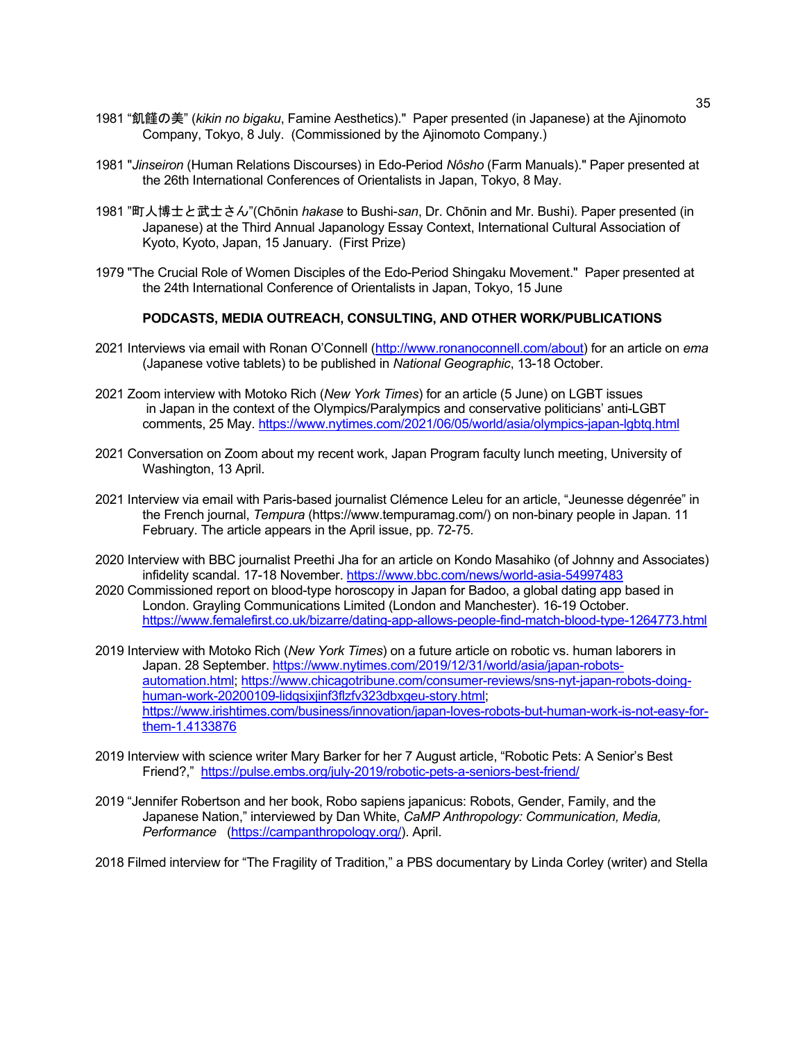- 1981 "飢饉の美" (*kikin no bigaku*, Famine Aesthetics)." Paper presented (in Japanese) at the Ajinomoto Company, Tokyo, 8 July. (Commissioned by the Ajinomoto Company.)
- 1981 "*Jinseiron* (Human Relations Discourses) in Edo-Period *Nôsho* (Farm Manuals)." Paper presented at the 26th International Conferences of Orientalists in Japan, Tokyo, 8 May.
- 1981 "町人博士と武士さん"(Chōnin *hakase* to Bushi-*san*, Dr. Chōnin and Mr. Bushi). Paper presented (in Japanese) at the Third Annual Japanology Essay Context, International Cultural Association of Kyoto, Kyoto, Japan, 15 January. (First Prize)
- 1979 "The Crucial Role of Women Disciples of the Edo-Period Shingaku Movement." Paper presented at the 24th International Conference of Orientalists in Japan, Tokyo, 15 June

# **PODCASTS, MEDIA OUTREACH, CONSULTING, AND OTHER WORK/PUBLICATIONS**

- 2021 Interviews via email with Ronan O'Connell (http://www.ronanoconnell.com/about) for an article on *ema* (Japanese votive tablets) to be published in *National Geographic*, 13-18 October.
- 2021 Zoom interview with Motoko Rich (*New York Times*) for an article (5 June) on LGBT issues in Japan in the context of the Olympics/Paralympics and conservative politicians' anti-LGBT comments, 25 May. https://www.nytimes.com/2021/06/05/world/asia/olympics-japan-lgbtg.html
- 2021 Conversation on Zoom about my recent work, Japan Program faculty lunch meeting, University of Washington, 13 April.
- 2021 Interview via email with Paris-based journalist Clémence Leleu for an article, "Jeunesse dégenrée" in the French journal, *Tempura* (https://www.tempuramag.com/) on non-binary people in Japan. 11 February. The article appears in the April issue, pp. 72-75.
- 2020 Interview with BBC journalist Preethi Jha for an article on Kondo Masahiko (of Johnny and Associates) infidelity scandal. 17-18 November. https://www.bbc.com/news/world-asia-54997483
- 2020 Commissioned report on blood-type horoscopy in Japan for Badoo, a global dating app based in London. Grayling Communications Limited (London and Manchester). 16-19 October. https://www.femalefirst.co.uk/bizarre/dating-app-allows-people-find-match-blood-type-1264773.html
- 2019 Interview with Motoko Rich (*New York Times*) on a future article on robotic vs. human laborers in Japan. 28 September. https://www.nytimes.com/2019/12/31/world/asia/japan-robotsautomation.html; https://www.chicagotribune.com/consumer-reviews/sns-nyt-japan-robots-doinghuman-work-20200109-lidqsixjinf3flzfv323dbxgeu-story.html; https://www.irishtimes.com/business/innovation/japan-loves-robots-but-human-work-is-not-easy-forthem-1.4133876
- 2019 Interview with science writer Mary Barker for her 7 August article, "Robotic Pets: A Senior's Best Friend?," https://pulse.embs.org/july-2019/robotic-pets-a-seniors-best-friend/
- 2019 "Jennifer Robertson and her book, Robo sapiens japanicus: Robots, Gender, Family, and the Japanese Nation," interviewed by Dan White, *CaMP Anthropology: Communication, Media, Performance* (https://campanthropology.org/). April.
- 2018 Filmed interview for "The Fragility of Tradition," a PBS documentary by Linda Corley (writer) and Stella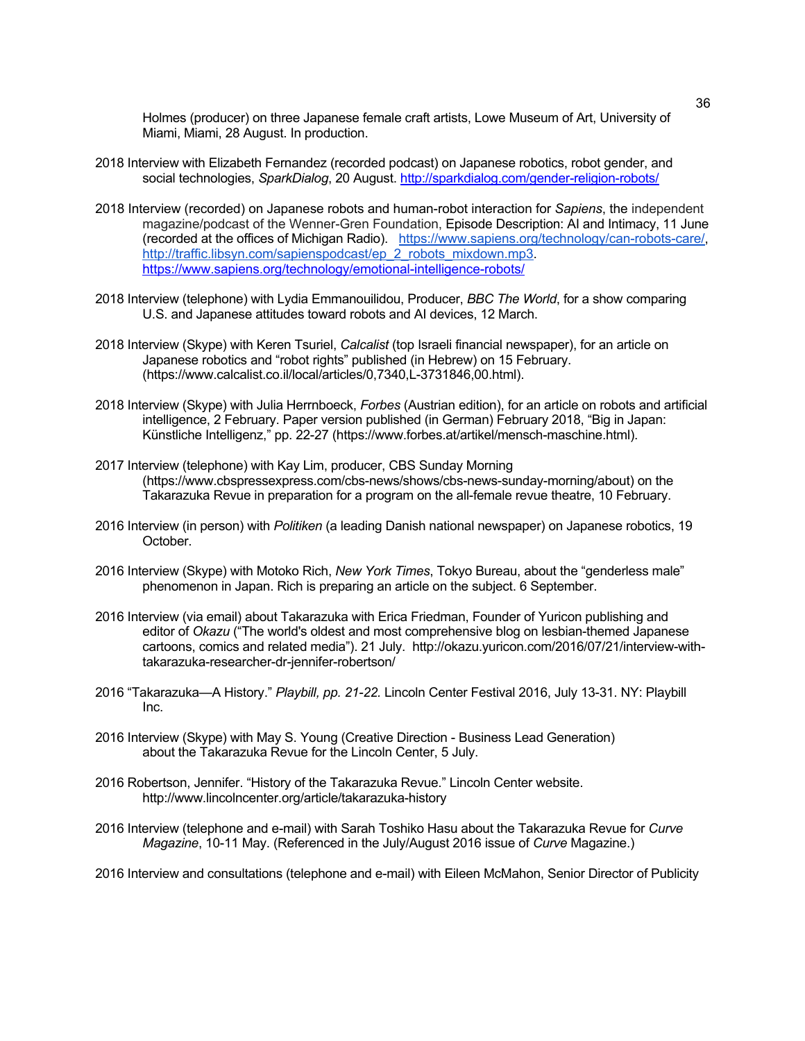Holmes (producer) on three Japanese female craft artists, Lowe Museum of Art, University of Miami, Miami, 28 August. In production.

- 2018 Interview with Elizabeth Fernandez (recorded podcast) on Japanese robotics, robot gender, and social technologies, *SparkDialog*, 20 August. http://sparkdialog.com/gender-religion-robots/
- 2018 Interview (recorded) on Japanese robots and human-robot interaction for *Sapiens*, the independent magazine/podcast of the Wenner-Gren Foundation, Episode Description: AI and Intimacy, 11 June (recorded at the offices of Michigan Radio). https://www.sapiens.org/technology/can-robots-care/, http://traffic.libsyn.com/sapienspodcast/ep\_2\_robots\_mixdown.mp3. https://www.sapiens.org/technology/emotional-intelligence-robots/
- 2018 Interview (telephone) with Lydia Emmanouilidou, Producer, *BBC The World*, for a show comparing U.S. and Japanese attitudes toward robots and AI devices, 12 March.
- 2018 Interview (Skype) with Keren Tsuriel, *Calcalist* (top Israeli financial newspaper), for an article on Japanese robotics and "robot rights" published (in Hebrew) on 15 February. (https://www.calcalist.co.il/local/articles/0,7340,L-3731846,00.html).
- 2018 Interview (Skype) with Julia Herrnboeck, *Forbes* (Austrian edition), for an article on robots and artificial intelligence, 2 February. Paper version published (in German) February 2018, "Big in Japan: Künstliche Intelligenz," pp. 22-27 (https://www.forbes.at/artikel/mensch-maschine.html).
- 2017 Interview (telephone) with Kay Lim, producer, CBS Sunday Morning (https://www.cbspressexpress.com/cbs-news/shows/cbs-news-sunday-morning/about) on the Takarazuka Revue in preparation for a program on the all-female revue theatre, 10 February.
- 2016 Interview (in person) with *Politiken* (a leading Danish national newspaper) on Japanese robotics, 19 October.
- 2016 Interview (Skype) with Motoko Rich, *New York Times*, Tokyo Bureau, about the "genderless male" phenomenon in Japan. Rich is preparing an article on the subject. 6 September.
- 2016 Interview (via email) about Takarazuka with Erica Friedman, Founder of Yuricon publishing and editor of *Okazu* ("The world's oldest and most comprehensive blog on lesbian-themed Japanese cartoons, comics and related media"). 21 July. http://okazu.yuricon.com/2016/07/21/interview-withtakarazuka-researcher-dr-jennifer-robertson/
- 2016 "Takarazuka—A History." *Playbill, pp. 21-22.* Lincoln Center Festival 2016, July 13-31. NY: Playbill Inc.
- 2016 Interview (Skype) with May S. Young (Creative Direction Business Lead Generation) about the Takarazuka Revue for the Lincoln Center, 5 July.
- 2016 Robertson, Jennifer. "History of the Takarazuka Revue." Lincoln Center website. http://www.lincolncenter.org/article/takarazuka-history
- 2016 Interview (telephone and e-mail) with Sarah Toshiko Hasu about the Takarazuka Revue for *Curve Magazine*, 10-11 May. (Referenced in the July/August 2016 issue of *Curve* Magazine.)

2016 Interview and consultations (telephone and e-mail) with Eileen McMahon, Senior Director of Publicity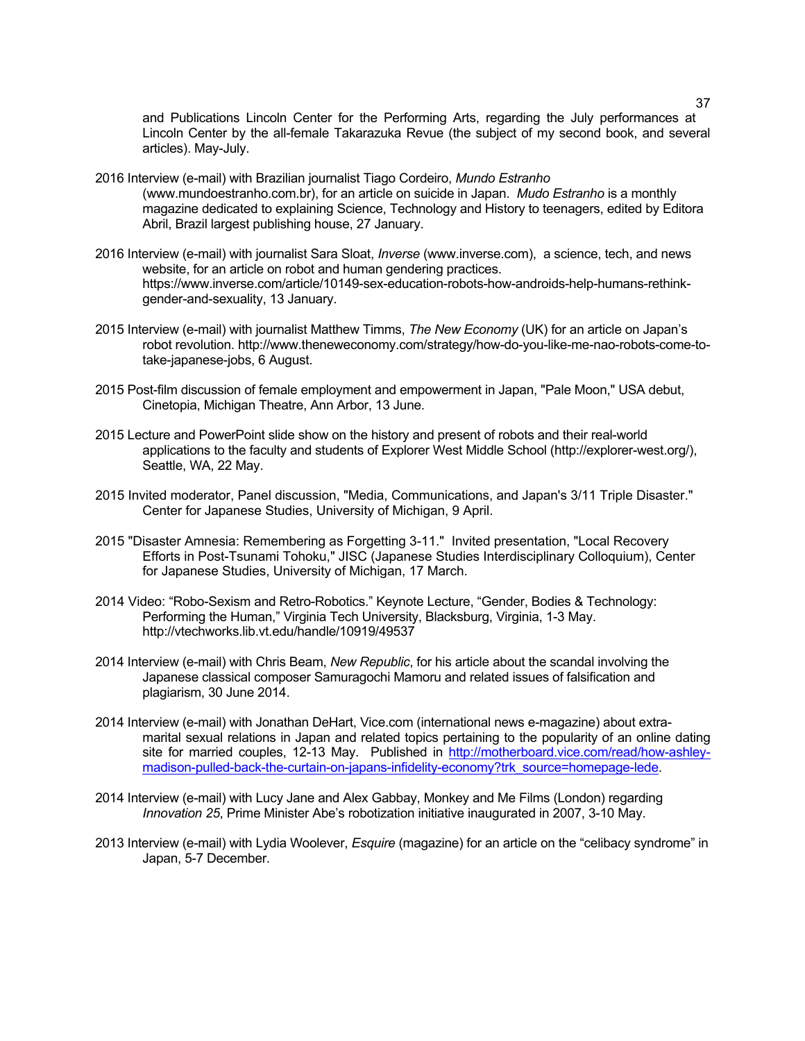and Publications Lincoln Center for the Performing Arts, regarding the July performances at Lincoln Center by the all-female Takarazuka Revue (the subject of my second book, and several articles). May-July.

- 2016 Interview (e-mail) with Brazilian journalist Tiago Cordeiro, *Mundo Estranho* (www.mundoestranho.com.br), for an article on suicide in Japan. *Mudo Estranho* is a monthly magazine dedicated to explaining Science, Technology and History to teenagers, edited by Editora Abril, Brazil largest publishing house, 27 January.
- 2016 Interview (e-mail) with journalist Sara Sloat, *Inverse* (www.inverse.com), a science, tech, and news website, for an article on robot and human gendering practices. https://www.inverse.com/article/10149-sex-education-robots-how-androids-help-humans-rethinkgender-and-sexuality, 13 January.
- 2015 Interview (e-mail) with journalist Matthew Timms, *The New Economy* (UK) for an article on Japan's robot revolution. http://www.theneweconomy.com/strategy/how-do-you-like-me-nao-robots-come-totake-japanese-jobs, 6 August.
- 2015 Post-film discussion of female employment and empowerment in Japan, "Pale Moon," USA debut, Cinetopia, Michigan Theatre, Ann Arbor, 13 June.
- 2015 Lecture and PowerPoint slide show on the history and present of robots and their real-world applications to the faculty and students of Explorer West Middle School (http://explorer-west.org/), Seattle, WA, 22 May.
- 2015 Invited moderator, Panel discussion, "Media, Communications, and Japan's 3/11 Triple Disaster." Center for Japanese Studies, University of Michigan, 9 April.
- 2015 "Disaster Amnesia: Remembering as Forgetting 3-11." Invited presentation, "Local Recovery Efforts in Post-Tsunami Tohoku," JISC (Japanese Studies Interdisciplinary Colloquium), Center for Japanese Studies, University of Michigan, 17 March.
- 2014 Video: "Robo-Sexism and Retro-Robotics." Keynote Lecture, "Gender, Bodies & Technology: Performing the Human," Virginia Tech University, Blacksburg, Virginia, 1-3 May. http://vtechworks.lib.vt.edu/handle/10919/49537
- 2014 Interview (e-mail) with Chris Beam, *New Republic*, for his article about the scandal involving the Japanese classical composer Samuragochi Mamoru and related issues of falsification and plagiarism, 30 June 2014.
- 2014 Interview (e-mail) with Jonathan DeHart, Vice.com (international news e-magazine) about extramarital sexual relations in Japan and related topics pertaining to the popularity of an online dating site for married couples, 12-13 May. Published in http://motherboard.vice.com/read/how-ashleymadison-pulled-back-the-curtain-on-japans-infidelity-economy?trk\_source=homepage-lede.
- 2014 Interview (e-mail) with Lucy Jane and Alex Gabbay, Monkey and Me Films (London) regarding *Innovation 25*, Prime Minister Abe's robotization initiative inaugurated in 2007, 3-10 May.
- 2013 Interview (e-mail) with Lydia Woolever, *Esquire* (magazine) for an article on the "celibacy syndrome" in Japan, 5-7 December.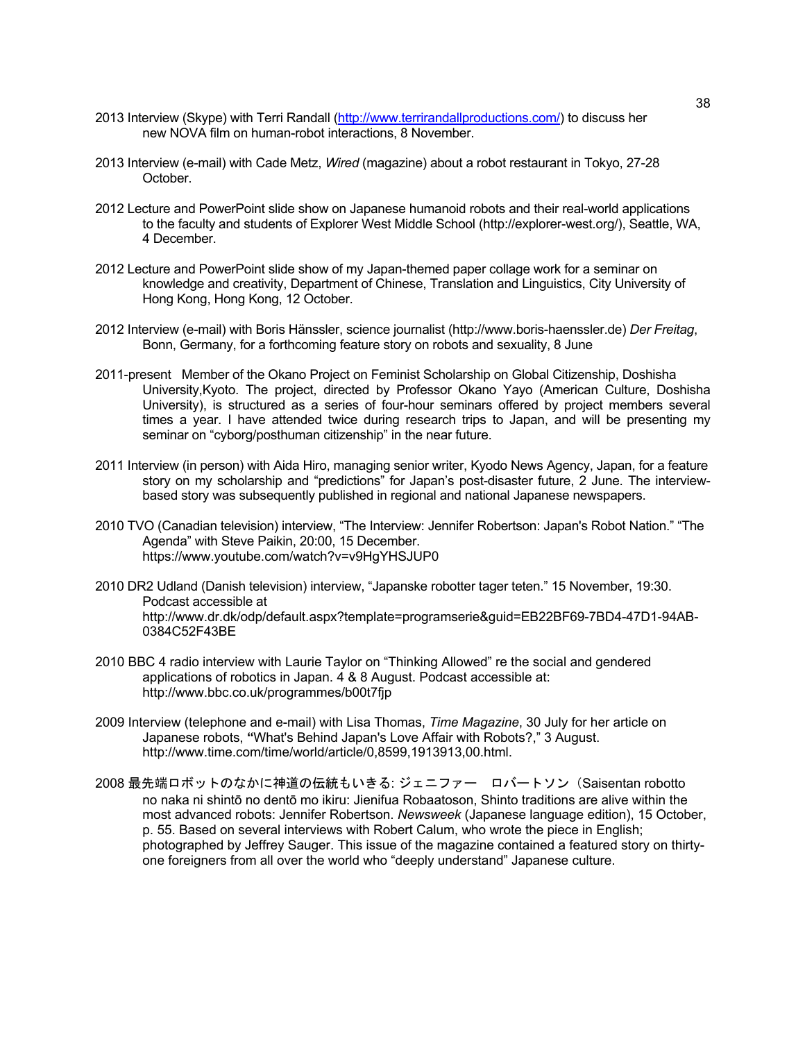- 2013 Interview (Skype) with Terri Randall (http://www.terrirandallproductions.com/) to discuss her new NOVA film on human-robot interactions, 8 November.
- 2013 Interview (e-mail) with Cade Metz, *Wired* (magazine) about a robot restaurant in Tokyo, 27-28 October.
- 2012 Lecture and PowerPoint slide show on Japanese humanoid robots and their real-world applications to the faculty and students of Explorer West Middle School (http://explorer-west.org/), Seattle, WA, 4 December.
- 2012 Lecture and PowerPoint slide show of my Japan-themed paper collage work for a seminar on knowledge and creativity, Department of Chinese, Translation and Linguistics, City University of Hong Kong, Hong Kong, 12 October.
- 2012 Interview (e-mail) with Boris Hänssler, science journalist (http://www.boris-haenssler.de) *Der Freitag*, Bonn, Germany, for a forthcoming feature story on robots and sexuality, 8 June
- 2011-present Member of the Okano Project on Feminist Scholarship on Global Citizenship, Doshisha University,Kyoto. The project, directed by Professor Okano Yayo (American Culture, Doshisha University), is structured as a series of four-hour seminars offered by project members several times a year. I have attended twice during research trips to Japan, and will be presenting my seminar on "cyborg/posthuman citizenship" in the near future.
- 2011 Interview (in person) with Aida Hiro, managing senior writer, Kyodo News Agency, Japan, for a feature story on my scholarship and "predictions" for Japan's post-disaster future, 2 June. The interviewbased story was subsequently published in regional and national Japanese newspapers.
- 2010 TVO (Canadian television) interview, "The Interview: Jennifer Robertson: Japan's Robot Nation." "The Agenda" with Steve Paikin, 20:00, 15 December. https://www.youtube.com/watch?v=v9HgYHSJUP0
- 2010 DR2 Udland (Danish television) interview, "Japanske robotter tager teten." 15 November, 19:30. Podcast accessible at http://www.dr.dk/odp/default.aspx?template=programserie&guid=EB22BF69-7BD4-47D1-94AB-0384C52F43BE
- 2010 BBC 4 radio interview with Laurie Taylor on "Thinking Allowed" re the social and gendered applications of robotics in Japan. 4 & 8 August. Podcast accessible at: http://www.bbc.co.uk/programmes/b00t7fjp
- 2009 Interview (telephone and e-mail) with Lisa Thomas, *Time Magazine*, 30 July for her article on Japanese robots, **"**What's Behind Japan's Love Affair with Robots?," 3 August. http://www.time.com/time/world/article/0,8599,1913913,00.html.
- 2008 最先端ロボットのなかに神道の伝統もいきる: ジェニファー ロバートソン(Saisentan robotto no naka ni shintō no dentō mo ikiru: Jienifua Robaatoson, Shinto traditions are alive within the most advanced robots: Jennifer Robertson. *Newsweek* (Japanese language edition), 15 October, p. 55. Based on several interviews with Robert Calum, who wrote the piece in English; photographed by Jeffrey Sauger. This issue of the magazine contained a featured story on thirtyone foreigners from all over the world who "deeply understand" Japanese culture.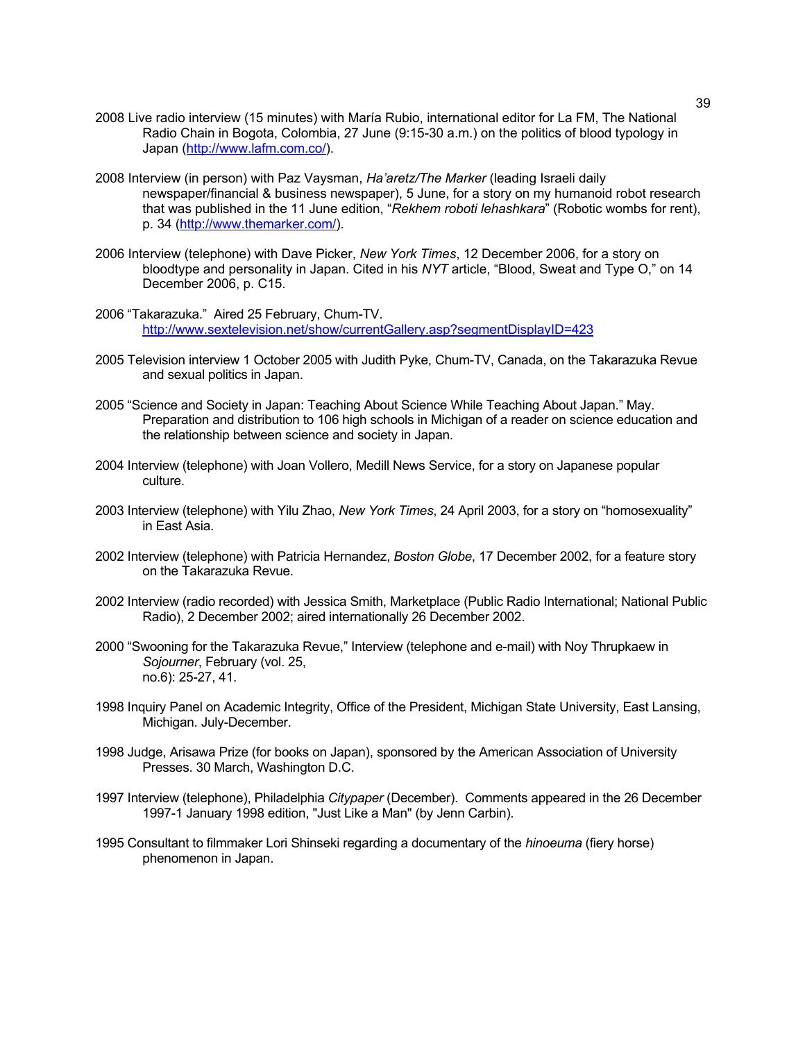- 2008 Live radio interview (15 minutes) with María Rubio, international editor for La FM, The National Radio Chain in Bogota, Colombia, 27 June (9:15-30 a.m.) on the politics of blood typology in Japan (http://www.lafm.com.co/).
- 2008 Interview (in person) with Paz Vaysman, *Ha'aretz/The Marker* (leading Israeli daily newspaper/financial & business newspaper), 5 June, for a story on my humanoid robot research that was published in the 11 June edition, "*Rekhem roboti lehashkara*" (Robotic wombs for rent), p. 34 (http://www.themarker.com/).
- 2006 Interview (telephone) with Dave Picker, *New York Times*, 12 December 2006, for a story on bloodtype and personality in Japan. Cited in his *NYT* article, "Blood, Sweat and Type O," on 14 December 2006, p. C15.
- 2006 "Takarazuka." Aired 25 February, Chum-TV. http://www.sextelevision.net/show/currentGallery.asp?segmentDisplayID=423
- 2005 Television interview 1 October 2005 with Judith Pyke, Chum-TV, Canada, on the Takarazuka Revue and sexual politics in Japan.
- 2005 "Science and Society in Japan: Teaching About Science While Teaching About Japan." May. Preparation and distribution to 106 high schools in Michigan of a reader on science education and the relationship between science and society in Japan.
- 2004 Interview (telephone) with Joan Vollero, Medill News Service, for a story on Japanese popular culture.
- 2003 Interview (telephone) with Yilu Zhao, *New York Times*, 24 April 2003, for a story on "homosexuality" in East Asia.
- 2002 Interview (telephone) with Patricia Hernandez, *Boston Globe*, 17 December 2002, for a feature story on the Takarazuka Revue.
- 2002 Interview (radio recorded) with Jessica Smith, Marketplace (Public Radio International; National Public Radio), 2 December 2002; aired internationally 26 December 2002.
- 2000 "Swooning for the Takarazuka Revue," Interview (telephone and e-mail) with Noy Thrupkaew in *Sojourner*, February (vol. 25, no.6): 25-27, 41.
- 1998 Inquiry Panel on Academic Integrity, Office of the President, Michigan State University, East Lansing, Michigan. July-December.
- 1998 Judge, Arisawa Prize (for books on Japan), sponsored by the American Association of University Presses. 30 March, Washington D.C.
- 1997 Interview (telephone), Philadelphia *Citypaper* (December). Comments appeared in the 26 December 1997-1 January 1998 edition, "Just Like a Man" (by Jenn Carbin).
- 1995 Consultant to filmmaker Lori Shinseki regarding a documentary of the *hinoeuma* (fiery horse) phenomenon in Japan.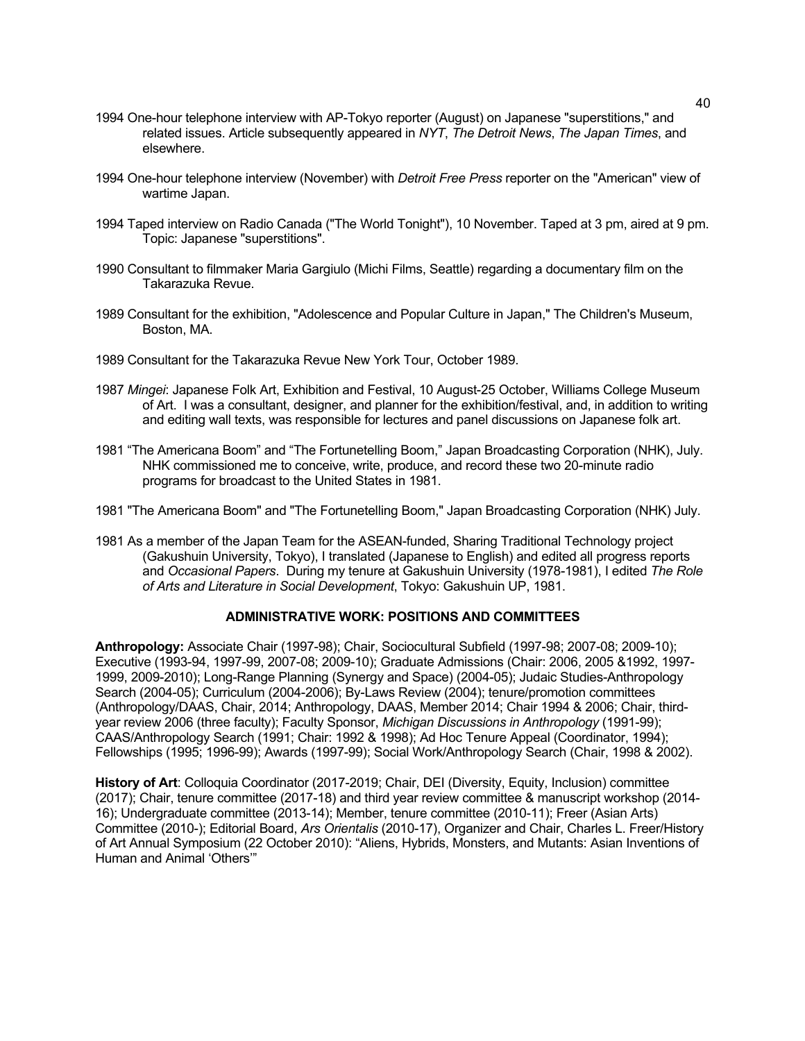- 1994 One-hour telephone interview with AP-Tokyo reporter (August) on Japanese "superstitions," and related issues. Article subsequently appeared in *NYT*, *The Detroit News*, *The Japan Times*, and elsewhere.
- 1994 One-hour telephone interview (November) with *Detroit Free Press* reporter on the "American" view of wartime Japan.
- 1994 Taped interview on Radio Canada ("The World Tonight"), 10 November. Taped at 3 pm, aired at 9 pm. Topic: Japanese "superstitions".
- 1990 Consultant to filmmaker Maria Gargiulo (Michi Films, Seattle) regarding a documentary film on the Takarazuka Revue.
- 1989 Consultant for the exhibition, "Adolescence and Popular Culture in Japan," The Children's Museum, Boston, MA.
- 1989 Consultant for the Takarazuka Revue New York Tour, October 1989.
- 1987 *Mingei*: Japanese Folk Art, Exhibition and Festival, 10 August-25 October, Williams College Museum of Art. I was a consultant, designer, and planner for the exhibition/festival, and, in addition to writing and editing wall texts, was responsible for lectures and panel discussions on Japanese folk art.
- 1981 "The Americana Boom" and "The Fortunetelling Boom," Japan Broadcasting Corporation (NHK), July. NHK commissioned me to conceive, write, produce, and record these two 20-minute radio programs for broadcast to the United States in 1981.
- 1981 "The Americana Boom" and "The Fortunetelling Boom," Japan Broadcasting Corporation (NHK) July.
- 1981 As a member of the Japan Team for the ASEAN-funded, Sharing Traditional Technology project (Gakushuin University, Tokyo), I translated (Japanese to English) and edited all progress reports and *Occasional Papers*. During my tenure at Gakushuin University (1978-1981), I edited *The Role of Arts and Literature in Social Development*, Tokyo: Gakushuin UP, 1981.

## **ADMINISTRATIVE WORK: POSITIONS AND COMMITTEES**

**Anthropology:** Associate Chair (1997-98); Chair, Sociocultural Subfield (1997-98; 2007-08; 2009-10); Executive (1993-94, 1997-99, 2007-08; 2009-10); Graduate Admissions (Chair: 2006, 2005 &1992, 1997- 1999, 2009-2010); Long-Range Planning (Synergy and Space) (2004-05); Judaic Studies-Anthropology Search (2004-05); Curriculum (2004-2006); By-Laws Review (2004); tenure/promotion committees (Anthropology/DAAS, Chair, 2014; Anthropology, DAAS, Member 2014; Chair 1994 & 2006; Chair, thirdyear review 2006 (three faculty); Faculty Sponsor, *Michigan Discussions in Anthropology* (1991-99); CAAS/Anthropology Search (1991; Chair: 1992 & 1998); Ad Hoc Tenure Appeal (Coordinator, 1994); Fellowships (1995; 1996-99); Awards (1997-99); Social Work/Anthropology Search (Chair, 1998 & 2002).

**History of Art**: Colloquia Coordinator (2017-2019; Chair, DEI (Diversity, Equity, Inclusion) committee (2017); Chair, tenure committee (2017-18) and third year review committee & manuscript workshop (2014- 16); Undergraduate committee (2013-14); Member, tenure committee (2010-11); Freer (Asian Arts) Committee (2010-); Editorial Board, *Ars Orientalis* (2010-17), Organizer and Chair, Charles L. Freer/History of Art Annual Symposium (22 October 2010): "Aliens, Hybrids, Monsters, and Mutants: Asian Inventions of Human and Animal 'Others'"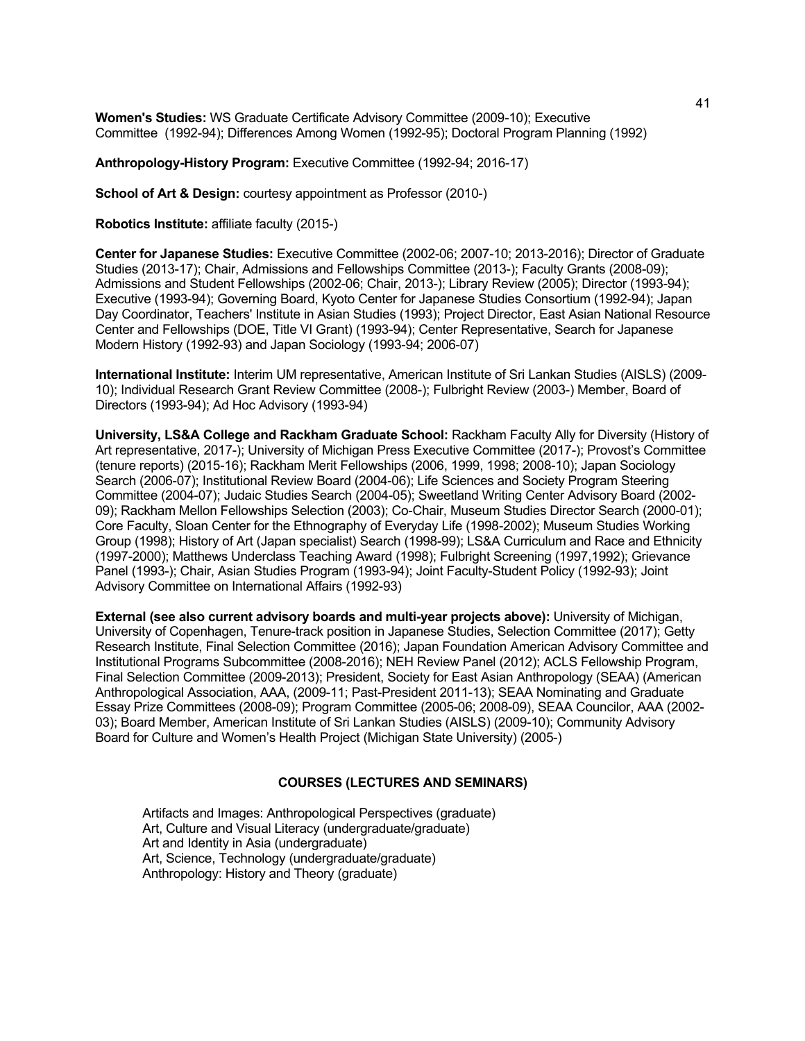**Women's Studies:** WS Graduate Certificate Advisory Committee (2009-10); Executive Committee (1992-94); Differences Among Women (1992-95); Doctoral Program Planning (1992)

**Anthropology-History Program:** Executive Committee (1992-94; 2016-17)

**School of Art & Design:** courtesy appointment as Professor (2010-)

**Robotics Institute:** affiliate faculty (2015-)

**Center for Japanese Studies:** Executive Committee (2002-06; 2007-10; 2013-2016); Director of Graduate Studies (2013-17); Chair, Admissions and Fellowships Committee (2013-); Faculty Grants (2008-09); Admissions and Student Fellowships (2002-06; Chair, 2013-); Library Review (2005); Director (1993-94); Executive (1993-94); Governing Board, Kyoto Center for Japanese Studies Consortium (1992-94); Japan Day Coordinator, Teachers' Institute in Asian Studies (1993); Project Director, East Asian National Resource Center and Fellowships (DOE, Title VI Grant) (1993-94); Center Representative, Search for Japanese Modern History (1992-93) and Japan Sociology (1993-94; 2006-07)

**International Institute:** Interim UM representative, American Institute of Sri Lankan Studies (AISLS) (2009- 10); Individual Research Grant Review Committee (2008-); Fulbright Review (2003-) Member, Board of Directors (1993-94); Ad Hoc Advisory (1993-94)

**University, LS&A College and Rackham Graduate School:** Rackham Faculty Ally for Diversity (History of Art representative, 2017-); University of Michigan Press Executive Committee (2017-); Provost's Committee (tenure reports) (2015-16); Rackham Merit Fellowships (2006, 1999, 1998; 2008-10); Japan Sociology Search (2006-07); Institutional Review Board (2004-06); Life Sciences and Society Program Steering Committee (2004-07); Judaic Studies Search (2004-05); Sweetland Writing Center Advisory Board (2002- 09); Rackham Mellon Fellowships Selection (2003); Co-Chair, Museum Studies Director Search (2000-01); Core Faculty, Sloan Center for the Ethnography of Everyday Life (1998-2002); Museum Studies Working Group (1998); History of Art (Japan specialist) Search (1998-99); LS&A Curriculum and Race and Ethnicity (1997-2000); Matthews Underclass Teaching Award (1998); Fulbright Screening (1997,1992); Grievance Panel (1993-); Chair, Asian Studies Program (1993-94); Joint Faculty-Student Policy (1992-93); Joint Advisory Committee on International Affairs (1992-93)

**External (see also current advisory boards and multi-year projects above):** University of Michigan, University of Copenhagen, Tenure-track position in Japanese Studies, Selection Committee (2017); Getty Research Institute, Final Selection Committee (2016); Japan Foundation American Advisory Committee and Institutional Programs Subcommittee (2008-2016); NEH Review Panel (2012); ACLS Fellowship Program, Final Selection Committee (2009-2013); President, Society for East Asian Anthropology (SEAA) (American Anthropological Association, AAA, (2009-11; Past-President 2011-13); SEAA Nominating and Graduate Essay Prize Committees (2008-09); Program Committee (2005-06; 2008-09), SEAA Councilor, AAA (2002- 03); Board Member, American Institute of Sri Lankan Studies (AISLS) (2009-10); Community Advisory Board for Culture and Women's Health Project (Michigan State University) (2005-)

#### **COURSES (LECTURES AND SEMINARS)**

Artifacts and Images: Anthropological Perspectives (graduate) Art, Culture and Visual Literacy (undergraduate/graduate) Art and Identity in Asia (undergraduate) Art, Science, Technology (undergraduate/graduate) Anthropology: History and Theory (graduate)